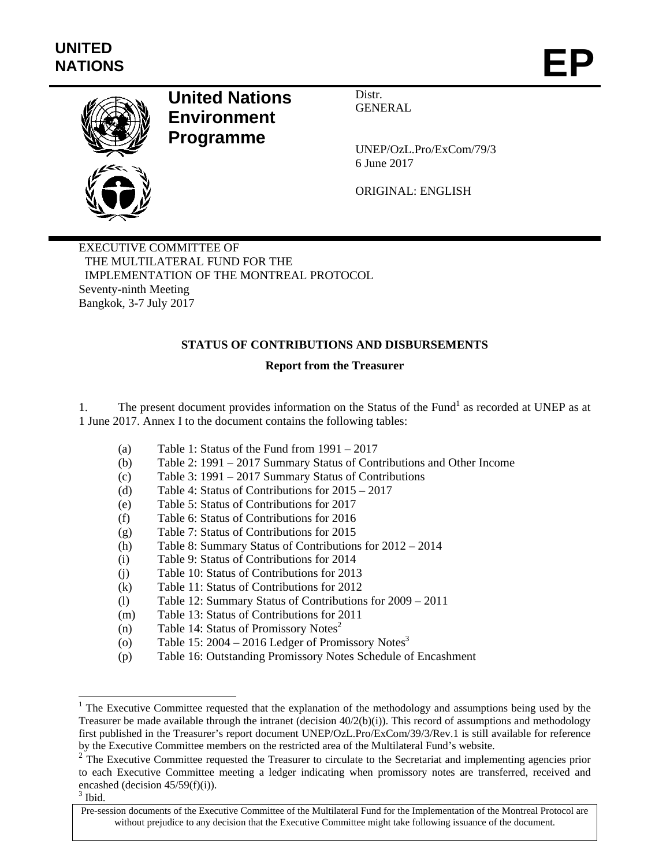

# **United Nations Environment Programme**

Distr. GENERAL

UNEP/OzL.Pro/ExCom/79/3 6 June 2017

ORIGINAL: ENGLISH

EXECUTIVE COMMITTEE OF THE MULTILATERAL FUND FOR THE IMPLEMENTATION OF THE MONTREAL PROTOCOL Seventy-ninth Meeting Bangkok, 3-7 July 2017

# **STATUS OF CONTRIBUTIONS AND DISBURSEMENTS**

# **Report from the Treasurer**

1. The present document provides information on the Status of the Fund<sup>1</sup> as recorded at UNEP as at 1 June 2017. Annex I to the document contains the following tables:

- (a) Table 1: Status of the Fund from 1991 2017
- (b) Table 2: 1991 2017 Summary Status of Contributions and Other Income
- (c) Table 3: 1991 2017 Summary Status of Contributions
- (d) Table 4: Status of Contributions for 2015 2017
- (e) Table 5: Status of Contributions for 2017
- (f) Table 6: Status of Contributions for 2016
- (g) Table 7: Status of Contributions for 2015
- (h) Table 8: Summary Status of Contributions for 2012 2014
- (i) Table 9: Status of Contributions for 2014
- (j) Table 10: Status of Contributions for 2013
- (k) Table 11: Status of Contributions for 2012
- (l) Table 12: Summary Status of Contributions for 2009 2011
- (m) Table 13: Status of Contributions for 2011
- (n) Table 14: Status of Promissory Notes<sup>2</sup>
- (o) Table 15:  $2004 2016$  Ledger of Promissory Notes<sup>3</sup>
- (p) Table 16: Outstanding Promissory Notes Schedule of Encashment

l

<sup>&</sup>lt;sup>1</sup> The Executive Committee requested that the explanation of the methodology and assumptions being used by the Treasurer be made available through the intranet (decision  $40/2(b)(i)$ ). This record of assumptions and methodology first published in the Treasurer's report document UNEP/OzL.Pro/ExCom/39/3/Rev.1 is still available for reference by the Executive Committee members on the restricted area of the Multilateral Fund's website.

<sup>&</sup>lt;sup>2</sup> The Executive Committee requested the Treasurer to circulate to the Secretariat and implementing agencies prior to each Executive Committee meeting a ledger indicating when promissory notes are transferred, received and encashed (decision 45/59(f)(i)).

 $3$  Ibid.

Pre-session documents of the Executive Committee of the Multilateral Fund for the Implementation of the Montreal Protocol are without prejudice to any decision that the Executive Committee might take following issuance of the document.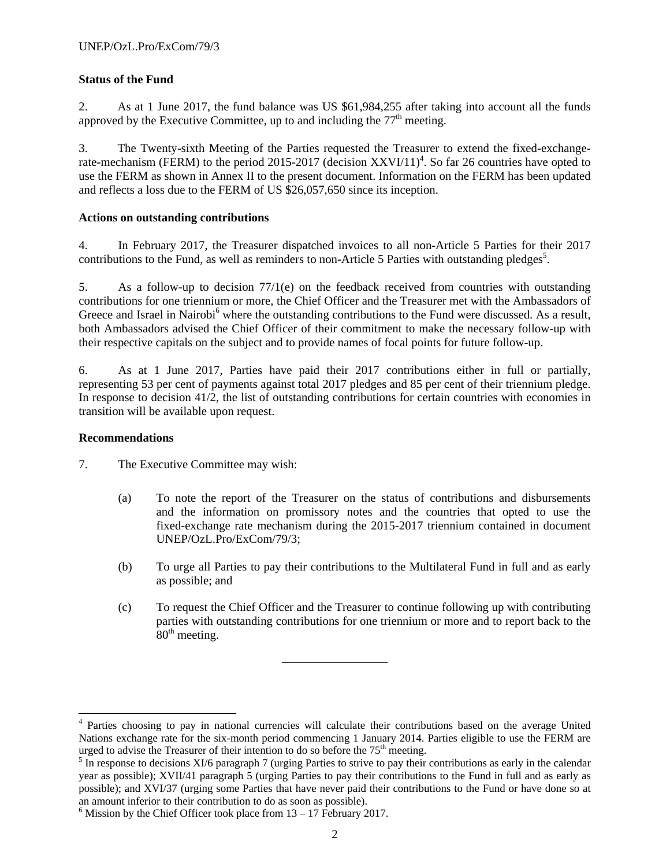# **Status of the Fund**

2. As at 1 June 2017, the fund balance was US \$61,984,255 after taking into account all the funds approved by the Executive Committee, up to and including the  $77<sup>th</sup>$  meeting.

3. The Twenty-sixth Meeting of the Parties requested the Treasurer to extend the fixed-exchangerate-mechanism (FERM) to the period 2015-2017 (decision  $XXV1/11$ <sup>4</sup>. So far 26 countries have opted to use the FERM as shown in Annex II to the present document. Information on the FERM has been updated and reflects a loss due to the FERM of US \$26,057,650 since its inception.

# **Actions on outstanding contributions**

4. In February 2017, the Treasurer dispatched invoices to all non-Article 5 Parties for their 2017 contributions to the Fund, as well as reminders to non-Article 5 Parties with outstanding pledges<sup>5</sup>.

5. As a follow-up to decision 77/1(e) on the feedback received from countries with outstanding contributions for one triennium or more, the Chief Officer and the Treasurer met with the Ambassadors of Greece and Israel in Nairobi<sup>6</sup> where the outstanding contributions to the Fund were discussed. As a result, both Ambassadors advised the Chief Officer of their commitment to make the necessary follow-up with their respective capitals on the subject and to provide names of focal points for future follow-up.

6. As at 1 June 2017, Parties have paid their 2017 contributions either in full or partially, representing 53 per cent of payments against total 2017 pledges and 85 per cent of their triennium pledge. In response to decision 41/2, the list of outstanding contributions for certain countries with economies in transition will be available upon request.

# **Recommendations**

l

7. The Executive Committee may wish:

- (a) To note the report of the Treasurer on the status of contributions and disbursements and the information on promissory notes and the countries that opted to use the fixed-exchange rate mechanism during the 2015-2017 triennium contained in document UNEP/OzL.Pro/ExCom/79/3;
- (b) To urge all Parties to pay their contributions to the Multilateral Fund in full and as early as possible; and
- (c) To request the Chief Officer and the Treasurer to continue following up with contributing parties with outstanding contributions for one triennium or more and to report back to the  $80<sup>th</sup>$  meeting.

<sup>&</sup>lt;sup>4</sup> Parties choosing to pay in national currencies will calculate their contributions based on the average United Nations exchange rate for the six-month period commencing 1 January 2014. Parties eligible to use the FERM are urged to advise the Treasurer of their intention to do so before the  $75<sup>th</sup>$  meeting.

 $<sup>5</sup>$  In response to decisions XI/6 paragraph 7 (urging Parties to strive to pay their contributions as early in the calendar</sup> year as possible); XVII/41 paragraph 5 (urging Parties to pay their contributions to the Fund in full and as early as possible); and XVI/37 (urging some Parties that have never paid their contributions to the Fund or have done so at an amount inferior to their contribution to do as soon as possible).

 $6$  Mission by the Chief Officer took place from  $13 - 17$  February 2017.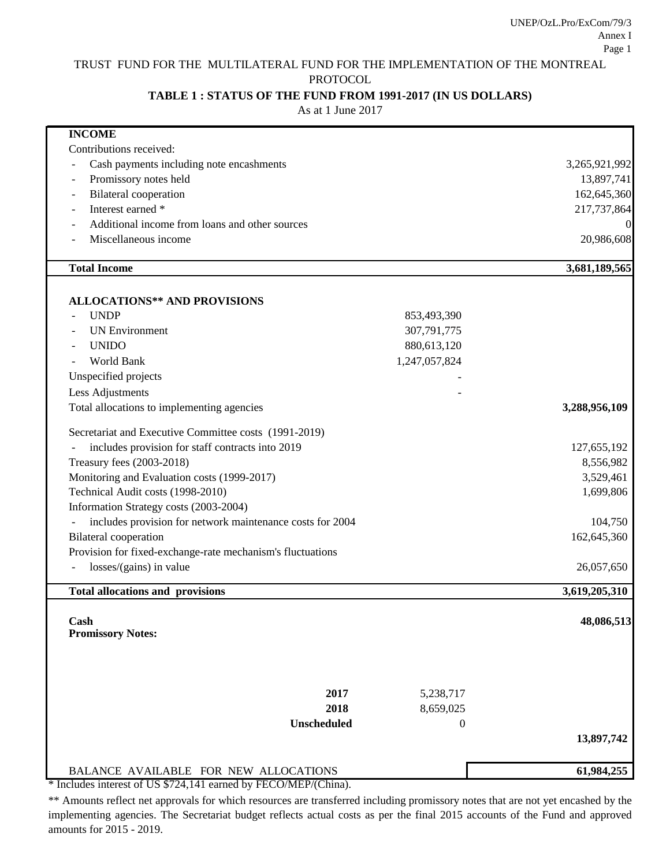# TRUST FUND FOR THE MULTILATERAL FUND FOR THE IMPLEMENTATION OF THE MONTREAL

PROTOCOL

## **TABLE 1 : STATUS OF THE FUND FROM 1991-2017 (IN US DOLLARS)**

As at 1 June 2017

| <b>INCOME</b>                                              |                  |               |
|------------------------------------------------------------|------------------|---------------|
| Contributions received:                                    |                  |               |
| Cash payments including note encashments                   |                  | 3,265,921,992 |
| Promissory notes held                                      |                  | 13,897,741    |
| <b>Bilateral</b> cooperation                               |                  | 162,645,360   |
| Interest earned *                                          |                  | 217,737,864   |
| Additional income from loans and other sources             |                  | $\theta$      |
| Miscellaneous income                                       |                  | 20,986,608    |
| <b>Total Income</b>                                        |                  | 3,681,189,565 |
|                                                            |                  |               |
| <b>ALLOCATIONS** AND PROVISIONS</b>                        |                  |               |
| <b>UNDP</b>                                                | 853,493,390      |               |
| <b>UN Environment</b>                                      | 307,791,775      |               |
| <b>UNIDO</b>                                               | 880,613,120      |               |
| World Bank                                                 | 1,247,057,824    |               |
| Unspecified projects                                       |                  |               |
| Less Adjustments                                           |                  |               |
| Total allocations to implementing agencies                 |                  | 3,288,956,109 |
| Secretariat and Executive Committee costs (1991-2019)      |                  |               |
| includes provision for staff contracts into 2019           |                  | 127,655,192   |
| Treasury fees (2003-2018)                                  |                  | 8,556,982     |
| Monitoring and Evaluation costs (1999-2017)                |                  | 3,529,461     |
| Technical Audit costs (1998-2010)                          |                  | 1,699,806     |
| Information Strategy costs (2003-2004)                     |                  |               |
| includes provision for network maintenance costs for 2004  |                  | 104,750       |
| <b>Bilateral</b> cooperation                               |                  | 162,645,360   |
| Provision for fixed-exchange-rate mechanism's fluctuations |                  |               |
| losses/(gains) in value                                    |                  | 26,057,650    |
| <b>Total allocations and provisions</b>                    |                  | 3,619,205,310 |
| Cash                                                       |                  | 48,086,513    |
| <b>Promissory Notes:</b>                                   |                  |               |
|                                                            |                  |               |
| 2017                                                       | 5,238,717        |               |
| 2018                                                       | 8,659,025        |               |
| <b>Unscheduled</b>                                         |                  |               |
|                                                            | $\boldsymbol{0}$ | 13,897,742    |
|                                                            |                  |               |
| BALANCE AVAILABLE FOR NEW ALLOCATIONS                      |                  | 61,984,255    |

\* Includes interest of US \$724,141 earned by FECO/MEP/(China).

\*\* Amounts reflect net approvals for which resources are transferred including promissory notes that are not yet encashed by the implementing agencies. The Secretariat budget reflects actual costs as per the final 2015 accounts of the Fund and approved amounts for 2015 - 2019.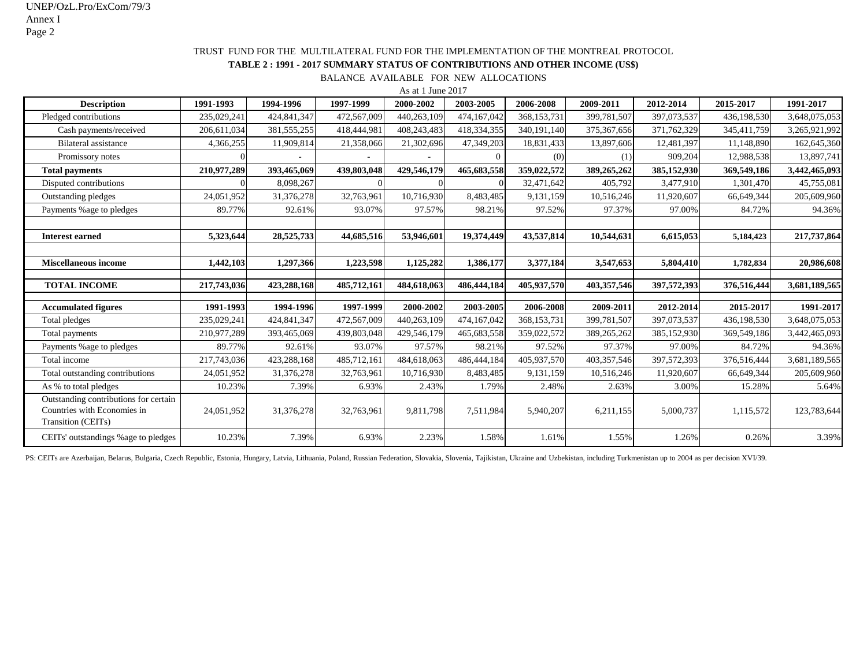#### TRUST FUND FOR THE MULTILATERAL FUND FOR THE IMPLEMENTATION OF THE MONTREAL PROTOCOL

#### **TABLE 2 : 1991 - 2017 SUMMARY STATUS OF CONTRIBUTIONS AND OTHER INCOME (US\$)**

BALANCE AVAILABLE FOR NEW ALLOCATIONS

|                                                                                            |             |               |             | As at 1 June 2017 |             |             |               |             |             |               |
|--------------------------------------------------------------------------------------------|-------------|---------------|-------------|-------------------|-------------|-------------|---------------|-------------|-------------|---------------|
| <b>Description</b>                                                                         | 1991-1993   | 1994-1996     | 1997-1999   | 2000-2002         | 2003-2005   | 2006-2008   | 2009-2011     | 2012-2014   | 2015-2017   | 1991-2017     |
| Pledged contributions                                                                      | 235,029,241 | 424,841,347   | 472,567,009 | 440,263,109       | 474,167,042 | 368,153,731 | 399,781,507   | 397,073,537 | 436,198,530 | 3,648,075,053 |
| Cash payments/received                                                                     | 206,611,034 | 381, 555, 255 | 418,444,981 | 408,243,483       | 418,334,355 | 340.191.140 | 375, 367, 656 | 371,762,329 | 345,411,759 | 3,265,921,992 |
| <b>Bilateral assistance</b>                                                                | 4,366,255   | 11,909,814    | 21,358,066  | 21,302,696        | 47,349,203  | 18,831,433  | 13,897,606    | 12,481,397  | 11,148,890  | 162,645,360   |
| Promissory notes                                                                           |             |               |             |                   | $\Omega$    | (0)         | (1)           | 909.204     | 12,988,538  | 13,897,741    |
| <b>Total payments</b>                                                                      | 210,977,289 | 393,465,069   | 439,803,048 | 429,546,179       | 465,683,558 | 359,022,572 | 389,265,262   | 385,152,930 | 369,549,186 | 3,442,465,093 |
| Disputed contributions                                                                     |             | 8,098,267     |             |                   |             | 32,471,642  | 405,792       | 3,477,910   | 1,301,470   | 45,755,081    |
| Outstanding pledges                                                                        | 24,051,952  | 31,376,278    | 32,763,961  | 10,716,930        | 8,483,485   | 9,131,159   | 10,516,246    | 11,920,607  | 66,649,344  | 205,609,960   |
| Payments % age to pledges                                                                  | 89.77%      | 92.61%        | 93.07%      | 97.57%            | 98.21%      | 97.52%      | 97.37%        | 97.00%      | 84.72%      | 94.36%        |
|                                                                                            |             |               |             |                   |             |             |               |             |             |               |
| <b>Interest earned</b>                                                                     | 5,323,644   | 28,525,733    | 44,685,516  | 53,946,601        | 19,374,449  | 43,537,814  | 10,544,631    | 6,615,053   | 5,184,423   | 217,737,864   |
|                                                                                            |             |               |             |                   |             |             |               |             |             |               |
| <b>Miscellaneous income</b>                                                                | 1,442,103   | 1,297,366     | 1,223,598   | 1,125,282         | 1,386,177   | 3,377,184   | 3,547,653     | 5,804,410   | 1,782,834   | 20,986,608    |
|                                                                                            |             |               |             |                   |             |             |               |             |             |               |
| <b>TOTAL INCOME</b>                                                                        | 217,743,036 | 423,288,168   | 485,712,161 | 484,618,063       | 486,444,184 | 405,937,570 | 403,357,546   | 397,572,393 | 376,516,444 | 3,681,189,565 |
| <b>Accumulated figures</b>                                                                 | 1991-1993   | 1994-1996     | 1997-1999   | 2000-2002         | 2003-2005   | 2006-2008   | 2009-2011     | 2012-2014   | 2015-2017   | 1991-2017     |
| Total pledges                                                                              | 235,029,241 | 424,841,347   | 472,567,009 | 440,263,109       | 474,167,042 | 368,153,731 | 399,781,507   | 397,073,537 | 436,198,530 | 3,648,075,053 |
|                                                                                            | 210,977,289 | 393,465,069   | 439,803,048 | 429,546,179       | 465,683,558 | 359,022,572 | 389,265,262   | 385,152,930 | 369,549,186 | 3,442,465,093 |
| Total payments                                                                             | 89.77%      | 92.61%        | 93.07%      | 97.57%            | 98.21%      |             | 97.37%        | 97.00%      | 84.72%      |               |
| Payments % age to pledges                                                                  |             |               |             |                   |             | 97.52%      |               |             |             | 94.36%        |
| Total income                                                                               | 217,743,036 | 423,288,168   | 485,712,161 | 484,618,063       | 486,444,184 | 405,937,570 | 403,357,546   | 397,572,393 | 376,516,444 | 3,681,189,565 |
| Total outstanding contributions                                                            | 24,051,952  | 31,376,278    | 32,763,961  | 10,716,930        | 8,483,485   | 9,131,159   | 10,516,246    | 11,920,607  | 66,649,344  | 205,609,960   |
| As % to total pledges                                                                      | 10.23%      | 7.39%         | 6.93%       | 2.43%             | 1.79%       | 2.48%       | 2.63%         | 3.00%       | 15.28%      | 5.64%         |
| Outstanding contributions for certain<br>Countries with Economies in<br>Transition (CEITs) | 24,051,952  | 31,376,278    | 32,763,961  | 9,811,798         | 7,511,984   | 5,940,207   | 6,211,155     | 5,000,737   | 1,115,572   | 123,783,644   |
| CEITs' outstandings % age to pledges                                                       | 10.23%      | 7.39%         | 6.93%       | 2.23%             | 1.58%       | 1.61%       | 1.55%         | 1.26%       | 0.26%       | 3.39%         |

PS: CEITs are Azerbaijan, Belarus, Bulgaria, Czech Republic, Estonia, Hungary, Latvia, Lithuania, Poland, Russian Federation, Slovakia, Slovenia, Tajikistan, Ukraine and Uzbekistan, including Turkmenistan up to 2004 as per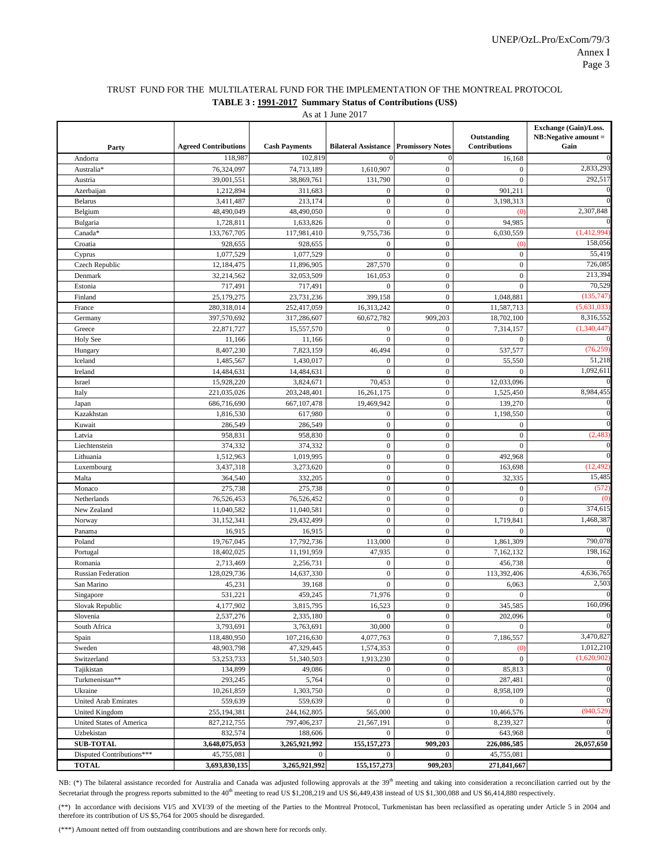#### TRUST FUND FOR THE MULTILATERAL FUND FOR THE IMPLEMENTATION OF THE MONTREAL PROTOCOL **TABLE 3 : 1991-2017 Summary Status of Contributions (US\$)**

As at 1 June 2017

| 118,987<br>102,819<br>$\mathbf{0}$<br>16,168<br>Andorra<br>2,833,293<br>76,324,097<br>74,713,189<br>1,610,907<br>$\boldsymbol{0}$<br>$\boldsymbol{0}$<br>Australia*<br>39,001,551<br>38,869,761<br>131,790<br>$\boldsymbol{0}$<br>$\mathbf{0}$<br>292,517<br>Austria<br>$\boldsymbol{0}$<br>Azerbaijan<br>1,212,894<br>311,683<br>$\mathbf{0}$<br>901,211<br>$\mathbf{0}$<br>$\boldsymbol{0}$<br>3,411,487<br>213,174<br>3,198,313<br><b>Belarus</b><br>$\boldsymbol{0}$<br>2,307,848<br>$\boldsymbol{0}$<br>Belgium<br>48,490,049<br>48,490,050<br>$\left( 0 \right)$<br>$\boldsymbol{0}$<br>1,728,811<br>1,633,826<br>$\overline{0}$<br>94,985<br>Bulgaria<br>$\boldsymbol{0}$<br>(1,412,994)<br>133,767,705<br>Canada*<br>117,981,410<br>9,755,736<br>6,030,559<br>$\boldsymbol{0}$<br>158,056<br>928,655<br>$\boldsymbol{0}$<br>Croatia<br>928,655<br>(0)<br>55,419<br>$\overline{0}$<br>$\boldsymbol{0}$<br>$\boldsymbol{0}$<br>1,077,529<br>1,077,529<br>Cyprus<br>$\boldsymbol{0}$<br>726,085<br>Czech Republic<br>12,184,475<br>11,896,905<br>287,570<br>$\mathbf{0}$<br>213,394<br>$\boldsymbol{0}$<br>$\mathbf{0}$<br>Denmark<br>161.053<br>32,214,562<br>32,053,509<br>70,529<br>$\boldsymbol{0}$<br>$\mathbf{0}$<br>717,491<br>717,491<br>$\mathbf{0}$<br>Estonia<br>$\boldsymbol{0}$<br>(135, 747)<br>25,179,275<br>399,158<br>1,048,881<br>Finland<br>23,731,236<br>$\overline{0}$<br>280,318,014<br>(5,631,033)<br>252,417,059<br>16,313,242<br>11,587,713<br>France<br>397,570,692<br>317,286,607<br>60,672,782<br>909,203<br>18,702,100<br>8,316,552<br>Germany<br>(1,340,447)<br>22,871,727<br>15,557,570<br>$\boldsymbol{0}$<br>7,314,157<br>Greece<br>$\mathbf{0}$<br>$\overline{0}$<br>$\boldsymbol{0}$<br>11,166<br>$\mathbf{0}$<br>Holy See<br>11,166<br>$\boldsymbol{0}$<br>(76, 259)<br>8,407,230<br>7,823,159<br>46,494<br>537,577<br>Hungary<br>51,218<br>$\boldsymbol{0}$<br>1,485,567<br>1,430,017<br>$\overline{0}$<br>55,550<br>Iceland<br>1,092,611<br>$\boldsymbol{0}$<br>14,484,631<br>14,484,631<br>$\overline{0}$<br>$\mathbf{0}$<br>Ireland<br>$\boldsymbol{0}$<br>15,928,220<br>3,824,671<br>70,453<br>12,033,096<br>Israel<br>$\mathbf{0}$<br>8,984,455<br>221,035,026<br>203,248,401<br>16,261,175<br>1,525,450<br>Italy<br>$\boldsymbol{0}$<br>686,716,690<br>139,270<br>Japan<br>667, 107, 478<br>19,469,942<br>$\mathbf{0}$<br>Kazakhstan<br>617,980<br>1,198,550<br>1,816,530<br>$\boldsymbol{0}$<br>286,549<br>$\boldsymbol{0}$<br>$\boldsymbol{0}$<br>286,549<br>Kuwait<br>$\mathbf{0}$<br>$\boldsymbol{0}$<br>(2, 483)<br>958,831<br>958,830<br>$\boldsymbol{0}$<br>$\boldsymbol{0}$<br>Latvia<br>$\boldsymbol{0}$<br>374,332<br>374,332<br>$\mathbf{0}$<br>$\mathbf{0}$<br>Liechtenstein<br>$\boldsymbol{0}$<br>$\boldsymbol{0}$<br>Lithuania<br>1,512,963<br>1,019,995<br>492,968<br>$\boldsymbol{0}$<br>$\boldsymbol{0}$<br>(12, 492)<br>Luxembourg<br>3,437,318<br>3,273,620<br>163,698<br>15,485<br>$\mathbf{0}$<br>364,540<br>332,205<br>$\boldsymbol{0}$<br>32,335<br>Malta<br>$\mathbf{0}$<br>(572)<br>275,738<br>275,738<br>$\mathbf{0}$<br>$\mathbf{0}$<br>Monaco<br>$\boldsymbol{0}$<br>$\mathbf{0}$<br>Netherlands<br>76,526,453<br>76,526,452<br>$\mathbf{0}$<br>374,615<br>$\boldsymbol{0}$<br>$\mathbf{0}$<br>11,040,582<br>$\mathbf{0}$<br>New Zealand<br>11,040,581<br>1,468,387<br>$\boldsymbol{0}$<br>31,152,341<br>29,432,499<br>$\boldsymbol{0}$<br>1,719,841<br>Norway<br>$\overline{0}$<br>$\mathbf{0}$<br>16,915<br>16,915<br>$\theta$<br>Panama<br>790,078<br>19,767,045<br>$\boldsymbol{0}$<br>Poland<br>17,792,736<br>113,000<br>1,861,309<br>198,162<br>$\boldsymbol{0}$<br>18,402,025<br>47,935<br>11,191,959<br>7,162,132<br>Portugal<br>$\boldsymbol{0}$<br>Romania<br>2,713,469<br>2,256,731<br>$\boldsymbol{0}$<br>456,738<br>4,636,765<br>128,029,736<br>14,637,330<br>$\mathbf{0}$<br>$\mathbf{0}$<br>113,392,406<br><b>Russian Federation</b><br>$\mathbf{0}$<br>2,503<br>45,231<br>$\overline{0}$<br>6,063<br>San Marino<br>39,168<br>$\boldsymbol{0}$<br>531,221<br>459,245<br>71.976<br>Singapore<br>$\mathbf{0}$<br>160,096<br>$\mathbf{0}$<br>4,177,902<br>3,815,795<br>16,523<br>345,585<br>Slovak Republic<br>$\boldsymbol{0}$<br>$\bf{0}$<br>$\boldsymbol{0}$<br>Slovenia<br>2,537,276<br>2,335,180<br>202,096<br>$\Omega$<br>$\mathbf{0}$<br>3,793,691<br>30,000<br>South Africa<br>3,763,691<br>$\mathbf{0}$<br>3,470,827<br>$\boldsymbol{0}$<br>7,186,557<br>118,480,950<br>107,216,630<br>4,077,763<br>Spain<br>1,012,210<br>$\boldsymbol{0}$<br>48,903,798<br>47,329,445<br>1,574,353<br>Sweden<br>(0)<br>(1,620,902)<br>$\boldsymbol{0}$<br>Switzerland<br>53,253,733<br>51,340,503<br>1,913,230<br>$\boldsymbol{0}$<br>$\boldsymbol{0}$<br>$\theta$<br>85,813<br>Tajikistan<br>134,899<br>49,086<br>$\boldsymbol{0}$<br>$\boldsymbol{0}$<br>Turkmenistan**<br>293,245<br>5,764<br>$\boldsymbol{0}$<br>287,481<br>$\boldsymbol{0}$<br>1,303,750<br>$\bf{0}$<br>$\Omega$<br>Ukraine<br>10,261,859<br>8,958,109<br>$\boldsymbol{0}$<br>$\boldsymbol{0}$<br>United Arab Emirates<br>559,639<br>559,639<br>$\mathbf{0}$<br>(940, 529)<br>United Kingdom<br>$\boldsymbol{0}$<br>255,194,381<br>244,162,805<br>565,000<br>10,466,576<br>$\boldsymbol{0}$<br>United States of America<br>827, 212, 755<br>797,406,237<br>21,567,191<br>8,239,327<br>$\boldsymbol{0}$<br>832,574<br>$\boldsymbol{0}$<br>643,968<br>Uzbekistan<br>188,606<br>155, 157, 273<br>909,203<br><b>SUB-TOTAL</b><br>3,648,075,053<br>3,265,921,992<br>226,086,585<br>26,057,650<br>Disputed Contributions***<br>45,755,081<br>$\boldsymbol{0}$<br>45,755,081<br>$\mathbf{0}$<br>$\overline{0}$ | Party        | <b>Agreed Contributions</b> | <b>Cash Payments</b> | <b>Bilateral Assistance Promissory Notes</b> |         | Outstanding<br><b>Contributions</b> | Exchange (Gain)/Loss.<br>$NB: Negative amount =$<br>Gain |
|-----------------------------------------------------------------------------------------------------------------------------------------------------------------------------------------------------------------------------------------------------------------------------------------------------------------------------------------------------------------------------------------------------------------------------------------------------------------------------------------------------------------------------------------------------------------------------------------------------------------------------------------------------------------------------------------------------------------------------------------------------------------------------------------------------------------------------------------------------------------------------------------------------------------------------------------------------------------------------------------------------------------------------------------------------------------------------------------------------------------------------------------------------------------------------------------------------------------------------------------------------------------------------------------------------------------------------------------------------------------------------------------------------------------------------------------------------------------------------------------------------------------------------------------------------------------------------------------------------------------------------------------------------------------------------------------------------------------------------------------------------------------------------------------------------------------------------------------------------------------------------------------------------------------------------------------------------------------------------------------------------------------------------------------------------------------------------------------------------------------------------------------------------------------------------------------------------------------------------------------------------------------------------------------------------------------------------------------------------------------------------------------------------------------------------------------------------------------------------------------------------------------------------------------------------------------------------------------------------------------------------------------------------------------------------------------------------------------------------------------------------------------------------------------------------------------------------------------------------------------------------------------------------------------------------------------------------------------------------------------------------------------------------------------------------------------------------------------------------------------------------------------------------------------------------------------------------------------------------------------------------------------------------------------------------------------------------------------------------------------------------------------------------------------------------------------------------------------------------------------------------------------------------------------------------------------------------------------------------------------------------------------------------------------------------------------------------------------------------------------------------------------------------------------------------------------------------------------------------------------------------------------------------------------------------------------------------------------------------------------------------------------------------------------------------------------------------------------------------------------------------------------------------------------------------------------------------------------------------------------------------------------------------------------------------------------------------------------------------------------------------------------------------------------------------------------------------------------------------------------------------------------------------------------------------------------------------------------------------------------------------------------------------------------------------------------------------------------------------------------------------------------------------------------------------------------------------------------------------------------------------------------------------------------------------------------------------------------------------------------------------------------------------------------------------------------------------------------------------------------------------------------------------------------------------------------------------------------------------------------------------------------------------------------------------------------------------------------------------------------------------------------------------------------------------------------------------------------------------------------------------------------------------------------------------------------------------------------------------------------------------------------------------------------|--------------|-----------------------------|----------------------|----------------------------------------------|---------|-------------------------------------|----------------------------------------------------------|
|                                                                                                                                                                                                                                                                                                                                                                                                                                                                                                                                                                                                                                                                                                                                                                                                                                                                                                                                                                                                                                                                                                                                                                                                                                                                                                                                                                                                                                                                                                                                                                                                                                                                                                                                                                                                                                                                                                                                                                                                                                                                                                                                                                                                                                                                                                                                                                                                                                                                                                                                                                                                                                                                                                                                                                                                                                                                                                                                                                                                                                                                                                                                                                                                                                                                                                                                                                                                                                                                                                                                                                                                                                                                                                                                                                                                                                                                                                                                                                                                                                                                                                                                                                                                                                                                                                                                                                                                                                                                                                                                                                                                                                                                                                                                                                                                                                                                                                                                                                                                                                                                                                                                                                                                                                                                                                                                                                                                                                                                                                                                                                                                                                                                 |              |                             |                      |                                              |         |                                     |                                                          |
|                                                                                                                                                                                                                                                                                                                                                                                                                                                                                                                                                                                                                                                                                                                                                                                                                                                                                                                                                                                                                                                                                                                                                                                                                                                                                                                                                                                                                                                                                                                                                                                                                                                                                                                                                                                                                                                                                                                                                                                                                                                                                                                                                                                                                                                                                                                                                                                                                                                                                                                                                                                                                                                                                                                                                                                                                                                                                                                                                                                                                                                                                                                                                                                                                                                                                                                                                                                                                                                                                                                                                                                                                                                                                                                                                                                                                                                                                                                                                                                                                                                                                                                                                                                                                                                                                                                                                                                                                                                                                                                                                                                                                                                                                                                                                                                                                                                                                                                                                                                                                                                                                                                                                                                                                                                                                                                                                                                                                                                                                                                                                                                                                                                                 |              |                             |                      |                                              |         |                                     |                                                          |
|                                                                                                                                                                                                                                                                                                                                                                                                                                                                                                                                                                                                                                                                                                                                                                                                                                                                                                                                                                                                                                                                                                                                                                                                                                                                                                                                                                                                                                                                                                                                                                                                                                                                                                                                                                                                                                                                                                                                                                                                                                                                                                                                                                                                                                                                                                                                                                                                                                                                                                                                                                                                                                                                                                                                                                                                                                                                                                                                                                                                                                                                                                                                                                                                                                                                                                                                                                                                                                                                                                                                                                                                                                                                                                                                                                                                                                                                                                                                                                                                                                                                                                                                                                                                                                                                                                                                                                                                                                                                                                                                                                                                                                                                                                                                                                                                                                                                                                                                                                                                                                                                                                                                                                                                                                                                                                                                                                                                                                                                                                                                                                                                                                                                 |              |                             |                      |                                              |         |                                     |                                                          |
|                                                                                                                                                                                                                                                                                                                                                                                                                                                                                                                                                                                                                                                                                                                                                                                                                                                                                                                                                                                                                                                                                                                                                                                                                                                                                                                                                                                                                                                                                                                                                                                                                                                                                                                                                                                                                                                                                                                                                                                                                                                                                                                                                                                                                                                                                                                                                                                                                                                                                                                                                                                                                                                                                                                                                                                                                                                                                                                                                                                                                                                                                                                                                                                                                                                                                                                                                                                                                                                                                                                                                                                                                                                                                                                                                                                                                                                                                                                                                                                                                                                                                                                                                                                                                                                                                                                                                                                                                                                                                                                                                                                                                                                                                                                                                                                                                                                                                                                                                                                                                                                                                                                                                                                                                                                                                                                                                                                                                                                                                                                                                                                                                                                                 |              |                             |                      |                                              |         |                                     |                                                          |
|                                                                                                                                                                                                                                                                                                                                                                                                                                                                                                                                                                                                                                                                                                                                                                                                                                                                                                                                                                                                                                                                                                                                                                                                                                                                                                                                                                                                                                                                                                                                                                                                                                                                                                                                                                                                                                                                                                                                                                                                                                                                                                                                                                                                                                                                                                                                                                                                                                                                                                                                                                                                                                                                                                                                                                                                                                                                                                                                                                                                                                                                                                                                                                                                                                                                                                                                                                                                                                                                                                                                                                                                                                                                                                                                                                                                                                                                                                                                                                                                                                                                                                                                                                                                                                                                                                                                                                                                                                                                                                                                                                                                                                                                                                                                                                                                                                                                                                                                                                                                                                                                                                                                                                                                                                                                                                                                                                                                                                                                                                                                                                                                                                                                 |              |                             |                      |                                              |         |                                     |                                                          |
|                                                                                                                                                                                                                                                                                                                                                                                                                                                                                                                                                                                                                                                                                                                                                                                                                                                                                                                                                                                                                                                                                                                                                                                                                                                                                                                                                                                                                                                                                                                                                                                                                                                                                                                                                                                                                                                                                                                                                                                                                                                                                                                                                                                                                                                                                                                                                                                                                                                                                                                                                                                                                                                                                                                                                                                                                                                                                                                                                                                                                                                                                                                                                                                                                                                                                                                                                                                                                                                                                                                                                                                                                                                                                                                                                                                                                                                                                                                                                                                                                                                                                                                                                                                                                                                                                                                                                                                                                                                                                                                                                                                                                                                                                                                                                                                                                                                                                                                                                                                                                                                                                                                                                                                                                                                                                                                                                                                                                                                                                                                                                                                                                                                                 |              |                             |                      |                                              |         |                                     |                                                          |
|                                                                                                                                                                                                                                                                                                                                                                                                                                                                                                                                                                                                                                                                                                                                                                                                                                                                                                                                                                                                                                                                                                                                                                                                                                                                                                                                                                                                                                                                                                                                                                                                                                                                                                                                                                                                                                                                                                                                                                                                                                                                                                                                                                                                                                                                                                                                                                                                                                                                                                                                                                                                                                                                                                                                                                                                                                                                                                                                                                                                                                                                                                                                                                                                                                                                                                                                                                                                                                                                                                                                                                                                                                                                                                                                                                                                                                                                                                                                                                                                                                                                                                                                                                                                                                                                                                                                                                                                                                                                                                                                                                                                                                                                                                                                                                                                                                                                                                                                                                                                                                                                                                                                                                                                                                                                                                                                                                                                                                                                                                                                                                                                                                                                 |              |                             |                      |                                              |         |                                     |                                                          |
|                                                                                                                                                                                                                                                                                                                                                                                                                                                                                                                                                                                                                                                                                                                                                                                                                                                                                                                                                                                                                                                                                                                                                                                                                                                                                                                                                                                                                                                                                                                                                                                                                                                                                                                                                                                                                                                                                                                                                                                                                                                                                                                                                                                                                                                                                                                                                                                                                                                                                                                                                                                                                                                                                                                                                                                                                                                                                                                                                                                                                                                                                                                                                                                                                                                                                                                                                                                                                                                                                                                                                                                                                                                                                                                                                                                                                                                                                                                                                                                                                                                                                                                                                                                                                                                                                                                                                                                                                                                                                                                                                                                                                                                                                                                                                                                                                                                                                                                                                                                                                                                                                                                                                                                                                                                                                                                                                                                                                                                                                                                                                                                                                                                                 |              |                             |                      |                                              |         |                                     |                                                          |
|                                                                                                                                                                                                                                                                                                                                                                                                                                                                                                                                                                                                                                                                                                                                                                                                                                                                                                                                                                                                                                                                                                                                                                                                                                                                                                                                                                                                                                                                                                                                                                                                                                                                                                                                                                                                                                                                                                                                                                                                                                                                                                                                                                                                                                                                                                                                                                                                                                                                                                                                                                                                                                                                                                                                                                                                                                                                                                                                                                                                                                                                                                                                                                                                                                                                                                                                                                                                                                                                                                                                                                                                                                                                                                                                                                                                                                                                                                                                                                                                                                                                                                                                                                                                                                                                                                                                                                                                                                                                                                                                                                                                                                                                                                                                                                                                                                                                                                                                                                                                                                                                                                                                                                                                                                                                                                                                                                                                                                                                                                                                                                                                                                                                 |              |                             |                      |                                              |         |                                     |                                                          |
|                                                                                                                                                                                                                                                                                                                                                                                                                                                                                                                                                                                                                                                                                                                                                                                                                                                                                                                                                                                                                                                                                                                                                                                                                                                                                                                                                                                                                                                                                                                                                                                                                                                                                                                                                                                                                                                                                                                                                                                                                                                                                                                                                                                                                                                                                                                                                                                                                                                                                                                                                                                                                                                                                                                                                                                                                                                                                                                                                                                                                                                                                                                                                                                                                                                                                                                                                                                                                                                                                                                                                                                                                                                                                                                                                                                                                                                                                                                                                                                                                                                                                                                                                                                                                                                                                                                                                                                                                                                                                                                                                                                                                                                                                                                                                                                                                                                                                                                                                                                                                                                                                                                                                                                                                                                                                                                                                                                                                                                                                                                                                                                                                                                                 |              |                             |                      |                                              |         |                                     |                                                          |
|                                                                                                                                                                                                                                                                                                                                                                                                                                                                                                                                                                                                                                                                                                                                                                                                                                                                                                                                                                                                                                                                                                                                                                                                                                                                                                                                                                                                                                                                                                                                                                                                                                                                                                                                                                                                                                                                                                                                                                                                                                                                                                                                                                                                                                                                                                                                                                                                                                                                                                                                                                                                                                                                                                                                                                                                                                                                                                                                                                                                                                                                                                                                                                                                                                                                                                                                                                                                                                                                                                                                                                                                                                                                                                                                                                                                                                                                                                                                                                                                                                                                                                                                                                                                                                                                                                                                                                                                                                                                                                                                                                                                                                                                                                                                                                                                                                                                                                                                                                                                                                                                                                                                                                                                                                                                                                                                                                                                                                                                                                                                                                                                                                                                 |              |                             |                      |                                              |         |                                     |                                                          |
|                                                                                                                                                                                                                                                                                                                                                                                                                                                                                                                                                                                                                                                                                                                                                                                                                                                                                                                                                                                                                                                                                                                                                                                                                                                                                                                                                                                                                                                                                                                                                                                                                                                                                                                                                                                                                                                                                                                                                                                                                                                                                                                                                                                                                                                                                                                                                                                                                                                                                                                                                                                                                                                                                                                                                                                                                                                                                                                                                                                                                                                                                                                                                                                                                                                                                                                                                                                                                                                                                                                                                                                                                                                                                                                                                                                                                                                                                                                                                                                                                                                                                                                                                                                                                                                                                                                                                                                                                                                                                                                                                                                                                                                                                                                                                                                                                                                                                                                                                                                                                                                                                                                                                                                                                                                                                                                                                                                                                                                                                                                                                                                                                                                                 |              |                             |                      |                                              |         |                                     |                                                          |
|                                                                                                                                                                                                                                                                                                                                                                                                                                                                                                                                                                                                                                                                                                                                                                                                                                                                                                                                                                                                                                                                                                                                                                                                                                                                                                                                                                                                                                                                                                                                                                                                                                                                                                                                                                                                                                                                                                                                                                                                                                                                                                                                                                                                                                                                                                                                                                                                                                                                                                                                                                                                                                                                                                                                                                                                                                                                                                                                                                                                                                                                                                                                                                                                                                                                                                                                                                                                                                                                                                                                                                                                                                                                                                                                                                                                                                                                                                                                                                                                                                                                                                                                                                                                                                                                                                                                                                                                                                                                                                                                                                                                                                                                                                                                                                                                                                                                                                                                                                                                                                                                                                                                                                                                                                                                                                                                                                                                                                                                                                                                                                                                                                                                 |              |                             |                      |                                              |         |                                     |                                                          |
|                                                                                                                                                                                                                                                                                                                                                                                                                                                                                                                                                                                                                                                                                                                                                                                                                                                                                                                                                                                                                                                                                                                                                                                                                                                                                                                                                                                                                                                                                                                                                                                                                                                                                                                                                                                                                                                                                                                                                                                                                                                                                                                                                                                                                                                                                                                                                                                                                                                                                                                                                                                                                                                                                                                                                                                                                                                                                                                                                                                                                                                                                                                                                                                                                                                                                                                                                                                                                                                                                                                                                                                                                                                                                                                                                                                                                                                                                                                                                                                                                                                                                                                                                                                                                                                                                                                                                                                                                                                                                                                                                                                                                                                                                                                                                                                                                                                                                                                                                                                                                                                                                                                                                                                                                                                                                                                                                                                                                                                                                                                                                                                                                                                                 |              |                             |                      |                                              |         |                                     |                                                          |
|                                                                                                                                                                                                                                                                                                                                                                                                                                                                                                                                                                                                                                                                                                                                                                                                                                                                                                                                                                                                                                                                                                                                                                                                                                                                                                                                                                                                                                                                                                                                                                                                                                                                                                                                                                                                                                                                                                                                                                                                                                                                                                                                                                                                                                                                                                                                                                                                                                                                                                                                                                                                                                                                                                                                                                                                                                                                                                                                                                                                                                                                                                                                                                                                                                                                                                                                                                                                                                                                                                                                                                                                                                                                                                                                                                                                                                                                                                                                                                                                                                                                                                                                                                                                                                                                                                                                                                                                                                                                                                                                                                                                                                                                                                                                                                                                                                                                                                                                                                                                                                                                                                                                                                                                                                                                                                                                                                                                                                                                                                                                                                                                                                                                 |              |                             |                      |                                              |         |                                     |                                                          |
|                                                                                                                                                                                                                                                                                                                                                                                                                                                                                                                                                                                                                                                                                                                                                                                                                                                                                                                                                                                                                                                                                                                                                                                                                                                                                                                                                                                                                                                                                                                                                                                                                                                                                                                                                                                                                                                                                                                                                                                                                                                                                                                                                                                                                                                                                                                                                                                                                                                                                                                                                                                                                                                                                                                                                                                                                                                                                                                                                                                                                                                                                                                                                                                                                                                                                                                                                                                                                                                                                                                                                                                                                                                                                                                                                                                                                                                                                                                                                                                                                                                                                                                                                                                                                                                                                                                                                                                                                                                                                                                                                                                                                                                                                                                                                                                                                                                                                                                                                                                                                                                                                                                                                                                                                                                                                                                                                                                                                                                                                                                                                                                                                                                                 |              |                             |                      |                                              |         |                                     |                                                          |
|                                                                                                                                                                                                                                                                                                                                                                                                                                                                                                                                                                                                                                                                                                                                                                                                                                                                                                                                                                                                                                                                                                                                                                                                                                                                                                                                                                                                                                                                                                                                                                                                                                                                                                                                                                                                                                                                                                                                                                                                                                                                                                                                                                                                                                                                                                                                                                                                                                                                                                                                                                                                                                                                                                                                                                                                                                                                                                                                                                                                                                                                                                                                                                                                                                                                                                                                                                                                                                                                                                                                                                                                                                                                                                                                                                                                                                                                                                                                                                                                                                                                                                                                                                                                                                                                                                                                                                                                                                                                                                                                                                                                                                                                                                                                                                                                                                                                                                                                                                                                                                                                                                                                                                                                                                                                                                                                                                                                                                                                                                                                                                                                                                                                 |              |                             |                      |                                              |         |                                     |                                                          |
|                                                                                                                                                                                                                                                                                                                                                                                                                                                                                                                                                                                                                                                                                                                                                                                                                                                                                                                                                                                                                                                                                                                                                                                                                                                                                                                                                                                                                                                                                                                                                                                                                                                                                                                                                                                                                                                                                                                                                                                                                                                                                                                                                                                                                                                                                                                                                                                                                                                                                                                                                                                                                                                                                                                                                                                                                                                                                                                                                                                                                                                                                                                                                                                                                                                                                                                                                                                                                                                                                                                                                                                                                                                                                                                                                                                                                                                                                                                                                                                                                                                                                                                                                                                                                                                                                                                                                                                                                                                                                                                                                                                                                                                                                                                                                                                                                                                                                                                                                                                                                                                                                                                                                                                                                                                                                                                                                                                                                                                                                                                                                                                                                                                                 |              |                             |                      |                                              |         |                                     |                                                          |
|                                                                                                                                                                                                                                                                                                                                                                                                                                                                                                                                                                                                                                                                                                                                                                                                                                                                                                                                                                                                                                                                                                                                                                                                                                                                                                                                                                                                                                                                                                                                                                                                                                                                                                                                                                                                                                                                                                                                                                                                                                                                                                                                                                                                                                                                                                                                                                                                                                                                                                                                                                                                                                                                                                                                                                                                                                                                                                                                                                                                                                                                                                                                                                                                                                                                                                                                                                                                                                                                                                                                                                                                                                                                                                                                                                                                                                                                                                                                                                                                                                                                                                                                                                                                                                                                                                                                                                                                                                                                                                                                                                                                                                                                                                                                                                                                                                                                                                                                                                                                                                                                                                                                                                                                                                                                                                                                                                                                                                                                                                                                                                                                                                                                 |              |                             |                      |                                              |         |                                     |                                                          |
|                                                                                                                                                                                                                                                                                                                                                                                                                                                                                                                                                                                                                                                                                                                                                                                                                                                                                                                                                                                                                                                                                                                                                                                                                                                                                                                                                                                                                                                                                                                                                                                                                                                                                                                                                                                                                                                                                                                                                                                                                                                                                                                                                                                                                                                                                                                                                                                                                                                                                                                                                                                                                                                                                                                                                                                                                                                                                                                                                                                                                                                                                                                                                                                                                                                                                                                                                                                                                                                                                                                                                                                                                                                                                                                                                                                                                                                                                                                                                                                                                                                                                                                                                                                                                                                                                                                                                                                                                                                                                                                                                                                                                                                                                                                                                                                                                                                                                                                                                                                                                                                                                                                                                                                                                                                                                                                                                                                                                                                                                                                                                                                                                                                                 |              |                             |                      |                                              |         |                                     |                                                          |
|                                                                                                                                                                                                                                                                                                                                                                                                                                                                                                                                                                                                                                                                                                                                                                                                                                                                                                                                                                                                                                                                                                                                                                                                                                                                                                                                                                                                                                                                                                                                                                                                                                                                                                                                                                                                                                                                                                                                                                                                                                                                                                                                                                                                                                                                                                                                                                                                                                                                                                                                                                                                                                                                                                                                                                                                                                                                                                                                                                                                                                                                                                                                                                                                                                                                                                                                                                                                                                                                                                                                                                                                                                                                                                                                                                                                                                                                                                                                                                                                                                                                                                                                                                                                                                                                                                                                                                                                                                                                                                                                                                                                                                                                                                                                                                                                                                                                                                                                                                                                                                                                                                                                                                                                                                                                                                                                                                                                                                                                                                                                                                                                                                                                 |              |                             |                      |                                              |         |                                     |                                                          |
|                                                                                                                                                                                                                                                                                                                                                                                                                                                                                                                                                                                                                                                                                                                                                                                                                                                                                                                                                                                                                                                                                                                                                                                                                                                                                                                                                                                                                                                                                                                                                                                                                                                                                                                                                                                                                                                                                                                                                                                                                                                                                                                                                                                                                                                                                                                                                                                                                                                                                                                                                                                                                                                                                                                                                                                                                                                                                                                                                                                                                                                                                                                                                                                                                                                                                                                                                                                                                                                                                                                                                                                                                                                                                                                                                                                                                                                                                                                                                                                                                                                                                                                                                                                                                                                                                                                                                                                                                                                                                                                                                                                                                                                                                                                                                                                                                                                                                                                                                                                                                                                                                                                                                                                                                                                                                                                                                                                                                                                                                                                                                                                                                                                                 |              |                             |                      |                                              |         |                                     |                                                          |
|                                                                                                                                                                                                                                                                                                                                                                                                                                                                                                                                                                                                                                                                                                                                                                                                                                                                                                                                                                                                                                                                                                                                                                                                                                                                                                                                                                                                                                                                                                                                                                                                                                                                                                                                                                                                                                                                                                                                                                                                                                                                                                                                                                                                                                                                                                                                                                                                                                                                                                                                                                                                                                                                                                                                                                                                                                                                                                                                                                                                                                                                                                                                                                                                                                                                                                                                                                                                                                                                                                                                                                                                                                                                                                                                                                                                                                                                                                                                                                                                                                                                                                                                                                                                                                                                                                                                                                                                                                                                                                                                                                                                                                                                                                                                                                                                                                                                                                                                                                                                                                                                                                                                                                                                                                                                                                                                                                                                                                                                                                                                                                                                                                                                 |              |                             |                      |                                              |         |                                     |                                                          |
|                                                                                                                                                                                                                                                                                                                                                                                                                                                                                                                                                                                                                                                                                                                                                                                                                                                                                                                                                                                                                                                                                                                                                                                                                                                                                                                                                                                                                                                                                                                                                                                                                                                                                                                                                                                                                                                                                                                                                                                                                                                                                                                                                                                                                                                                                                                                                                                                                                                                                                                                                                                                                                                                                                                                                                                                                                                                                                                                                                                                                                                                                                                                                                                                                                                                                                                                                                                                                                                                                                                                                                                                                                                                                                                                                                                                                                                                                                                                                                                                                                                                                                                                                                                                                                                                                                                                                                                                                                                                                                                                                                                                                                                                                                                                                                                                                                                                                                                                                                                                                                                                                                                                                                                                                                                                                                                                                                                                                                                                                                                                                                                                                                                                 |              |                             |                      |                                              |         |                                     |                                                          |
|                                                                                                                                                                                                                                                                                                                                                                                                                                                                                                                                                                                                                                                                                                                                                                                                                                                                                                                                                                                                                                                                                                                                                                                                                                                                                                                                                                                                                                                                                                                                                                                                                                                                                                                                                                                                                                                                                                                                                                                                                                                                                                                                                                                                                                                                                                                                                                                                                                                                                                                                                                                                                                                                                                                                                                                                                                                                                                                                                                                                                                                                                                                                                                                                                                                                                                                                                                                                                                                                                                                                                                                                                                                                                                                                                                                                                                                                                                                                                                                                                                                                                                                                                                                                                                                                                                                                                                                                                                                                                                                                                                                                                                                                                                                                                                                                                                                                                                                                                                                                                                                                                                                                                                                                                                                                                                                                                                                                                                                                                                                                                                                                                                                                 |              |                             |                      |                                              |         |                                     |                                                          |
|                                                                                                                                                                                                                                                                                                                                                                                                                                                                                                                                                                                                                                                                                                                                                                                                                                                                                                                                                                                                                                                                                                                                                                                                                                                                                                                                                                                                                                                                                                                                                                                                                                                                                                                                                                                                                                                                                                                                                                                                                                                                                                                                                                                                                                                                                                                                                                                                                                                                                                                                                                                                                                                                                                                                                                                                                                                                                                                                                                                                                                                                                                                                                                                                                                                                                                                                                                                                                                                                                                                                                                                                                                                                                                                                                                                                                                                                                                                                                                                                                                                                                                                                                                                                                                                                                                                                                                                                                                                                                                                                                                                                                                                                                                                                                                                                                                                                                                                                                                                                                                                                                                                                                                                                                                                                                                                                                                                                                                                                                                                                                                                                                                                                 |              |                             |                      |                                              |         |                                     |                                                          |
|                                                                                                                                                                                                                                                                                                                                                                                                                                                                                                                                                                                                                                                                                                                                                                                                                                                                                                                                                                                                                                                                                                                                                                                                                                                                                                                                                                                                                                                                                                                                                                                                                                                                                                                                                                                                                                                                                                                                                                                                                                                                                                                                                                                                                                                                                                                                                                                                                                                                                                                                                                                                                                                                                                                                                                                                                                                                                                                                                                                                                                                                                                                                                                                                                                                                                                                                                                                                                                                                                                                                                                                                                                                                                                                                                                                                                                                                                                                                                                                                                                                                                                                                                                                                                                                                                                                                                                                                                                                                                                                                                                                                                                                                                                                                                                                                                                                                                                                                                                                                                                                                                                                                                                                                                                                                                                                                                                                                                                                                                                                                                                                                                                                                 |              |                             |                      |                                              |         |                                     |                                                          |
|                                                                                                                                                                                                                                                                                                                                                                                                                                                                                                                                                                                                                                                                                                                                                                                                                                                                                                                                                                                                                                                                                                                                                                                                                                                                                                                                                                                                                                                                                                                                                                                                                                                                                                                                                                                                                                                                                                                                                                                                                                                                                                                                                                                                                                                                                                                                                                                                                                                                                                                                                                                                                                                                                                                                                                                                                                                                                                                                                                                                                                                                                                                                                                                                                                                                                                                                                                                                                                                                                                                                                                                                                                                                                                                                                                                                                                                                                                                                                                                                                                                                                                                                                                                                                                                                                                                                                                                                                                                                                                                                                                                                                                                                                                                                                                                                                                                                                                                                                                                                                                                                                                                                                                                                                                                                                                                                                                                                                                                                                                                                                                                                                                                                 |              |                             |                      |                                              |         |                                     |                                                          |
|                                                                                                                                                                                                                                                                                                                                                                                                                                                                                                                                                                                                                                                                                                                                                                                                                                                                                                                                                                                                                                                                                                                                                                                                                                                                                                                                                                                                                                                                                                                                                                                                                                                                                                                                                                                                                                                                                                                                                                                                                                                                                                                                                                                                                                                                                                                                                                                                                                                                                                                                                                                                                                                                                                                                                                                                                                                                                                                                                                                                                                                                                                                                                                                                                                                                                                                                                                                                                                                                                                                                                                                                                                                                                                                                                                                                                                                                                                                                                                                                                                                                                                                                                                                                                                                                                                                                                                                                                                                                                                                                                                                                                                                                                                                                                                                                                                                                                                                                                                                                                                                                                                                                                                                                                                                                                                                                                                                                                                                                                                                                                                                                                                                                 |              |                             |                      |                                              |         |                                     |                                                          |
|                                                                                                                                                                                                                                                                                                                                                                                                                                                                                                                                                                                                                                                                                                                                                                                                                                                                                                                                                                                                                                                                                                                                                                                                                                                                                                                                                                                                                                                                                                                                                                                                                                                                                                                                                                                                                                                                                                                                                                                                                                                                                                                                                                                                                                                                                                                                                                                                                                                                                                                                                                                                                                                                                                                                                                                                                                                                                                                                                                                                                                                                                                                                                                                                                                                                                                                                                                                                                                                                                                                                                                                                                                                                                                                                                                                                                                                                                                                                                                                                                                                                                                                                                                                                                                                                                                                                                                                                                                                                                                                                                                                                                                                                                                                                                                                                                                                                                                                                                                                                                                                                                                                                                                                                                                                                                                                                                                                                                                                                                                                                                                                                                                                                 |              |                             |                      |                                              |         |                                     |                                                          |
|                                                                                                                                                                                                                                                                                                                                                                                                                                                                                                                                                                                                                                                                                                                                                                                                                                                                                                                                                                                                                                                                                                                                                                                                                                                                                                                                                                                                                                                                                                                                                                                                                                                                                                                                                                                                                                                                                                                                                                                                                                                                                                                                                                                                                                                                                                                                                                                                                                                                                                                                                                                                                                                                                                                                                                                                                                                                                                                                                                                                                                                                                                                                                                                                                                                                                                                                                                                                                                                                                                                                                                                                                                                                                                                                                                                                                                                                                                                                                                                                                                                                                                                                                                                                                                                                                                                                                                                                                                                                                                                                                                                                                                                                                                                                                                                                                                                                                                                                                                                                                                                                                                                                                                                                                                                                                                                                                                                                                                                                                                                                                                                                                                                                 |              |                             |                      |                                              |         |                                     |                                                          |
|                                                                                                                                                                                                                                                                                                                                                                                                                                                                                                                                                                                                                                                                                                                                                                                                                                                                                                                                                                                                                                                                                                                                                                                                                                                                                                                                                                                                                                                                                                                                                                                                                                                                                                                                                                                                                                                                                                                                                                                                                                                                                                                                                                                                                                                                                                                                                                                                                                                                                                                                                                                                                                                                                                                                                                                                                                                                                                                                                                                                                                                                                                                                                                                                                                                                                                                                                                                                                                                                                                                                                                                                                                                                                                                                                                                                                                                                                                                                                                                                                                                                                                                                                                                                                                                                                                                                                                                                                                                                                                                                                                                                                                                                                                                                                                                                                                                                                                                                                                                                                                                                                                                                                                                                                                                                                                                                                                                                                                                                                                                                                                                                                                                                 |              |                             |                      |                                              |         |                                     |                                                          |
|                                                                                                                                                                                                                                                                                                                                                                                                                                                                                                                                                                                                                                                                                                                                                                                                                                                                                                                                                                                                                                                                                                                                                                                                                                                                                                                                                                                                                                                                                                                                                                                                                                                                                                                                                                                                                                                                                                                                                                                                                                                                                                                                                                                                                                                                                                                                                                                                                                                                                                                                                                                                                                                                                                                                                                                                                                                                                                                                                                                                                                                                                                                                                                                                                                                                                                                                                                                                                                                                                                                                                                                                                                                                                                                                                                                                                                                                                                                                                                                                                                                                                                                                                                                                                                                                                                                                                                                                                                                                                                                                                                                                                                                                                                                                                                                                                                                                                                                                                                                                                                                                                                                                                                                                                                                                                                                                                                                                                                                                                                                                                                                                                                                                 |              |                             |                      |                                              |         |                                     |                                                          |
|                                                                                                                                                                                                                                                                                                                                                                                                                                                                                                                                                                                                                                                                                                                                                                                                                                                                                                                                                                                                                                                                                                                                                                                                                                                                                                                                                                                                                                                                                                                                                                                                                                                                                                                                                                                                                                                                                                                                                                                                                                                                                                                                                                                                                                                                                                                                                                                                                                                                                                                                                                                                                                                                                                                                                                                                                                                                                                                                                                                                                                                                                                                                                                                                                                                                                                                                                                                                                                                                                                                                                                                                                                                                                                                                                                                                                                                                                                                                                                                                                                                                                                                                                                                                                                                                                                                                                                                                                                                                                                                                                                                                                                                                                                                                                                                                                                                                                                                                                                                                                                                                                                                                                                                                                                                                                                                                                                                                                                                                                                                                                                                                                                                                 |              |                             |                      |                                              |         |                                     |                                                          |
|                                                                                                                                                                                                                                                                                                                                                                                                                                                                                                                                                                                                                                                                                                                                                                                                                                                                                                                                                                                                                                                                                                                                                                                                                                                                                                                                                                                                                                                                                                                                                                                                                                                                                                                                                                                                                                                                                                                                                                                                                                                                                                                                                                                                                                                                                                                                                                                                                                                                                                                                                                                                                                                                                                                                                                                                                                                                                                                                                                                                                                                                                                                                                                                                                                                                                                                                                                                                                                                                                                                                                                                                                                                                                                                                                                                                                                                                                                                                                                                                                                                                                                                                                                                                                                                                                                                                                                                                                                                                                                                                                                                                                                                                                                                                                                                                                                                                                                                                                                                                                                                                                                                                                                                                                                                                                                                                                                                                                                                                                                                                                                                                                                                                 |              |                             |                      |                                              |         |                                     |                                                          |
|                                                                                                                                                                                                                                                                                                                                                                                                                                                                                                                                                                                                                                                                                                                                                                                                                                                                                                                                                                                                                                                                                                                                                                                                                                                                                                                                                                                                                                                                                                                                                                                                                                                                                                                                                                                                                                                                                                                                                                                                                                                                                                                                                                                                                                                                                                                                                                                                                                                                                                                                                                                                                                                                                                                                                                                                                                                                                                                                                                                                                                                                                                                                                                                                                                                                                                                                                                                                                                                                                                                                                                                                                                                                                                                                                                                                                                                                                                                                                                                                                                                                                                                                                                                                                                                                                                                                                                                                                                                                                                                                                                                                                                                                                                                                                                                                                                                                                                                                                                                                                                                                                                                                                                                                                                                                                                                                                                                                                                                                                                                                                                                                                                                                 |              |                             |                      |                                              |         |                                     |                                                          |
|                                                                                                                                                                                                                                                                                                                                                                                                                                                                                                                                                                                                                                                                                                                                                                                                                                                                                                                                                                                                                                                                                                                                                                                                                                                                                                                                                                                                                                                                                                                                                                                                                                                                                                                                                                                                                                                                                                                                                                                                                                                                                                                                                                                                                                                                                                                                                                                                                                                                                                                                                                                                                                                                                                                                                                                                                                                                                                                                                                                                                                                                                                                                                                                                                                                                                                                                                                                                                                                                                                                                                                                                                                                                                                                                                                                                                                                                                                                                                                                                                                                                                                                                                                                                                                                                                                                                                                                                                                                                                                                                                                                                                                                                                                                                                                                                                                                                                                                                                                                                                                                                                                                                                                                                                                                                                                                                                                                                                                                                                                                                                                                                                                                                 |              |                             |                      |                                              |         |                                     |                                                          |
|                                                                                                                                                                                                                                                                                                                                                                                                                                                                                                                                                                                                                                                                                                                                                                                                                                                                                                                                                                                                                                                                                                                                                                                                                                                                                                                                                                                                                                                                                                                                                                                                                                                                                                                                                                                                                                                                                                                                                                                                                                                                                                                                                                                                                                                                                                                                                                                                                                                                                                                                                                                                                                                                                                                                                                                                                                                                                                                                                                                                                                                                                                                                                                                                                                                                                                                                                                                                                                                                                                                                                                                                                                                                                                                                                                                                                                                                                                                                                                                                                                                                                                                                                                                                                                                                                                                                                                                                                                                                                                                                                                                                                                                                                                                                                                                                                                                                                                                                                                                                                                                                                                                                                                                                                                                                                                                                                                                                                                                                                                                                                                                                                                                                 |              |                             |                      |                                              |         |                                     |                                                          |
|                                                                                                                                                                                                                                                                                                                                                                                                                                                                                                                                                                                                                                                                                                                                                                                                                                                                                                                                                                                                                                                                                                                                                                                                                                                                                                                                                                                                                                                                                                                                                                                                                                                                                                                                                                                                                                                                                                                                                                                                                                                                                                                                                                                                                                                                                                                                                                                                                                                                                                                                                                                                                                                                                                                                                                                                                                                                                                                                                                                                                                                                                                                                                                                                                                                                                                                                                                                                                                                                                                                                                                                                                                                                                                                                                                                                                                                                                                                                                                                                                                                                                                                                                                                                                                                                                                                                                                                                                                                                                                                                                                                                                                                                                                                                                                                                                                                                                                                                                                                                                                                                                                                                                                                                                                                                                                                                                                                                                                                                                                                                                                                                                                                                 |              |                             |                      |                                              |         |                                     |                                                          |
|                                                                                                                                                                                                                                                                                                                                                                                                                                                                                                                                                                                                                                                                                                                                                                                                                                                                                                                                                                                                                                                                                                                                                                                                                                                                                                                                                                                                                                                                                                                                                                                                                                                                                                                                                                                                                                                                                                                                                                                                                                                                                                                                                                                                                                                                                                                                                                                                                                                                                                                                                                                                                                                                                                                                                                                                                                                                                                                                                                                                                                                                                                                                                                                                                                                                                                                                                                                                                                                                                                                                                                                                                                                                                                                                                                                                                                                                                                                                                                                                                                                                                                                                                                                                                                                                                                                                                                                                                                                                                                                                                                                                                                                                                                                                                                                                                                                                                                                                                                                                                                                                                                                                                                                                                                                                                                                                                                                                                                                                                                                                                                                                                                                                 |              |                             |                      |                                              |         |                                     |                                                          |
|                                                                                                                                                                                                                                                                                                                                                                                                                                                                                                                                                                                                                                                                                                                                                                                                                                                                                                                                                                                                                                                                                                                                                                                                                                                                                                                                                                                                                                                                                                                                                                                                                                                                                                                                                                                                                                                                                                                                                                                                                                                                                                                                                                                                                                                                                                                                                                                                                                                                                                                                                                                                                                                                                                                                                                                                                                                                                                                                                                                                                                                                                                                                                                                                                                                                                                                                                                                                                                                                                                                                                                                                                                                                                                                                                                                                                                                                                                                                                                                                                                                                                                                                                                                                                                                                                                                                                                                                                                                                                                                                                                                                                                                                                                                                                                                                                                                                                                                                                                                                                                                                                                                                                                                                                                                                                                                                                                                                                                                                                                                                                                                                                                                                 |              |                             |                      |                                              |         |                                     |                                                          |
|                                                                                                                                                                                                                                                                                                                                                                                                                                                                                                                                                                                                                                                                                                                                                                                                                                                                                                                                                                                                                                                                                                                                                                                                                                                                                                                                                                                                                                                                                                                                                                                                                                                                                                                                                                                                                                                                                                                                                                                                                                                                                                                                                                                                                                                                                                                                                                                                                                                                                                                                                                                                                                                                                                                                                                                                                                                                                                                                                                                                                                                                                                                                                                                                                                                                                                                                                                                                                                                                                                                                                                                                                                                                                                                                                                                                                                                                                                                                                                                                                                                                                                                                                                                                                                                                                                                                                                                                                                                                                                                                                                                                                                                                                                                                                                                                                                                                                                                                                                                                                                                                                                                                                                                                                                                                                                                                                                                                                                                                                                                                                                                                                                                                 |              |                             |                      |                                              |         |                                     |                                                          |
|                                                                                                                                                                                                                                                                                                                                                                                                                                                                                                                                                                                                                                                                                                                                                                                                                                                                                                                                                                                                                                                                                                                                                                                                                                                                                                                                                                                                                                                                                                                                                                                                                                                                                                                                                                                                                                                                                                                                                                                                                                                                                                                                                                                                                                                                                                                                                                                                                                                                                                                                                                                                                                                                                                                                                                                                                                                                                                                                                                                                                                                                                                                                                                                                                                                                                                                                                                                                                                                                                                                                                                                                                                                                                                                                                                                                                                                                                                                                                                                                                                                                                                                                                                                                                                                                                                                                                                                                                                                                                                                                                                                                                                                                                                                                                                                                                                                                                                                                                                                                                                                                                                                                                                                                                                                                                                                                                                                                                                                                                                                                                                                                                                                                 |              |                             |                      |                                              |         |                                     |                                                          |
|                                                                                                                                                                                                                                                                                                                                                                                                                                                                                                                                                                                                                                                                                                                                                                                                                                                                                                                                                                                                                                                                                                                                                                                                                                                                                                                                                                                                                                                                                                                                                                                                                                                                                                                                                                                                                                                                                                                                                                                                                                                                                                                                                                                                                                                                                                                                                                                                                                                                                                                                                                                                                                                                                                                                                                                                                                                                                                                                                                                                                                                                                                                                                                                                                                                                                                                                                                                                                                                                                                                                                                                                                                                                                                                                                                                                                                                                                                                                                                                                                                                                                                                                                                                                                                                                                                                                                                                                                                                                                                                                                                                                                                                                                                                                                                                                                                                                                                                                                                                                                                                                                                                                                                                                                                                                                                                                                                                                                                                                                                                                                                                                                                                                 |              |                             |                      |                                              |         |                                     |                                                          |
|                                                                                                                                                                                                                                                                                                                                                                                                                                                                                                                                                                                                                                                                                                                                                                                                                                                                                                                                                                                                                                                                                                                                                                                                                                                                                                                                                                                                                                                                                                                                                                                                                                                                                                                                                                                                                                                                                                                                                                                                                                                                                                                                                                                                                                                                                                                                                                                                                                                                                                                                                                                                                                                                                                                                                                                                                                                                                                                                                                                                                                                                                                                                                                                                                                                                                                                                                                                                                                                                                                                                                                                                                                                                                                                                                                                                                                                                                                                                                                                                                                                                                                                                                                                                                                                                                                                                                                                                                                                                                                                                                                                                                                                                                                                                                                                                                                                                                                                                                                                                                                                                                                                                                                                                                                                                                                                                                                                                                                                                                                                                                                                                                                                                 |              |                             |                      |                                              |         |                                     |                                                          |
|                                                                                                                                                                                                                                                                                                                                                                                                                                                                                                                                                                                                                                                                                                                                                                                                                                                                                                                                                                                                                                                                                                                                                                                                                                                                                                                                                                                                                                                                                                                                                                                                                                                                                                                                                                                                                                                                                                                                                                                                                                                                                                                                                                                                                                                                                                                                                                                                                                                                                                                                                                                                                                                                                                                                                                                                                                                                                                                                                                                                                                                                                                                                                                                                                                                                                                                                                                                                                                                                                                                                                                                                                                                                                                                                                                                                                                                                                                                                                                                                                                                                                                                                                                                                                                                                                                                                                                                                                                                                                                                                                                                                                                                                                                                                                                                                                                                                                                                                                                                                                                                                                                                                                                                                                                                                                                                                                                                                                                                                                                                                                                                                                                                                 |              |                             |                      |                                              |         |                                     |                                                          |
|                                                                                                                                                                                                                                                                                                                                                                                                                                                                                                                                                                                                                                                                                                                                                                                                                                                                                                                                                                                                                                                                                                                                                                                                                                                                                                                                                                                                                                                                                                                                                                                                                                                                                                                                                                                                                                                                                                                                                                                                                                                                                                                                                                                                                                                                                                                                                                                                                                                                                                                                                                                                                                                                                                                                                                                                                                                                                                                                                                                                                                                                                                                                                                                                                                                                                                                                                                                                                                                                                                                                                                                                                                                                                                                                                                                                                                                                                                                                                                                                                                                                                                                                                                                                                                                                                                                                                                                                                                                                                                                                                                                                                                                                                                                                                                                                                                                                                                                                                                                                                                                                                                                                                                                                                                                                                                                                                                                                                                                                                                                                                                                                                                                                 |              |                             |                      |                                              |         |                                     |                                                          |
|                                                                                                                                                                                                                                                                                                                                                                                                                                                                                                                                                                                                                                                                                                                                                                                                                                                                                                                                                                                                                                                                                                                                                                                                                                                                                                                                                                                                                                                                                                                                                                                                                                                                                                                                                                                                                                                                                                                                                                                                                                                                                                                                                                                                                                                                                                                                                                                                                                                                                                                                                                                                                                                                                                                                                                                                                                                                                                                                                                                                                                                                                                                                                                                                                                                                                                                                                                                                                                                                                                                                                                                                                                                                                                                                                                                                                                                                                                                                                                                                                                                                                                                                                                                                                                                                                                                                                                                                                                                                                                                                                                                                                                                                                                                                                                                                                                                                                                                                                                                                                                                                                                                                                                                                                                                                                                                                                                                                                                                                                                                                                                                                                                                                 |              |                             |                      |                                              |         |                                     |                                                          |
|                                                                                                                                                                                                                                                                                                                                                                                                                                                                                                                                                                                                                                                                                                                                                                                                                                                                                                                                                                                                                                                                                                                                                                                                                                                                                                                                                                                                                                                                                                                                                                                                                                                                                                                                                                                                                                                                                                                                                                                                                                                                                                                                                                                                                                                                                                                                                                                                                                                                                                                                                                                                                                                                                                                                                                                                                                                                                                                                                                                                                                                                                                                                                                                                                                                                                                                                                                                                                                                                                                                                                                                                                                                                                                                                                                                                                                                                                                                                                                                                                                                                                                                                                                                                                                                                                                                                                                                                                                                                                                                                                                                                                                                                                                                                                                                                                                                                                                                                                                                                                                                                                                                                                                                                                                                                                                                                                                                                                                                                                                                                                                                                                                                                 |              |                             |                      |                                              |         |                                     |                                                          |
|                                                                                                                                                                                                                                                                                                                                                                                                                                                                                                                                                                                                                                                                                                                                                                                                                                                                                                                                                                                                                                                                                                                                                                                                                                                                                                                                                                                                                                                                                                                                                                                                                                                                                                                                                                                                                                                                                                                                                                                                                                                                                                                                                                                                                                                                                                                                                                                                                                                                                                                                                                                                                                                                                                                                                                                                                                                                                                                                                                                                                                                                                                                                                                                                                                                                                                                                                                                                                                                                                                                                                                                                                                                                                                                                                                                                                                                                                                                                                                                                                                                                                                                                                                                                                                                                                                                                                                                                                                                                                                                                                                                                                                                                                                                                                                                                                                                                                                                                                                                                                                                                                                                                                                                                                                                                                                                                                                                                                                                                                                                                                                                                                                                                 |              |                             |                      |                                              |         |                                     |                                                          |
|                                                                                                                                                                                                                                                                                                                                                                                                                                                                                                                                                                                                                                                                                                                                                                                                                                                                                                                                                                                                                                                                                                                                                                                                                                                                                                                                                                                                                                                                                                                                                                                                                                                                                                                                                                                                                                                                                                                                                                                                                                                                                                                                                                                                                                                                                                                                                                                                                                                                                                                                                                                                                                                                                                                                                                                                                                                                                                                                                                                                                                                                                                                                                                                                                                                                                                                                                                                                                                                                                                                                                                                                                                                                                                                                                                                                                                                                                                                                                                                                                                                                                                                                                                                                                                                                                                                                                                                                                                                                                                                                                                                                                                                                                                                                                                                                                                                                                                                                                                                                                                                                                                                                                                                                                                                                                                                                                                                                                                                                                                                                                                                                                                                                 |              |                             |                      |                                              |         |                                     |                                                          |
|                                                                                                                                                                                                                                                                                                                                                                                                                                                                                                                                                                                                                                                                                                                                                                                                                                                                                                                                                                                                                                                                                                                                                                                                                                                                                                                                                                                                                                                                                                                                                                                                                                                                                                                                                                                                                                                                                                                                                                                                                                                                                                                                                                                                                                                                                                                                                                                                                                                                                                                                                                                                                                                                                                                                                                                                                                                                                                                                                                                                                                                                                                                                                                                                                                                                                                                                                                                                                                                                                                                                                                                                                                                                                                                                                                                                                                                                                                                                                                                                                                                                                                                                                                                                                                                                                                                                                                                                                                                                                                                                                                                                                                                                                                                                                                                                                                                                                                                                                                                                                                                                                                                                                                                                                                                                                                                                                                                                                                                                                                                                                                                                                                                                 |              |                             |                      |                                              |         |                                     |                                                          |
|                                                                                                                                                                                                                                                                                                                                                                                                                                                                                                                                                                                                                                                                                                                                                                                                                                                                                                                                                                                                                                                                                                                                                                                                                                                                                                                                                                                                                                                                                                                                                                                                                                                                                                                                                                                                                                                                                                                                                                                                                                                                                                                                                                                                                                                                                                                                                                                                                                                                                                                                                                                                                                                                                                                                                                                                                                                                                                                                                                                                                                                                                                                                                                                                                                                                                                                                                                                                                                                                                                                                                                                                                                                                                                                                                                                                                                                                                                                                                                                                                                                                                                                                                                                                                                                                                                                                                                                                                                                                                                                                                                                                                                                                                                                                                                                                                                                                                                                                                                                                                                                                                                                                                                                                                                                                                                                                                                                                                                                                                                                                                                                                                                                                 |              |                             |                      |                                              |         |                                     |                                                          |
|                                                                                                                                                                                                                                                                                                                                                                                                                                                                                                                                                                                                                                                                                                                                                                                                                                                                                                                                                                                                                                                                                                                                                                                                                                                                                                                                                                                                                                                                                                                                                                                                                                                                                                                                                                                                                                                                                                                                                                                                                                                                                                                                                                                                                                                                                                                                                                                                                                                                                                                                                                                                                                                                                                                                                                                                                                                                                                                                                                                                                                                                                                                                                                                                                                                                                                                                                                                                                                                                                                                                                                                                                                                                                                                                                                                                                                                                                                                                                                                                                                                                                                                                                                                                                                                                                                                                                                                                                                                                                                                                                                                                                                                                                                                                                                                                                                                                                                                                                                                                                                                                                                                                                                                                                                                                                                                                                                                                                                                                                                                                                                                                                                                                 |              |                             |                      |                                              |         |                                     |                                                          |
|                                                                                                                                                                                                                                                                                                                                                                                                                                                                                                                                                                                                                                                                                                                                                                                                                                                                                                                                                                                                                                                                                                                                                                                                                                                                                                                                                                                                                                                                                                                                                                                                                                                                                                                                                                                                                                                                                                                                                                                                                                                                                                                                                                                                                                                                                                                                                                                                                                                                                                                                                                                                                                                                                                                                                                                                                                                                                                                                                                                                                                                                                                                                                                                                                                                                                                                                                                                                                                                                                                                                                                                                                                                                                                                                                                                                                                                                                                                                                                                                                                                                                                                                                                                                                                                                                                                                                                                                                                                                                                                                                                                                                                                                                                                                                                                                                                                                                                                                                                                                                                                                                                                                                                                                                                                                                                                                                                                                                                                                                                                                                                                                                                                                 |              |                             |                      |                                              |         |                                     |                                                          |
|                                                                                                                                                                                                                                                                                                                                                                                                                                                                                                                                                                                                                                                                                                                                                                                                                                                                                                                                                                                                                                                                                                                                                                                                                                                                                                                                                                                                                                                                                                                                                                                                                                                                                                                                                                                                                                                                                                                                                                                                                                                                                                                                                                                                                                                                                                                                                                                                                                                                                                                                                                                                                                                                                                                                                                                                                                                                                                                                                                                                                                                                                                                                                                                                                                                                                                                                                                                                                                                                                                                                                                                                                                                                                                                                                                                                                                                                                                                                                                                                                                                                                                                                                                                                                                                                                                                                                                                                                                                                                                                                                                                                                                                                                                                                                                                                                                                                                                                                                                                                                                                                                                                                                                                                                                                                                                                                                                                                                                                                                                                                                                                                                                                                 |              |                             |                      |                                              |         |                                     |                                                          |
|                                                                                                                                                                                                                                                                                                                                                                                                                                                                                                                                                                                                                                                                                                                                                                                                                                                                                                                                                                                                                                                                                                                                                                                                                                                                                                                                                                                                                                                                                                                                                                                                                                                                                                                                                                                                                                                                                                                                                                                                                                                                                                                                                                                                                                                                                                                                                                                                                                                                                                                                                                                                                                                                                                                                                                                                                                                                                                                                                                                                                                                                                                                                                                                                                                                                                                                                                                                                                                                                                                                                                                                                                                                                                                                                                                                                                                                                                                                                                                                                                                                                                                                                                                                                                                                                                                                                                                                                                                                                                                                                                                                                                                                                                                                                                                                                                                                                                                                                                                                                                                                                                                                                                                                                                                                                                                                                                                                                                                                                                                                                                                                                                                                                 | <b>TOTAL</b> | 3,693,830,135               | 3,265,921,992        | 155, 157, 273                                | 909,203 | 271,841,667                         |                                                          |

NB: (\*) The bilateral assistance recorded for Australia and Canada was adjusted following approvals at the 39<sup>th</sup> meeting and taking into consideration a reconciliation carried out by the Secretariat through the progress reports submitted to the 40<sup>th</sup> meeting to read US \$1,208,219 and US \$6,449,438 instead of US \$1,300,088 and US \$6,414,880 respectively.

(\*\*) In accordance with decisions VI/5 and XVI/39 of the meeting of the Parties to the Montreal Protocol, Turkmenistan has been reclassified as operating under Article 5 in 2004 and therefore its contribution of US \$5,764 for 2005 should be disregarded.

(\*\*\*) Amount netted off from outstanding contributions and are shown here for records only.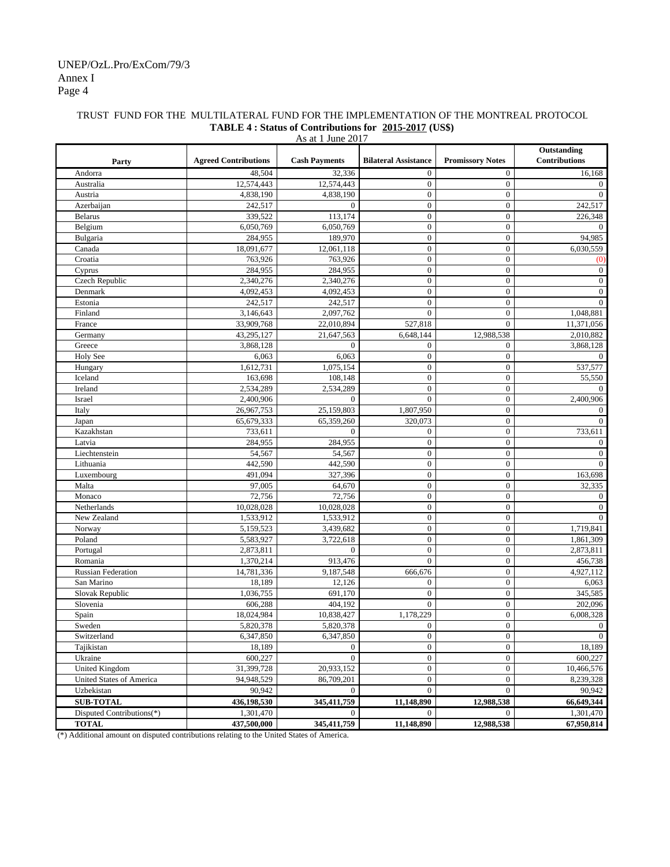#### Annex I Page 4 UNEP/OzL.Pro/ExCom/79/3

#### TRUST FUND FOR THE MULTILATERAL FUND FOR THE IMPLEMENTATION OF THE MONTREAL PROTOCOL **TABLE 4 : Status of Contributions for 2015-2017 (US\$)**

| As at 1 June 2017               |                             |                      |                             |                         |                                     |  |  |
|---------------------------------|-----------------------------|----------------------|-----------------------------|-------------------------|-------------------------------------|--|--|
| Party                           | <b>Agreed Contributions</b> | <b>Cash Payments</b> | <b>Bilateral Assistance</b> | <b>Promissory Notes</b> | Outstanding<br><b>Contributions</b> |  |  |
| Andorra                         | 48,504                      | 32,336               | $\boldsymbol{0}$            | $\mathbf{0}$            | 16,168                              |  |  |
| Australia                       | 12,574,443                  | 12,574,443           | $\boldsymbol{0}$            | $\overline{0}$          | $\overline{0}$                      |  |  |
| Austria                         | 4,838,190                   | 4,838,190            | $\boldsymbol{0}$            | $\mathbf{0}$            | $\Omega$                            |  |  |
| Azerbaijan                      | 242,517                     | $\Omega$             | $\boldsymbol{0}$            | $\overline{0}$          | 242,517                             |  |  |
| <b>Belarus</b>                  | 339,522                     | 113,174              | $\boldsymbol{0}$            | $\boldsymbol{0}$        | 226,348                             |  |  |
| Belgium                         | 6,050,769                   | 6,050,769            | $\boldsymbol{0}$            | $\mathbf{0}$            | $\Omega$                            |  |  |
| Bulgaria                        | 284,955                     | 189,970              | $\boldsymbol{0}$            | $\overline{0}$          | 94,985                              |  |  |
| Canada                          | 18,091,677                  | 12,061,118           | $\boldsymbol{0}$            | $\overline{0}$          | 6,030,559                           |  |  |
| Croatia                         | 763,926                     | 763,926              | $\boldsymbol{0}$            | $\overline{0}$          | (0)                                 |  |  |
| Cyprus                          | 284,955                     | 284,955              | $\boldsymbol{0}$            | $\overline{0}$          | $\mathbf{0}$                        |  |  |
| Czech Republic                  | 2,340,276                   | 2,340,276            | $\boldsymbol{0}$            | $\overline{0}$          | $\mathbf{0}$                        |  |  |
| Denmark                         | 4,092,453                   | 4,092,453            | $\boldsymbol{0}$            | $\overline{0}$          | $\mathbf{0}$                        |  |  |
| Estonia                         | 242,517                     | 242,517              | $\boldsymbol{0}$            | $\overline{0}$          | $\overline{0}$                      |  |  |
| Finland                         | 3,146,643                   | 2,097,762            | $\boldsymbol{0}$            | $\mathbf{0}$            | 1,048,881                           |  |  |
| France                          | 33,909,768                  | 22,010,894           | 527,818                     | $\theta$                | 11,371,056                          |  |  |
| Germany                         | 43,295,127                  | 21,647,563           | 6,648,144                   | 12,988,538              | 2,010,882                           |  |  |
| Greece                          | 3,868,128                   | $\mathbf{0}$         | $\boldsymbol{0}$            | $\boldsymbol{0}$        | 3,868,128                           |  |  |
| Holy See                        | 6,063                       | 6,063                | $\boldsymbol{0}$            | $\overline{0}$          |                                     |  |  |
| Hungary                         | 1,612,731                   | 1,075,154            | $\boldsymbol{0}$            | $\overline{0}$          | 537,577                             |  |  |
| Iceland                         | 163,698                     | 108,148              | $\boldsymbol{0}$            | $\mathbf{0}$            | 55,550                              |  |  |
| Ireland                         | 2,534,289                   | 2,534,289            | $\boldsymbol{0}$            | $\overline{0}$          | 0                                   |  |  |
| Israel                          | 2,400,906                   | $\mathbf{0}$         | $\mathbf{0}$                | $\overline{0}$          | 2,400,906                           |  |  |
| Italy                           | 26,967,753                  | 25,159,803           | 1,807,950                   | $\mathbf{0}$            | $\theta$                            |  |  |
| Japan                           | 65,679,333                  | 65,359,260           | 320,073                     | $\mathbf{0}$            | $\Omega$                            |  |  |
| Kazakhstan                      | 733,611                     | $\mathbf{0}$         | $\boldsymbol{0}$            | $\overline{0}$          | 733,611                             |  |  |
| Latvia                          | 284,955                     | 284,955              | $\boldsymbol{0}$            | $\overline{0}$          | $\Omega$                            |  |  |
| Liechtenstein                   | 54,567                      | 54,567               | $\boldsymbol{0}$            | $\overline{0}$          | $\overline{0}$                      |  |  |
| Lithuania                       | 442,590                     | 442,590              | $\boldsymbol{0}$            | $\mathbf{0}$            | $\Omega$                            |  |  |
| Luxembourg                      | 491,094                     | 327,396              | $\boldsymbol{0}$            | $\overline{0}$          | 163,698                             |  |  |
| Malta                           | 97,005                      | 64,670               | $\boldsymbol{0}$            | $\mathbf{0}$            | 32,335                              |  |  |
| Monaco                          | 72,756                      | 72,756               | $\boldsymbol{0}$            | $\mathbf{0}$            | $\mathbf{0}$                        |  |  |
| Netherlands                     | 10,028,028                  | 10,028,028           | $\boldsymbol{0}$            | $\overline{0}$          | $\boldsymbol{0}$                    |  |  |
| New Zealand                     | 1,533,912                   | 1,533,912            | $\boldsymbol{0}$            | $\overline{0}$          | $\mathbf{0}$                        |  |  |
| Norway                          | 5,159,523                   | 3,439,682            | $\boldsymbol{0}$            | $\mathbf{0}$            | 1,719,841                           |  |  |
| Poland                          | 5,583,927                   | 3,722,618            | $\boldsymbol{0}$            | $\overline{0}$          | 1,861,309                           |  |  |
| Portugal                        | 2,873,811                   | $\mathbf{0}$         | $\boldsymbol{0}$            | $\overline{0}$          | 2,873,811                           |  |  |
| Romania                         | 1,370,214                   | 913,476              | $\overline{0}$              | $\overline{0}$          | 456,738                             |  |  |
| <b>Russian Federation</b>       | 14,781,336                  | 9,187,548            | 666,676                     | $\overline{0}$          | 4,927,112                           |  |  |
| San Marino                      | 18,189                      | 12,126               | $\boldsymbol{0}$            | $\boldsymbol{0}$        | 6,063                               |  |  |
| Slovak Republic                 | 1,036,755                   | 691,170              | $\mathbf{0}$                | $\overline{0}$          | 345,585                             |  |  |
| Slovenia                        | 606,288                     | 404,192              | $\overline{0}$              | $\boldsymbol{0}$        | 202,096                             |  |  |
| Spain                           | 18,024,984                  | 10,838,427           | 1,178,229                   | $\overline{0}$          | 6,008,328                           |  |  |
| Sweden                          | 5,820,378                   | 5,820,378            | $\boldsymbol{0}$            | $\boldsymbol{0}$        | $\boldsymbol{0}$                    |  |  |
| Switzerland                     | 6,347,850                   | 6,347,850            | $\overline{0}$              | $\overline{0}$          | $\mathbf{0}$                        |  |  |
| Tajikistan                      | 18,189                      | $\overline{0}$       | $\mathbf{0}$                | $\overline{0}$          | 18,189                              |  |  |
| Ukraine                         | 600,227                     | $\theta$             | $\boldsymbol{0}$            | $\mathbf{0}$            | 600,227                             |  |  |
| <b>United Kingdom</b>           | 31,399,728                  | 20,933,152           | $\boldsymbol{0}$            | $\overline{0}$          | 10,466,576                          |  |  |
| <b>United States of America</b> | 94,948,529                  | 86,709,201           | $\boldsymbol{0}$            | $\boldsymbol{0}$        | 8,239,328                           |  |  |
| Uzbekistan                      | 90,942                      | $\mathbf{0}$         | $\boldsymbol{0}$            | $\mathbf{0}$            | 90,942                              |  |  |
| <b>SUB-TOTAL</b>                | 436,198,530                 | 345,411,759          | 11,148,890                  | 12,988,538              | 66,649,344                          |  |  |
| Disputed Contributions(*)       | 1,301,470                   | $\overline{0}$       | $\overline{0}$              | $\overline{0}$          | 1,301,470                           |  |  |
| <b>TOTAL</b>                    | 437,500,000                 | 345,411,759          | 11,148,890                  | 12,988,538              | 67,950,814                          |  |  |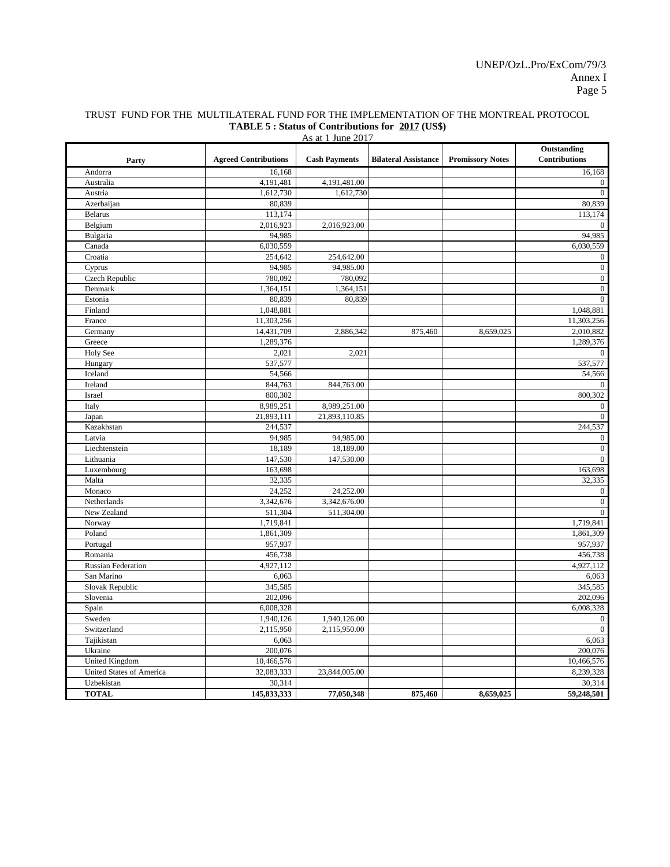| TRUST FUND FOR THE MULTILATERAL FUND FOR THE IMPLEMENTATION OF THE MONTREAL PROTOCOL |  |
|--------------------------------------------------------------------------------------|--|
| <b>TABLE 5: Status of Contributions for 2017 (US\$)</b>                              |  |

| As at 1 June 2017         |                             |                      |                             |                         |                                     |  |  |  |  |
|---------------------------|-----------------------------|----------------------|-----------------------------|-------------------------|-------------------------------------|--|--|--|--|
| Party                     | <b>Agreed Contributions</b> | <b>Cash Payments</b> | <b>Bilateral Assistance</b> | <b>Promissory Notes</b> | Outstanding<br><b>Contributions</b> |  |  |  |  |
| Andorra                   | 16,168                      |                      |                             |                         | 16,168                              |  |  |  |  |
| Australia                 | 4,191,481                   | 4,191,481.00         |                             |                         | $\overline{0}$                      |  |  |  |  |
| Austria                   | 1,612,730                   | 1,612,730            |                             |                         | $\mathbf{0}$                        |  |  |  |  |
| Azerbaijan                | 80,839                      |                      |                             |                         | 80,839                              |  |  |  |  |
| <b>Belarus</b>            | 113,174                     |                      |                             |                         | 113,174                             |  |  |  |  |
| Belgium                   | 2,016,923                   | 2,016,923.00         |                             |                         | $\mathbf{0}$                        |  |  |  |  |
| Bulgaria                  | 94,985                      |                      |                             |                         | 94,985                              |  |  |  |  |
| Canada                    | 6,030,559                   |                      |                             |                         | 6,030,559                           |  |  |  |  |
| Croatia                   | 254,642                     | 254,642.00           |                             |                         | $\mathbf{0}$                        |  |  |  |  |
| Cyprus                    | 94,985                      | 94,985.00            |                             |                         | $\mathbf{0}$                        |  |  |  |  |
| Czech Republic            | 780,092                     | 780,092              |                             |                         | $\mathbf{0}$                        |  |  |  |  |
| Denmark                   | 1,364,151                   | 1,364,151            |                             |                         | $\boldsymbol{0}$                    |  |  |  |  |
| Estonia                   | 80,839                      | 80,839               |                             |                         | $\mathbf{0}$                        |  |  |  |  |
| Finland                   | 1,048,881                   |                      |                             |                         | 1,048,881                           |  |  |  |  |
| France                    | 11,303,256                  |                      |                             |                         | 11,303,256                          |  |  |  |  |
| Germany                   | 14,431,709                  | 2,886,342            | 875,460                     | 8,659,025               | 2,010,882                           |  |  |  |  |
| Greece                    | 1,289,376                   |                      |                             |                         | 1,289,376                           |  |  |  |  |
| Holy See                  | 2,021                       | 2,021                |                             |                         | $\mathbf{0}$                        |  |  |  |  |
| Hungary                   | 537,577                     |                      |                             |                         | 537,577                             |  |  |  |  |
| Iceland                   | 54,566                      |                      |                             |                         | 54,566                              |  |  |  |  |
| Ireland                   | 844,763                     | 844,763.00           |                             |                         | $\Omega$                            |  |  |  |  |
| Israel                    | 800,302                     |                      |                             |                         | 800,302                             |  |  |  |  |
| Italy                     | 8,989,251                   | 8,989,251.00         |                             |                         | $\mathbf{0}$                        |  |  |  |  |
| Japan                     | 21,893,111                  | 21,893,110.85        |                             |                         | $\overline{0}$                      |  |  |  |  |
| Kazakhstan                | 244,537                     |                      |                             |                         | 244,537                             |  |  |  |  |
| Latvia                    | 94,985                      | 94,985.00            |                             |                         | $\mathbf{0}$                        |  |  |  |  |
| Liechtenstein             | 18,189                      | 18,189.00            |                             |                         | $\mathbf{0}$                        |  |  |  |  |
| Lithuania                 | 147,530                     | 147,530.00           |                             |                         | $\mathbf{0}$                        |  |  |  |  |
| Luxembourg                | 163,698                     |                      |                             |                         | 163,698                             |  |  |  |  |
| Malta                     | 32,335                      |                      |                             |                         | 32,335                              |  |  |  |  |
| Monaco                    | 24,252                      | 24,252.00            |                             |                         | $\boldsymbol{0}$                    |  |  |  |  |
| Netherlands               | 3,342,676                   | 3,342,676.00         |                             |                         | $\mathbf{0}$                        |  |  |  |  |
| New Zealand               | 511,304                     | 511,304.00           |                             |                         | $\mathbf{0}$                        |  |  |  |  |
| Norway                    | 1,719,841                   |                      |                             |                         | 1,719,841                           |  |  |  |  |
| Poland                    | 1,861,309                   |                      |                             |                         | 1,861,309                           |  |  |  |  |
| Portugal                  | 957,937                     |                      |                             |                         | 957,937                             |  |  |  |  |
| Romania                   | 456,738                     |                      |                             |                         | 456,738                             |  |  |  |  |
| <b>Russian Federation</b> | 4,927,112                   |                      |                             |                         | 4,927,112                           |  |  |  |  |
| San Marino                | 6,063                       |                      |                             |                         | 6,063                               |  |  |  |  |
| Slovak Republic           | 345,585                     |                      |                             |                         | 345,585                             |  |  |  |  |
| Slovenia                  | 202,096                     |                      |                             |                         | 202,096                             |  |  |  |  |
| Spain                     | 6,008,328                   |                      |                             |                         | 6,008,328                           |  |  |  |  |
| Sweden                    | 1,940,126                   | 1,940,126.00         |                             |                         | $\mathbf{0}$                        |  |  |  |  |
| Switzerland               | 2,115,950                   | 2,115,950.00         |                             |                         | $\mathbf{0}$                        |  |  |  |  |
| Tajikistan                | 6,063                       |                      |                             |                         | 6,063                               |  |  |  |  |
| Ukraine                   | 200,076                     |                      |                             |                         | 200,076                             |  |  |  |  |
| United Kingdom            | 10,466,576                  |                      |                             |                         | 10,466,576                          |  |  |  |  |
| United States of America  | 32,083,333                  | 23,844,005.00        |                             |                         | 8,239,328                           |  |  |  |  |
| Uzbekistan                | 30,314                      |                      |                             |                         | 30,314                              |  |  |  |  |
| <b>TOTAL</b>              | 145,833,333                 | 77,050,348           | 875,460                     | 8,659,025               | 59,248,501                          |  |  |  |  |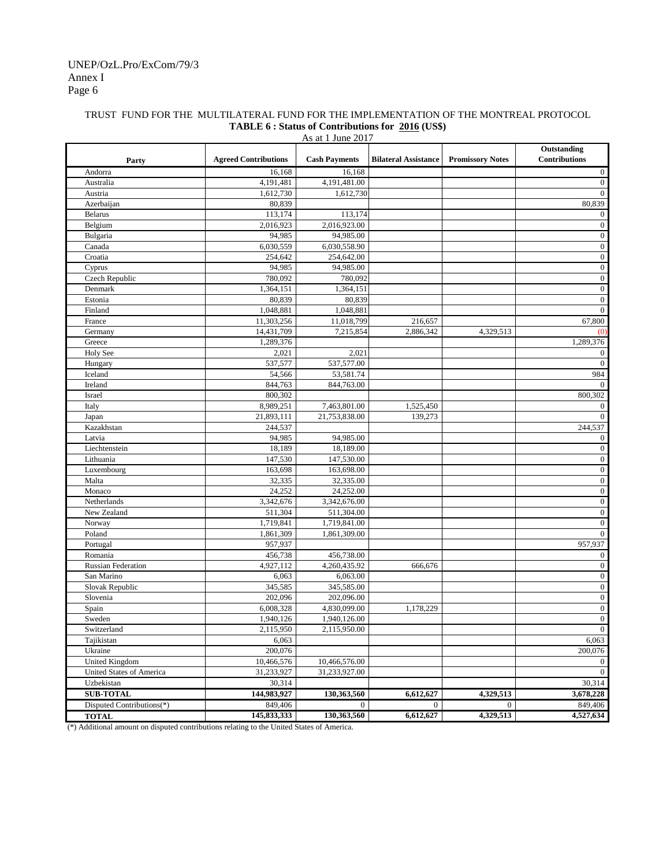#### TRUST FUND FOR THE MULTILATERAL FUND FOR THE IMPLEMENTATION OF THE MONTREAL PROTOCOL **TABLE 6 : Status of Contributions for 2016 (US\$)**

| As at 1 June 2017         |                             |                      |                             |                         |                                     |  |  |  |
|---------------------------|-----------------------------|----------------------|-----------------------------|-------------------------|-------------------------------------|--|--|--|
| Party                     | <b>Agreed Contributions</b> | <b>Cash Payments</b> | <b>Bilateral Assistance</b> | <b>Promissory Notes</b> | Outstanding<br><b>Contributions</b> |  |  |  |
| Andorra                   | 16,168                      | 16,168               |                             |                         | $\mathbf{0}$                        |  |  |  |
| Australia                 | 4,191,481                   | 4,191,481.00         |                             |                         | $\overline{0}$                      |  |  |  |
| Austria                   | 1,612,730                   | 1,612,730            |                             |                         | $\mathbf{0}$                        |  |  |  |
| Azerbaijan                | 80,839                      |                      |                             |                         | 80,839                              |  |  |  |
| <b>Belarus</b>            | 113,174                     | 113,174              |                             |                         | $\boldsymbol{0}$                    |  |  |  |
| Belgium                   | 2,016,923                   | 2,016,923.00         |                             |                         | $\mathbf{0}$                        |  |  |  |
| Bulgaria                  | 94,985                      | 94,985.00            |                             |                         | $\boldsymbol{0}$                    |  |  |  |
| Canada                    | 6,030,559                   | 6,030,558.90         |                             |                         | $\boldsymbol{0}$                    |  |  |  |
| Croatia                   | 254,642                     | 254,642.00           |                             |                         | $\boldsymbol{0}$                    |  |  |  |
| Cyprus                    | 94,985                      | 94,985.00            |                             |                         | $\mathbf{0}$                        |  |  |  |
| Czech Republic            | 780,092                     | 780,092              |                             |                         | $\boldsymbol{0}$                    |  |  |  |
| Denmark                   | 1,364,151                   | 1,364,151            |                             |                         | $\boldsymbol{0}$                    |  |  |  |
| Estonia                   | 80,839                      | 80,839               |                             |                         | $\mathbf{0}$                        |  |  |  |
| Finland                   | 1,048,881                   | 1,048,881            |                             |                         | $\mathbf{0}$                        |  |  |  |
| France                    | 11,303,256                  | 11,018,799           | 216,657                     |                         | 67,800                              |  |  |  |
| Germany                   | 14,431,709                  | 7,215,854            | 2,886,342                   | 4,329,513               | (0)                                 |  |  |  |
| Greece                    | 1,289,376                   |                      |                             |                         | 1,289,376                           |  |  |  |
| Holy See                  | 2,021                       | 2,021                |                             |                         | $\mathbf{0}$                        |  |  |  |
| Hungary                   | 537,577                     | 537,577.00           |                             |                         | $\mathbf{0}$                        |  |  |  |
| Iceland                   | 54,566                      | 53,581.74            |                             |                         | 984                                 |  |  |  |
| Ireland                   | 844,763                     | 844,763.00           |                             |                         | $\overline{0}$                      |  |  |  |
| Israel                    | 800,302                     |                      |                             |                         | 800,302                             |  |  |  |
| Italy                     | 8,989,251                   | 7,463,801.00         | 1,525,450                   |                         | 0                                   |  |  |  |
| Japan                     | 21,893,111                  | 21,753,838.00        | 139,273                     |                         | $\mathbf{0}$                        |  |  |  |
| Kazakhstan                | 244,537                     |                      |                             |                         | 244,537                             |  |  |  |
| Latvia                    | 94,985                      | 94,985.00            |                             |                         | $\boldsymbol{0}$                    |  |  |  |
| Liechtenstein             | 18,189                      | 18,189.00            |                             |                         | $\boldsymbol{0}$                    |  |  |  |
| Lithuania                 | 147,530                     | 147,530.00           |                             |                         | $\boldsymbol{0}$                    |  |  |  |
| Luxembourg                | 163,698                     | 163,698.00           |                             |                         | $\mathbf{0}$                        |  |  |  |
| Malta                     | 32,335                      | 32,335.00            |                             |                         | $\boldsymbol{0}$                    |  |  |  |
| Monaco                    | 24,252                      | 24,252.00            |                             |                         | $\boldsymbol{0}$                    |  |  |  |
| Netherlands               | 3,342,676                   | 3,342,676.00         |                             |                         | $\boldsymbol{0}$                    |  |  |  |
| New Zealand               | 511,304                     | 511,304.00           |                             |                         | $\boldsymbol{0}$                    |  |  |  |
| Norway                    | 1,719,841                   | 1,719,841.00         |                             |                         | $\boldsymbol{0}$                    |  |  |  |
| Poland                    | 1,861,309                   | 1,861,309.00         |                             |                         | $\mathbf{0}$                        |  |  |  |
| Portugal                  | 957,937                     |                      |                             |                         | 957,937                             |  |  |  |
| Romania                   | 456,738                     | 456,738.00           |                             |                         | $\boldsymbol{0}$                    |  |  |  |
| Russian Federation        | 4,927,112                   | 4,260,435.92         | 666,676                     |                         | $\boldsymbol{0}$                    |  |  |  |
| San Marino                | 6,063                       | 6,063.00             |                             |                         | $\mathbf{0}$                        |  |  |  |
| Slovak Republic           | 345,585                     | 345,585.00           |                             |                         | $\boldsymbol{0}$                    |  |  |  |
| Slovenia                  | 202,096                     | 202,096.00           |                             |                         | $\boldsymbol{0}$                    |  |  |  |
| Spain                     | 6,008,328                   | 4,830,099.00         | 1,178,229                   |                         | $\boldsymbol{0}$                    |  |  |  |
| Sweden                    | 1,940,126                   | 1,940,126.00         |                             |                         | $\overline{0}$                      |  |  |  |
| Switzerland               | 2,115,950                   | 2,115,950.00         |                             |                         | $\boldsymbol{0}$                    |  |  |  |
| Tajikistan                | 6,063                       |                      |                             |                         | 6,063                               |  |  |  |
| Ukraine                   | 200,076                     |                      |                             |                         | 200,076                             |  |  |  |
| <b>United Kingdom</b>     | 10,466,576                  | 10,466,576.00        |                             |                         | $\mathbf{0}$                        |  |  |  |
| United States of America  | 31,233,927                  | 31,233,927.00        |                             |                         | $\mathbf{0}$                        |  |  |  |
| Uzbekistan                | 30,314                      |                      |                             |                         | 30,314                              |  |  |  |
| <b>SUB-TOTAL</b>          | 144,983,927                 | 130,363,560          | 6,612,627                   | 4,329,513               | 3,678,228                           |  |  |  |
| Disputed Contributions(*) | 849,406                     | $\overline{0}$       | $\overline{0}$              | $\overline{0}$          | 849,406                             |  |  |  |
| <b>TOTAL</b>              | 145,833,333                 | 130,363,560          | 6,612,627                   | 4,329,513               | 4,527,634                           |  |  |  |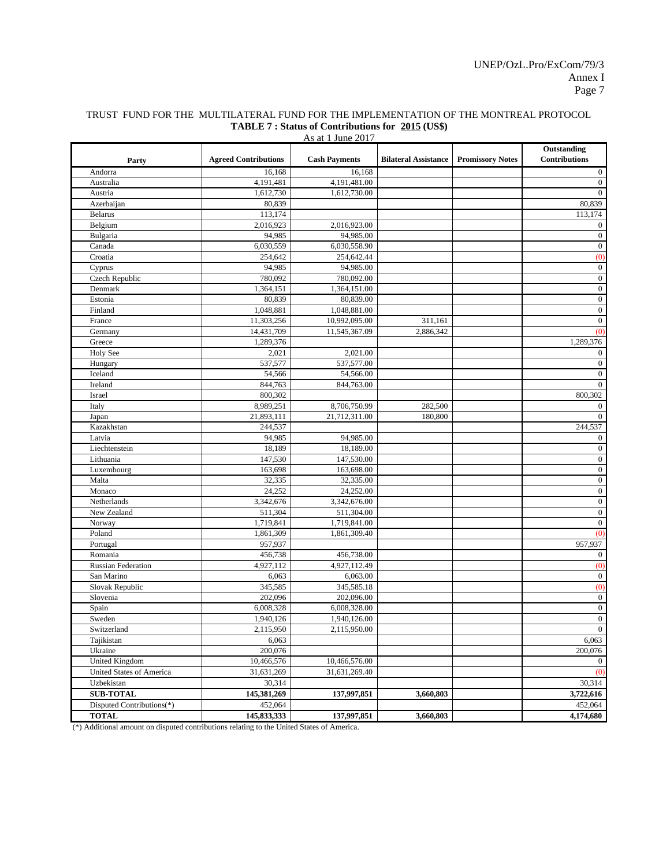| As at 1 June 2017         |                             |                      |                             |                         |                              |  |  |
|---------------------------|-----------------------------|----------------------|-----------------------------|-------------------------|------------------------------|--|--|
| Party                     | <b>Agreed Contributions</b> | <b>Cash Payments</b> | <b>Bilateral Assistance</b> | <b>Promissory Notes</b> | Outstanding<br>Contributions |  |  |
| Andorra                   | 16,168                      | 16,168               |                             |                         | $\boldsymbol{0}$             |  |  |
| Australia                 | 4,191,481                   | 4,191,481.00         |                             |                         | $\boldsymbol{0}$             |  |  |
| Austria                   | 1,612,730                   | 1,612,730.00         |                             |                         | $\boldsymbol{0}$             |  |  |
| Azerbaijan                | 80,839                      |                      |                             |                         | 80,839                       |  |  |
| <b>Belarus</b>            | 113,174                     |                      |                             |                         | 113,174                      |  |  |
| Belgium                   | 2,016,923                   | 2,016,923.00         |                             |                         | $\boldsymbol{0}$             |  |  |
| Bulgaria                  | 94,985                      | 94,985.00            |                             |                         | $\boldsymbol{0}$             |  |  |
| Canada                    | 6,030,559                   | 6,030,558.90         |                             |                         | $\boldsymbol{0}$             |  |  |
| Croatia                   | 254,642                     | 254,642.44           |                             |                         | (0)                          |  |  |
| Cyprus                    | 94,985                      | 94,985.00            |                             |                         | $\boldsymbol{0}$             |  |  |
| Czech Republic            | 780,092                     | 780,092.00           |                             |                         | $\boldsymbol{0}$             |  |  |
| Denmark                   | 1,364,151                   | 1,364,151.00         |                             |                         | $\boldsymbol{0}$             |  |  |
| Estonia                   | 80,839                      | 80,839.00            |                             |                         | $\boldsymbol{0}$             |  |  |
| Finland                   | 1,048,881                   | 1,048,881.00         |                             |                         | $\boldsymbol{0}$             |  |  |
| France                    | 11,303,256                  | 10,992,095.00        | 311,161                     |                         | $\boldsymbol{0}$             |  |  |
| Germany                   | 14,431,709                  | 11,545,367.09        | 2,886,342                   |                         | (0)                          |  |  |
| Greece                    | 1,289,376                   |                      |                             |                         | 1,289,376                    |  |  |
| Holy See                  | 2,021                       | 2,021.00             |                             |                         | $\boldsymbol{0}$             |  |  |
| Hungary                   | 537,577                     | 537,577.00           |                             |                         | $\boldsymbol{0}$             |  |  |
| Iceland                   | 54,566                      | 54,566.00            |                             |                         | $\boldsymbol{0}$             |  |  |
| Ireland                   | 844,763                     | 844,763.00           |                             |                         | $\boldsymbol{0}$             |  |  |
| Israel                    | 800,302                     |                      |                             |                         | 800,302                      |  |  |
| Italy                     | 8,989,251                   | 8,706,750.99         | 282,500                     |                         | $\mathbf{0}$                 |  |  |
| Japan                     | 21,893,111                  | 21,712,311.00        | 180,800                     |                         | $\boldsymbol{0}$             |  |  |
| Kazakhstan                | 244,537                     |                      |                             |                         | 244,537                      |  |  |
| Latvia                    | 94,985                      | 94,985.00            |                             |                         | $\boldsymbol{0}$             |  |  |
| Liechtenstein             | 18,189                      | 18,189.00            |                             |                         | $\boldsymbol{0}$             |  |  |
| Lithuania                 | 147,530                     | 147,530.00           |                             |                         | $\boldsymbol{0}$             |  |  |
| Luxembourg                | 163,698                     | 163,698.00           |                             |                         | $\boldsymbol{0}$             |  |  |
| Malta                     | 32,335                      | 32,335.00            |                             |                         | $\boldsymbol{0}$             |  |  |
| Monaco                    | 24,252                      | 24,252.00            |                             |                         | $\boldsymbol{0}$             |  |  |
| Netherlands               | 3,342,676                   | 3,342,676.00         |                             |                         | $\boldsymbol{0}$             |  |  |
| New Zealand               | 511,304                     | 511,304.00           |                             |                         | $\boldsymbol{0}$             |  |  |
| Norway                    | 1,719,841                   | 1,719,841.00         |                             |                         | $\mathbf{0}$                 |  |  |
| Poland                    | 1,861,309                   | 1,861,309.40         |                             |                         | (0)                          |  |  |
| Portugal                  | 957,937                     |                      |                             |                         | 957,937                      |  |  |
| Romania                   | 456,738                     | 456,738.00           |                             |                         | $\boldsymbol{0}$             |  |  |
| <b>Russian Federation</b> | 4,927,112                   | 4,927,112.49         |                             |                         | (0)                          |  |  |
| San Marino                | 6,063                       | 6,063.00             |                             |                         | $\mathbf{0}$                 |  |  |
| Slovak Republic           | 345,585                     | 345,585.18           |                             |                         | (0)                          |  |  |
| Slovenia                  | 202,096                     | 202,096.00           |                             |                         | $\boldsymbol{0}$             |  |  |
| Spain                     | 6,008,328                   | 6,008,328.00         |                             |                         | $\boldsymbol{0}$             |  |  |
| Sweden                    | 1,940,126                   | 1,940,126.00         |                             |                         | $\boldsymbol{0}$             |  |  |
| Switzerland               | 2,115,950                   | 2,115,950.00         |                             |                         | $\overline{0}$               |  |  |
| Tajikistan                | 6,063                       |                      |                             |                         | 6,063                        |  |  |
| Ukraine                   | 200,076                     |                      |                             |                         | 200,076                      |  |  |
| United Kingdom            | 10,466,576                  | 10,466,576.00        |                             |                         | $\mathbf{0}$                 |  |  |
| United States of America  | 31,631,269                  | 31,631,269.40        |                             |                         | (0)                          |  |  |
| Uzbekistan                | 30,314                      |                      |                             |                         | 30,314                       |  |  |
| <b>SUB-TOTAL</b>          | 145,381,269                 | 137,997,851          | 3,660,803                   |                         | 3,722,616                    |  |  |
| Disputed Contributions(*) | 452,064                     |                      |                             |                         | 452,064                      |  |  |
| <b>TOTAL</b>              | 145,833,333                 | 137,997,851          | 3,660,803                   |                         | 4,174,680                    |  |  |
| $4.1122 - 1$              |                             |                      |                             |                         |                              |  |  |

#### TRUST FUND FOR THE MULTILATERAL FUND FOR THE IMPLEMENTATION OF THE MONTREAL PROTOCOL **TABLE 7 : Status of Contributions for 2015 (US\$)**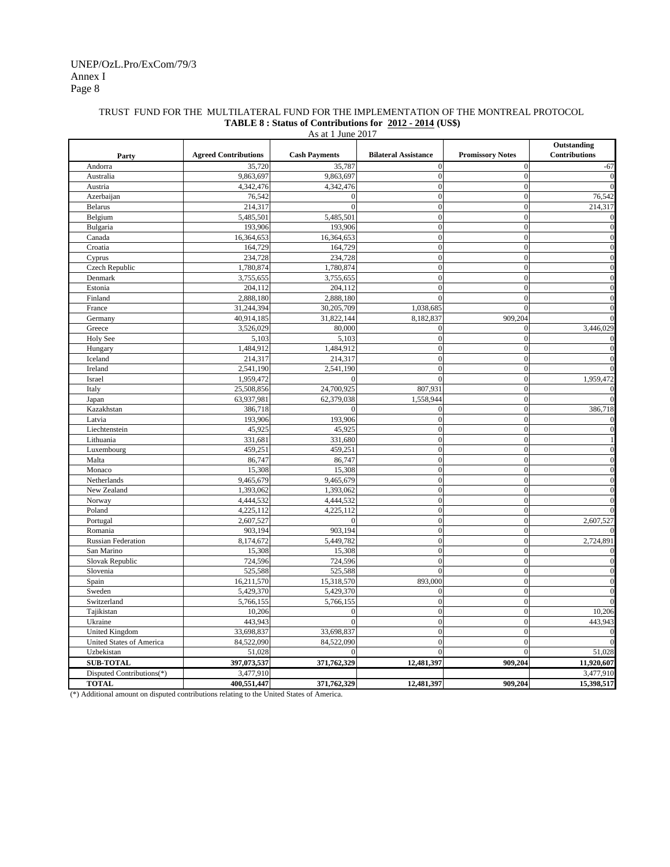#### TRUST FUND FOR THE MULTILATERAL FUND FOR THE IMPLEMENTATION OF THE MONTREAL PROTOCOL **TABLE 8 : Status of Contributions for 2012 - 2014 (US\$)**

| Outstanding<br><b>Cash Payments</b><br>Contributions<br><b>Agreed Contributions</b><br><b>Bilateral Assistance</b><br><b>Promissory Notes</b><br>Party<br>Andorra<br>35,720<br>35,787<br>$\boldsymbol{0}$<br>$\bf{0}$<br>$-67$<br>9,863,697<br>9,863,697<br>$\mathbf{0}$<br>$\mathbf{0}$<br>Australia<br>$\boldsymbol{0}$<br>4,342,476<br>4,342,476<br>$\mathbf{0}$<br>Austria<br>$\boldsymbol{0}$<br>76,542<br>$\mathbf{0}$<br>76,542<br>Azerbaijan<br>214,317<br>$\boldsymbol{0}$<br>$\boldsymbol{0}$<br>214,317<br><b>Belarus</b><br>$\Omega$<br>$\boldsymbol{0}$<br>5,485,501<br>5,485,501<br>$\mathbf{0}$<br>Belgium<br>Bulgaria<br>193,906<br>193,906<br>$\mathbf{0}$<br>$\boldsymbol{0}$<br>$\Omega$<br>$\boldsymbol{0}$<br>Canada<br>16,364,653<br>$\mathbf{0}$<br>16,364,653<br>$\overline{0}$<br>$\overline{0}$<br>164,729<br>Croatia<br>164,729<br>234,728<br>234,728<br>$\overline{0}$<br>$\overline{0}$<br>Cyprus<br>$\Omega$<br>$\overline{0}$<br>$\overline{0}$<br><b>Czech Republic</b><br>1,780,874<br>1,780,874<br>$\theta$<br>$\overline{0}$<br>Denmark<br>3,755,655<br>3,755,655<br>204,112<br>204,112<br>$\overline{0}$<br>Estonia<br>$\mathbf{0}$<br>2,888,180<br>$\theta$<br>$\overline{0}$<br>Finland<br>2,888,180<br>31,244,394<br>30,205,709<br>1,038,685<br>$\overline{0}$<br>France<br>40,914,185<br>31,822,144<br>8,182,837<br>909,204<br>Germany<br>3,526,029<br>80,000<br>$\boldsymbol{0}$<br>3,446,029<br>Greece<br>$\Omega$<br>Holy See<br>5,103<br>$\boldsymbol{0}$<br>$\boldsymbol{0}$<br>5,103<br>Hungary<br>1,484,912<br>1,484,912<br>$\boldsymbol{0}$<br>$\boldsymbol{0}$<br>$\boldsymbol{0}$<br>Iceland<br>214,317<br>$\mathbf{0}$<br>214,317<br>$\boldsymbol{0}$<br>2,541,190<br>2,541,190<br>$\overline{0}$<br>Ireland<br>Israel<br>1,959,472<br>$\mathbf{0}$<br>$\mathbf{0}$<br>1,959,472<br>$\Omega$<br>$\boldsymbol{0}$<br>Italy<br>25,508,856<br>24,700,925<br>807,931<br>63,937,981<br>1,558,944<br>$\overline{0}$<br>62,379,038<br>Japan<br>Kazakhstan<br>$\boldsymbol{0}$<br>386,718<br>386,718<br>$\Omega$<br>$\overline{0}$<br>193,906<br>193,906<br>$\boldsymbol{0}$<br>Latvia<br>$\mathbf{0}$<br>$\mathbf{0}$<br>Liechtenstein<br>45,925<br>45,925<br>$\mathbf{0}$<br>$\overline{0}$<br>$\boldsymbol{0}$<br>Lithuania<br>331,681<br>331,680<br>459,251<br>$\overline{0}$<br>$\mathbf{0}$<br>Luxembourg<br>459,251<br>$\mathbf{0}$<br>Malta<br>86,747<br>86,747<br>$\mathbf{0}$<br>15,308<br>15,308<br>$\overline{0}$<br>$\mathbf{0}$<br>Monaco<br>$\theta$<br>9,465,679<br>$\theta$<br>Netherlands<br>9,465,679<br>1,393,062<br>1,393,062<br>$\overline{0}$<br>$\mathbf{0}$<br>New Zealand<br>$\mathbf{0}$<br>$\mathbf{0}$<br>Norway<br>4,444,532<br>4,444,532<br>Poland<br>4,225,112<br>4,225,112<br>$\boldsymbol{0}$<br>$\boldsymbol{0}$<br>$\boldsymbol{0}$<br>Portugal<br>2,607,527<br>$\boldsymbol{0}$<br>2,607,527<br>$\Omega$<br>$\overline{0}$<br>$\boldsymbol{0}$<br>903,194<br>903,194<br>Romania<br>$\boldsymbol{0}$<br>$\boldsymbol{0}$<br>8,174,672<br>5,449,782<br>2,724,891<br><b>Russian Federation</b><br>$\mathbf{0}$<br>$\boldsymbol{0}$<br>San Marino<br>15,308<br>15,308<br>$\boldsymbol{0}$<br>724,596<br>724,596<br>$\mathbf{0}$<br>Slovak Republic<br>$\Omega$<br>525,588<br>525,588<br>$\theta$<br>$\boldsymbol{0}$<br>Slovenia<br>15,318,570<br>893,000<br>$\mathbf{0}$<br>Spain<br>16,211,570<br>$\mathbf{0}$<br>5,429,370<br>5,429,370<br>Sweden<br>$\mathbf{0}$<br>$\boldsymbol{0}$<br>Switzerland<br>5,766,155<br>5,766,155<br>$\overline{0}$<br>Tajikistan<br>10,206<br>$\mathbf{0}$<br>$\boldsymbol{0}$<br>10,206<br>$\theta$<br>Ukraine<br>443,943<br>$\overline{0}$<br>$\overline{0}$<br>443,943<br>$\Omega$<br>33,698,837<br>33,698,837<br>$\overline{0}$<br>$\overline{0}$<br><b>United Kingdom</b><br>84,522,090<br>$\overline{0}$<br>$\overline{0}$<br>United States of America<br>84,522,090<br>$\theta$<br>$\theta$<br>Uzbekistan<br>51,028<br>51,028<br>$\Omega$<br>397,073,537<br>11,920,607<br><b>SUB-TOTAL</b><br>371,762,329<br>12,481,397<br>909,204<br>Disputed Contributions(*)<br>3,477,910<br>3,477,910 | As at 1 June 2017 |  |  |  |  |            |  |  |  |
|---------------------------------------------------------------------------------------------------------------------------------------------------------------------------------------------------------------------------------------------------------------------------------------------------------------------------------------------------------------------------------------------------------------------------------------------------------------------------------------------------------------------------------------------------------------------------------------------------------------------------------------------------------------------------------------------------------------------------------------------------------------------------------------------------------------------------------------------------------------------------------------------------------------------------------------------------------------------------------------------------------------------------------------------------------------------------------------------------------------------------------------------------------------------------------------------------------------------------------------------------------------------------------------------------------------------------------------------------------------------------------------------------------------------------------------------------------------------------------------------------------------------------------------------------------------------------------------------------------------------------------------------------------------------------------------------------------------------------------------------------------------------------------------------------------------------------------------------------------------------------------------------------------------------------------------------------------------------------------------------------------------------------------------------------------------------------------------------------------------------------------------------------------------------------------------------------------------------------------------------------------------------------------------------------------------------------------------------------------------------------------------------------------------------------------------------------------------------------------------------------------------------------------------------------------------------------------------------------------------------------------------------------------------------------------------------------------------------------------------------------------------------------------------------------------------------------------------------------------------------------------------------------------------------------------------------------------------------------------------------------------------------------------------------------------------------------------------------------------------------------------------------------------------------------------------------------------------------------------------------------------------------------------------------------------------------------------------------------------------------------------------------------------------------------------------------------------------------------------------------------------------------------------------------------------------------------------------------------------------------------------------------------------------------------------------------------------------------------------------------------------------------------------------------------------------------------------------------------------------------------------------------------------------------------------------------------------------------------------------------------------------------------------------------------------------------------------------------------------------|-------------------|--|--|--|--|------------|--|--|--|
|                                                                                                                                                                                                                                                                                                                                                                                                                                                                                                                                                                                                                                                                                                                                                                                                                                                                                                                                                                                                                                                                                                                                                                                                                                                                                                                                                                                                                                                                                                                                                                                                                                                                                                                                                                                                                                                                                                                                                                                                                                                                                                                                                                                                                                                                                                                                                                                                                                                                                                                                                                                                                                                                                                                                                                                                                                                                                                                                                                                                                                                                                                                                                                                                                                                                                                                                                                                                                                                                                                                                                                                                                                                                                                                                                                                                                                                                                                                                                                                                                                                                                                               |                   |  |  |  |  |            |  |  |  |
|                                                                                                                                                                                                                                                                                                                                                                                                                                                                                                                                                                                                                                                                                                                                                                                                                                                                                                                                                                                                                                                                                                                                                                                                                                                                                                                                                                                                                                                                                                                                                                                                                                                                                                                                                                                                                                                                                                                                                                                                                                                                                                                                                                                                                                                                                                                                                                                                                                                                                                                                                                                                                                                                                                                                                                                                                                                                                                                                                                                                                                                                                                                                                                                                                                                                                                                                                                                                                                                                                                                                                                                                                                                                                                                                                                                                                                                                                                                                                                                                                                                                                                               |                   |  |  |  |  |            |  |  |  |
|                                                                                                                                                                                                                                                                                                                                                                                                                                                                                                                                                                                                                                                                                                                                                                                                                                                                                                                                                                                                                                                                                                                                                                                                                                                                                                                                                                                                                                                                                                                                                                                                                                                                                                                                                                                                                                                                                                                                                                                                                                                                                                                                                                                                                                                                                                                                                                                                                                                                                                                                                                                                                                                                                                                                                                                                                                                                                                                                                                                                                                                                                                                                                                                                                                                                                                                                                                                                                                                                                                                                                                                                                                                                                                                                                                                                                                                                                                                                                                                                                                                                                                               |                   |  |  |  |  | $\theta$   |  |  |  |
|                                                                                                                                                                                                                                                                                                                                                                                                                                                                                                                                                                                                                                                                                                                                                                                                                                                                                                                                                                                                                                                                                                                                                                                                                                                                                                                                                                                                                                                                                                                                                                                                                                                                                                                                                                                                                                                                                                                                                                                                                                                                                                                                                                                                                                                                                                                                                                                                                                                                                                                                                                                                                                                                                                                                                                                                                                                                                                                                                                                                                                                                                                                                                                                                                                                                                                                                                                                                                                                                                                                                                                                                                                                                                                                                                                                                                                                                                                                                                                                                                                                                                                               |                   |  |  |  |  |            |  |  |  |
|                                                                                                                                                                                                                                                                                                                                                                                                                                                                                                                                                                                                                                                                                                                                                                                                                                                                                                                                                                                                                                                                                                                                                                                                                                                                                                                                                                                                                                                                                                                                                                                                                                                                                                                                                                                                                                                                                                                                                                                                                                                                                                                                                                                                                                                                                                                                                                                                                                                                                                                                                                                                                                                                                                                                                                                                                                                                                                                                                                                                                                                                                                                                                                                                                                                                                                                                                                                                                                                                                                                                                                                                                                                                                                                                                                                                                                                                                                                                                                                                                                                                                                               |                   |  |  |  |  |            |  |  |  |
|                                                                                                                                                                                                                                                                                                                                                                                                                                                                                                                                                                                                                                                                                                                                                                                                                                                                                                                                                                                                                                                                                                                                                                                                                                                                                                                                                                                                                                                                                                                                                                                                                                                                                                                                                                                                                                                                                                                                                                                                                                                                                                                                                                                                                                                                                                                                                                                                                                                                                                                                                                                                                                                                                                                                                                                                                                                                                                                                                                                                                                                                                                                                                                                                                                                                                                                                                                                                                                                                                                                                                                                                                                                                                                                                                                                                                                                                                                                                                                                                                                                                                                               |                   |  |  |  |  |            |  |  |  |
|                                                                                                                                                                                                                                                                                                                                                                                                                                                                                                                                                                                                                                                                                                                                                                                                                                                                                                                                                                                                                                                                                                                                                                                                                                                                                                                                                                                                                                                                                                                                                                                                                                                                                                                                                                                                                                                                                                                                                                                                                                                                                                                                                                                                                                                                                                                                                                                                                                                                                                                                                                                                                                                                                                                                                                                                                                                                                                                                                                                                                                                                                                                                                                                                                                                                                                                                                                                                                                                                                                                                                                                                                                                                                                                                                                                                                                                                                                                                                                                                                                                                                                               |                   |  |  |  |  |            |  |  |  |
|                                                                                                                                                                                                                                                                                                                                                                                                                                                                                                                                                                                                                                                                                                                                                                                                                                                                                                                                                                                                                                                                                                                                                                                                                                                                                                                                                                                                                                                                                                                                                                                                                                                                                                                                                                                                                                                                                                                                                                                                                                                                                                                                                                                                                                                                                                                                                                                                                                                                                                                                                                                                                                                                                                                                                                                                                                                                                                                                                                                                                                                                                                                                                                                                                                                                                                                                                                                                                                                                                                                                                                                                                                                                                                                                                                                                                                                                                                                                                                                                                                                                                                               |                   |  |  |  |  |            |  |  |  |
|                                                                                                                                                                                                                                                                                                                                                                                                                                                                                                                                                                                                                                                                                                                                                                                                                                                                                                                                                                                                                                                                                                                                                                                                                                                                                                                                                                                                                                                                                                                                                                                                                                                                                                                                                                                                                                                                                                                                                                                                                                                                                                                                                                                                                                                                                                                                                                                                                                                                                                                                                                                                                                                                                                                                                                                                                                                                                                                                                                                                                                                                                                                                                                                                                                                                                                                                                                                                                                                                                                                                                                                                                                                                                                                                                                                                                                                                                                                                                                                                                                                                                                               |                   |  |  |  |  |            |  |  |  |
|                                                                                                                                                                                                                                                                                                                                                                                                                                                                                                                                                                                                                                                                                                                                                                                                                                                                                                                                                                                                                                                                                                                                                                                                                                                                                                                                                                                                                                                                                                                                                                                                                                                                                                                                                                                                                                                                                                                                                                                                                                                                                                                                                                                                                                                                                                                                                                                                                                                                                                                                                                                                                                                                                                                                                                                                                                                                                                                                                                                                                                                                                                                                                                                                                                                                                                                                                                                                                                                                                                                                                                                                                                                                                                                                                                                                                                                                                                                                                                                                                                                                                                               |                   |  |  |  |  |            |  |  |  |
|                                                                                                                                                                                                                                                                                                                                                                                                                                                                                                                                                                                                                                                                                                                                                                                                                                                                                                                                                                                                                                                                                                                                                                                                                                                                                                                                                                                                                                                                                                                                                                                                                                                                                                                                                                                                                                                                                                                                                                                                                                                                                                                                                                                                                                                                                                                                                                                                                                                                                                                                                                                                                                                                                                                                                                                                                                                                                                                                                                                                                                                                                                                                                                                                                                                                                                                                                                                                                                                                                                                                                                                                                                                                                                                                                                                                                                                                                                                                                                                                                                                                                                               |                   |  |  |  |  |            |  |  |  |
|                                                                                                                                                                                                                                                                                                                                                                                                                                                                                                                                                                                                                                                                                                                                                                                                                                                                                                                                                                                                                                                                                                                                                                                                                                                                                                                                                                                                                                                                                                                                                                                                                                                                                                                                                                                                                                                                                                                                                                                                                                                                                                                                                                                                                                                                                                                                                                                                                                                                                                                                                                                                                                                                                                                                                                                                                                                                                                                                                                                                                                                                                                                                                                                                                                                                                                                                                                                                                                                                                                                                                                                                                                                                                                                                                                                                                                                                                                                                                                                                                                                                                                               |                   |  |  |  |  |            |  |  |  |
|                                                                                                                                                                                                                                                                                                                                                                                                                                                                                                                                                                                                                                                                                                                                                                                                                                                                                                                                                                                                                                                                                                                                                                                                                                                                                                                                                                                                                                                                                                                                                                                                                                                                                                                                                                                                                                                                                                                                                                                                                                                                                                                                                                                                                                                                                                                                                                                                                                                                                                                                                                                                                                                                                                                                                                                                                                                                                                                                                                                                                                                                                                                                                                                                                                                                                                                                                                                                                                                                                                                                                                                                                                                                                                                                                                                                                                                                                                                                                                                                                                                                                                               |                   |  |  |  |  |            |  |  |  |
|                                                                                                                                                                                                                                                                                                                                                                                                                                                                                                                                                                                                                                                                                                                                                                                                                                                                                                                                                                                                                                                                                                                                                                                                                                                                                                                                                                                                                                                                                                                                                                                                                                                                                                                                                                                                                                                                                                                                                                                                                                                                                                                                                                                                                                                                                                                                                                                                                                                                                                                                                                                                                                                                                                                                                                                                                                                                                                                                                                                                                                                                                                                                                                                                                                                                                                                                                                                                                                                                                                                                                                                                                                                                                                                                                                                                                                                                                                                                                                                                                                                                                                               |                   |  |  |  |  |            |  |  |  |
|                                                                                                                                                                                                                                                                                                                                                                                                                                                                                                                                                                                                                                                                                                                                                                                                                                                                                                                                                                                                                                                                                                                                                                                                                                                                                                                                                                                                                                                                                                                                                                                                                                                                                                                                                                                                                                                                                                                                                                                                                                                                                                                                                                                                                                                                                                                                                                                                                                                                                                                                                                                                                                                                                                                                                                                                                                                                                                                                                                                                                                                                                                                                                                                                                                                                                                                                                                                                                                                                                                                                                                                                                                                                                                                                                                                                                                                                                                                                                                                                                                                                                                               |                   |  |  |  |  |            |  |  |  |
|                                                                                                                                                                                                                                                                                                                                                                                                                                                                                                                                                                                                                                                                                                                                                                                                                                                                                                                                                                                                                                                                                                                                                                                                                                                                                                                                                                                                                                                                                                                                                                                                                                                                                                                                                                                                                                                                                                                                                                                                                                                                                                                                                                                                                                                                                                                                                                                                                                                                                                                                                                                                                                                                                                                                                                                                                                                                                                                                                                                                                                                                                                                                                                                                                                                                                                                                                                                                                                                                                                                                                                                                                                                                                                                                                                                                                                                                                                                                                                                                                                                                                                               |                   |  |  |  |  |            |  |  |  |
|                                                                                                                                                                                                                                                                                                                                                                                                                                                                                                                                                                                                                                                                                                                                                                                                                                                                                                                                                                                                                                                                                                                                                                                                                                                                                                                                                                                                                                                                                                                                                                                                                                                                                                                                                                                                                                                                                                                                                                                                                                                                                                                                                                                                                                                                                                                                                                                                                                                                                                                                                                                                                                                                                                                                                                                                                                                                                                                                                                                                                                                                                                                                                                                                                                                                                                                                                                                                                                                                                                                                                                                                                                                                                                                                                                                                                                                                                                                                                                                                                                                                                                               |                   |  |  |  |  |            |  |  |  |
|                                                                                                                                                                                                                                                                                                                                                                                                                                                                                                                                                                                                                                                                                                                                                                                                                                                                                                                                                                                                                                                                                                                                                                                                                                                                                                                                                                                                                                                                                                                                                                                                                                                                                                                                                                                                                                                                                                                                                                                                                                                                                                                                                                                                                                                                                                                                                                                                                                                                                                                                                                                                                                                                                                                                                                                                                                                                                                                                                                                                                                                                                                                                                                                                                                                                                                                                                                                                                                                                                                                                                                                                                                                                                                                                                                                                                                                                                                                                                                                                                                                                                                               |                   |  |  |  |  |            |  |  |  |
|                                                                                                                                                                                                                                                                                                                                                                                                                                                                                                                                                                                                                                                                                                                                                                                                                                                                                                                                                                                                                                                                                                                                                                                                                                                                                                                                                                                                                                                                                                                                                                                                                                                                                                                                                                                                                                                                                                                                                                                                                                                                                                                                                                                                                                                                                                                                                                                                                                                                                                                                                                                                                                                                                                                                                                                                                                                                                                                                                                                                                                                                                                                                                                                                                                                                                                                                                                                                                                                                                                                                                                                                                                                                                                                                                                                                                                                                                                                                                                                                                                                                                                               |                   |  |  |  |  |            |  |  |  |
|                                                                                                                                                                                                                                                                                                                                                                                                                                                                                                                                                                                                                                                                                                                                                                                                                                                                                                                                                                                                                                                                                                                                                                                                                                                                                                                                                                                                                                                                                                                                                                                                                                                                                                                                                                                                                                                                                                                                                                                                                                                                                                                                                                                                                                                                                                                                                                                                                                                                                                                                                                                                                                                                                                                                                                                                                                                                                                                                                                                                                                                                                                                                                                                                                                                                                                                                                                                                                                                                                                                                                                                                                                                                                                                                                                                                                                                                                                                                                                                                                                                                                                               |                   |  |  |  |  |            |  |  |  |
|                                                                                                                                                                                                                                                                                                                                                                                                                                                                                                                                                                                                                                                                                                                                                                                                                                                                                                                                                                                                                                                                                                                                                                                                                                                                                                                                                                                                                                                                                                                                                                                                                                                                                                                                                                                                                                                                                                                                                                                                                                                                                                                                                                                                                                                                                                                                                                                                                                                                                                                                                                                                                                                                                                                                                                                                                                                                                                                                                                                                                                                                                                                                                                                                                                                                                                                                                                                                                                                                                                                                                                                                                                                                                                                                                                                                                                                                                                                                                                                                                                                                                                               |                   |  |  |  |  |            |  |  |  |
|                                                                                                                                                                                                                                                                                                                                                                                                                                                                                                                                                                                                                                                                                                                                                                                                                                                                                                                                                                                                                                                                                                                                                                                                                                                                                                                                                                                                                                                                                                                                                                                                                                                                                                                                                                                                                                                                                                                                                                                                                                                                                                                                                                                                                                                                                                                                                                                                                                                                                                                                                                                                                                                                                                                                                                                                                                                                                                                                                                                                                                                                                                                                                                                                                                                                                                                                                                                                                                                                                                                                                                                                                                                                                                                                                                                                                                                                                                                                                                                                                                                                                                               |                   |  |  |  |  |            |  |  |  |
|                                                                                                                                                                                                                                                                                                                                                                                                                                                                                                                                                                                                                                                                                                                                                                                                                                                                                                                                                                                                                                                                                                                                                                                                                                                                                                                                                                                                                                                                                                                                                                                                                                                                                                                                                                                                                                                                                                                                                                                                                                                                                                                                                                                                                                                                                                                                                                                                                                                                                                                                                                                                                                                                                                                                                                                                                                                                                                                                                                                                                                                                                                                                                                                                                                                                                                                                                                                                                                                                                                                                                                                                                                                                                                                                                                                                                                                                                                                                                                                                                                                                                                               |                   |  |  |  |  |            |  |  |  |
|                                                                                                                                                                                                                                                                                                                                                                                                                                                                                                                                                                                                                                                                                                                                                                                                                                                                                                                                                                                                                                                                                                                                                                                                                                                                                                                                                                                                                                                                                                                                                                                                                                                                                                                                                                                                                                                                                                                                                                                                                                                                                                                                                                                                                                                                                                                                                                                                                                                                                                                                                                                                                                                                                                                                                                                                                                                                                                                                                                                                                                                                                                                                                                                                                                                                                                                                                                                                                                                                                                                                                                                                                                                                                                                                                                                                                                                                                                                                                                                                                                                                                                               |                   |  |  |  |  |            |  |  |  |
|                                                                                                                                                                                                                                                                                                                                                                                                                                                                                                                                                                                                                                                                                                                                                                                                                                                                                                                                                                                                                                                                                                                                                                                                                                                                                                                                                                                                                                                                                                                                                                                                                                                                                                                                                                                                                                                                                                                                                                                                                                                                                                                                                                                                                                                                                                                                                                                                                                                                                                                                                                                                                                                                                                                                                                                                                                                                                                                                                                                                                                                                                                                                                                                                                                                                                                                                                                                                                                                                                                                                                                                                                                                                                                                                                                                                                                                                                                                                                                                                                                                                                                               |                   |  |  |  |  |            |  |  |  |
|                                                                                                                                                                                                                                                                                                                                                                                                                                                                                                                                                                                                                                                                                                                                                                                                                                                                                                                                                                                                                                                                                                                                                                                                                                                                                                                                                                                                                                                                                                                                                                                                                                                                                                                                                                                                                                                                                                                                                                                                                                                                                                                                                                                                                                                                                                                                                                                                                                                                                                                                                                                                                                                                                                                                                                                                                                                                                                                                                                                                                                                                                                                                                                                                                                                                                                                                                                                                                                                                                                                                                                                                                                                                                                                                                                                                                                                                                                                                                                                                                                                                                                               |                   |  |  |  |  |            |  |  |  |
|                                                                                                                                                                                                                                                                                                                                                                                                                                                                                                                                                                                                                                                                                                                                                                                                                                                                                                                                                                                                                                                                                                                                                                                                                                                                                                                                                                                                                                                                                                                                                                                                                                                                                                                                                                                                                                                                                                                                                                                                                                                                                                                                                                                                                                                                                                                                                                                                                                                                                                                                                                                                                                                                                                                                                                                                                                                                                                                                                                                                                                                                                                                                                                                                                                                                                                                                                                                                                                                                                                                                                                                                                                                                                                                                                                                                                                                                                                                                                                                                                                                                                                               |                   |  |  |  |  |            |  |  |  |
|                                                                                                                                                                                                                                                                                                                                                                                                                                                                                                                                                                                                                                                                                                                                                                                                                                                                                                                                                                                                                                                                                                                                                                                                                                                                                                                                                                                                                                                                                                                                                                                                                                                                                                                                                                                                                                                                                                                                                                                                                                                                                                                                                                                                                                                                                                                                                                                                                                                                                                                                                                                                                                                                                                                                                                                                                                                                                                                                                                                                                                                                                                                                                                                                                                                                                                                                                                                                                                                                                                                                                                                                                                                                                                                                                                                                                                                                                                                                                                                                                                                                                                               |                   |  |  |  |  |            |  |  |  |
|                                                                                                                                                                                                                                                                                                                                                                                                                                                                                                                                                                                                                                                                                                                                                                                                                                                                                                                                                                                                                                                                                                                                                                                                                                                                                                                                                                                                                                                                                                                                                                                                                                                                                                                                                                                                                                                                                                                                                                                                                                                                                                                                                                                                                                                                                                                                                                                                                                                                                                                                                                                                                                                                                                                                                                                                                                                                                                                                                                                                                                                                                                                                                                                                                                                                                                                                                                                                                                                                                                                                                                                                                                                                                                                                                                                                                                                                                                                                                                                                                                                                                                               |                   |  |  |  |  |            |  |  |  |
|                                                                                                                                                                                                                                                                                                                                                                                                                                                                                                                                                                                                                                                                                                                                                                                                                                                                                                                                                                                                                                                                                                                                                                                                                                                                                                                                                                                                                                                                                                                                                                                                                                                                                                                                                                                                                                                                                                                                                                                                                                                                                                                                                                                                                                                                                                                                                                                                                                                                                                                                                                                                                                                                                                                                                                                                                                                                                                                                                                                                                                                                                                                                                                                                                                                                                                                                                                                                                                                                                                                                                                                                                                                                                                                                                                                                                                                                                                                                                                                                                                                                                                               |                   |  |  |  |  |            |  |  |  |
|                                                                                                                                                                                                                                                                                                                                                                                                                                                                                                                                                                                                                                                                                                                                                                                                                                                                                                                                                                                                                                                                                                                                                                                                                                                                                                                                                                                                                                                                                                                                                                                                                                                                                                                                                                                                                                                                                                                                                                                                                                                                                                                                                                                                                                                                                                                                                                                                                                                                                                                                                                                                                                                                                                                                                                                                                                                                                                                                                                                                                                                                                                                                                                                                                                                                                                                                                                                                                                                                                                                                                                                                                                                                                                                                                                                                                                                                                                                                                                                                                                                                                                               |                   |  |  |  |  |            |  |  |  |
|                                                                                                                                                                                                                                                                                                                                                                                                                                                                                                                                                                                                                                                                                                                                                                                                                                                                                                                                                                                                                                                                                                                                                                                                                                                                                                                                                                                                                                                                                                                                                                                                                                                                                                                                                                                                                                                                                                                                                                                                                                                                                                                                                                                                                                                                                                                                                                                                                                                                                                                                                                                                                                                                                                                                                                                                                                                                                                                                                                                                                                                                                                                                                                                                                                                                                                                                                                                                                                                                                                                                                                                                                                                                                                                                                                                                                                                                                                                                                                                                                                                                                                               |                   |  |  |  |  |            |  |  |  |
|                                                                                                                                                                                                                                                                                                                                                                                                                                                                                                                                                                                                                                                                                                                                                                                                                                                                                                                                                                                                                                                                                                                                                                                                                                                                                                                                                                                                                                                                                                                                                                                                                                                                                                                                                                                                                                                                                                                                                                                                                                                                                                                                                                                                                                                                                                                                                                                                                                                                                                                                                                                                                                                                                                                                                                                                                                                                                                                                                                                                                                                                                                                                                                                                                                                                                                                                                                                                                                                                                                                                                                                                                                                                                                                                                                                                                                                                                                                                                                                                                                                                                                               |                   |  |  |  |  |            |  |  |  |
|                                                                                                                                                                                                                                                                                                                                                                                                                                                                                                                                                                                                                                                                                                                                                                                                                                                                                                                                                                                                                                                                                                                                                                                                                                                                                                                                                                                                                                                                                                                                                                                                                                                                                                                                                                                                                                                                                                                                                                                                                                                                                                                                                                                                                                                                                                                                                                                                                                                                                                                                                                                                                                                                                                                                                                                                                                                                                                                                                                                                                                                                                                                                                                                                                                                                                                                                                                                                                                                                                                                                                                                                                                                                                                                                                                                                                                                                                                                                                                                                                                                                                                               |                   |  |  |  |  |            |  |  |  |
|                                                                                                                                                                                                                                                                                                                                                                                                                                                                                                                                                                                                                                                                                                                                                                                                                                                                                                                                                                                                                                                                                                                                                                                                                                                                                                                                                                                                                                                                                                                                                                                                                                                                                                                                                                                                                                                                                                                                                                                                                                                                                                                                                                                                                                                                                                                                                                                                                                                                                                                                                                                                                                                                                                                                                                                                                                                                                                                                                                                                                                                                                                                                                                                                                                                                                                                                                                                                                                                                                                                                                                                                                                                                                                                                                                                                                                                                                                                                                                                                                                                                                                               |                   |  |  |  |  |            |  |  |  |
|                                                                                                                                                                                                                                                                                                                                                                                                                                                                                                                                                                                                                                                                                                                                                                                                                                                                                                                                                                                                                                                                                                                                                                                                                                                                                                                                                                                                                                                                                                                                                                                                                                                                                                                                                                                                                                                                                                                                                                                                                                                                                                                                                                                                                                                                                                                                                                                                                                                                                                                                                                                                                                                                                                                                                                                                                                                                                                                                                                                                                                                                                                                                                                                                                                                                                                                                                                                                                                                                                                                                                                                                                                                                                                                                                                                                                                                                                                                                                                                                                                                                                                               |                   |  |  |  |  |            |  |  |  |
|                                                                                                                                                                                                                                                                                                                                                                                                                                                                                                                                                                                                                                                                                                                                                                                                                                                                                                                                                                                                                                                                                                                                                                                                                                                                                                                                                                                                                                                                                                                                                                                                                                                                                                                                                                                                                                                                                                                                                                                                                                                                                                                                                                                                                                                                                                                                                                                                                                                                                                                                                                                                                                                                                                                                                                                                                                                                                                                                                                                                                                                                                                                                                                                                                                                                                                                                                                                                                                                                                                                                                                                                                                                                                                                                                                                                                                                                                                                                                                                                                                                                                                               |                   |  |  |  |  |            |  |  |  |
|                                                                                                                                                                                                                                                                                                                                                                                                                                                                                                                                                                                                                                                                                                                                                                                                                                                                                                                                                                                                                                                                                                                                                                                                                                                                                                                                                                                                                                                                                                                                                                                                                                                                                                                                                                                                                                                                                                                                                                                                                                                                                                                                                                                                                                                                                                                                                                                                                                                                                                                                                                                                                                                                                                                                                                                                                                                                                                                                                                                                                                                                                                                                                                                                                                                                                                                                                                                                                                                                                                                                                                                                                                                                                                                                                                                                                                                                                                                                                                                                                                                                                                               |                   |  |  |  |  |            |  |  |  |
|                                                                                                                                                                                                                                                                                                                                                                                                                                                                                                                                                                                                                                                                                                                                                                                                                                                                                                                                                                                                                                                                                                                                                                                                                                                                                                                                                                                                                                                                                                                                                                                                                                                                                                                                                                                                                                                                                                                                                                                                                                                                                                                                                                                                                                                                                                                                                                                                                                                                                                                                                                                                                                                                                                                                                                                                                                                                                                                                                                                                                                                                                                                                                                                                                                                                                                                                                                                                                                                                                                                                                                                                                                                                                                                                                                                                                                                                                                                                                                                                                                                                                                               |                   |  |  |  |  |            |  |  |  |
|                                                                                                                                                                                                                                                                                                                                                                                                                                                                                                                                                                                                                                                                                                                                                                                                                                                                                                                                                                                                                                                                                                                                                                                                                                                                                                                                                                                                                                                                                                                                                                                                                                                                                                                                                                                                                                                                                                                                                                                                                                                                                                                                                                                                                                                                                                                                                                                                                                                                                                                                                                                                                                                                                                                                                                                                                                                                                                                                                                                                                                                                                                                                                                                                                                                                                                                                                                                                                                                                                                                                                                                                                                                                                                                                                                                                                                                                                                                                                                                                                                                                                                               |                   |  |  |  |  |            |  |  |  |
|                                                                                                                                                                                                                                                                                                                                                                                                                                                                                                                                                                                                                                                                                                                                                                                                                                                                                                                                                                                                                                                                                                                                                                                                                                                                                                                                                                                                                                                                                                                                                                                                                                                                                                                                                                                                                                                                                                                                                                                                                                                                                                                                                                                                                                                                                                                                                                                                                                                                                                                                                                                                                                                                                                                                                                                                                                                                                                                                                                                                                                                                                                                                                                                                                                                                                                                                                                                                                                                                                                                                                                                                                                                                                                                                                                                                                                                                                                                                                                                                                                                                                                               |                   |  |  |  |  |            |  |  |  |
|                                                                                                                                                                                                                                                                                                                                                                                                                                                                                                                                                                                                                                                                                                                                                                                                                                                                                                                                                                                                                                                                                                                                                                                                                                                                                                                                                                                                                                                                                                                                                                                                                                                                                                                                                                                                                                                                                                                                                                                                                                                                                                                                                                                                                                                                                                                                                                                                                                                                                                                                                                                                                                                                                                                                                                                                                                                                                                                                                                                                                                                                                                                                                                                                                                                                                                                                                                                                                                                                                                                                                                                                                                                                                                                                                                                                                                                                                                                                                                                                                                                                                                               |                   |  |  |  |  |            |  |  |  |
|                                                                                                                                                                                                                                                                                                                                                                                                                                                                                                                                                                                                                                                                                                                                                                                                                                                                                                                                                                                                                                                                                                                                                                                                                                                                                                                                                                                                                                                                                                                                                                                                                                                                                                                                                                                                                                                                                                                                                                                                                                                                                                                                                                                                                                                                                                                                                                                                                                                                                                                                                                                                                                                                                                                                                                                                                                                                                                                                                                                                                                                                                                                                                                                                                                                                                                                                                                                                                                                                                                                                                                                                                                                                                                                                                                                                                                                                                                                                                                                                                                                                                                               |                   |  |  |  |  |            |  |  |  |
|                                                                                                                                                                                                                                                                                                                                                                                                                                                                                                                                                                                                                                                                                                                                                                                                                                                                                                                                                                                                                                                                                                                                                                                                                                                                                                                                                                                                                                                                                                                                                                                                                                                                                                                                                                                                                                                                                                                                                                                                                                                                                                                                                                                                                                                                                                                                                                                                                                                                                                                                                                                                                                                                                                                                                                                                                                                                                                                                                                                                                                                                                                                                                                                                                                                                                                                                                                                                                                                                                                                                                                                                                                                                                                                                                                                                                                                                                                                                                                                                                                                                                                               |                   |  |  |  |  |            |  |  |  |
|                                                                                                                                                                                                                                                                                                                                                                                                                                                                                                                                                                                                                                                                                                                                                                                                                                                                                                                                                                                                                                                                                                                                                                                                                                                                                                                                                                                                                                                                                                                                                                                                                                                                                                                                                                                                                                                                                                                                                                                                                                                                                                                                                                                                                                                                                                                                                                                                                                                                                                                                                                                                                                                                                                                                                                                                                                                                                                                                                                                                                                                                                                                                                                                                                                                                                                                                                                                                                                                                                                                                                                                                                                                                                                                                                                                                                                                                                                                                                                                                                                                                                                               |                   |  |  |  |  |            |  |  |  |
|                                                                                                                                                                                                                                                                                                                                                                                                                                                                                                                                                                                                                                                                                                                                                                                                                                                                                                                                                                                                                                                                                                                                                                                                                                                                                                                                                                                                                                                                                                                                                                                                                                                                                                                                                                                                                                                                                                                                                                                                                                                                                                                                                                                                                                                                                                                                                                                                                                                                                                                                                                                                                                                                                                                                                                                                                                                                                                                                                                                                                                                                                                                                                                                                                                                                                                                                                                                                                                                                                                                                                                                                                                                                                                                                                                                                                                                                                                                                                                                                                                                                                                               |                   |  |  |  |  |            |  |  |  |
|                                                                                                                                                                                                                                                                                                                                                                                                                                                                                                                                                                                                                                                                                                                                                                                                                                                                                                                                                                                                                                                                                                                                                                                                                                                                                                                                                                                                                                                                                                                                                                                                                                                                                                                                                                                                                                                                                                                                                                                                                                                                                                                                                                                                                                                                                                                                                                                                                                                                                                                                                                                                                                                                                                                                                                                                                                                                                                                                                                                                                                                                                                                                                                                                                                                                                                                                                                                                                                                                                                                                                                                                                                                                                                                                                                                                                                                                                                                                                                                                                                                                                                               |                   |  |  |  |  |            |  |  |  |
|                                                                                                                                                                                                                                                                                                                                                                                                                                                                                                                                                                                                                                                                                                                                                                                                                                                                                                                                                                                                                                                                                                                                                                                                                                                                                                                                                                                                                                                                                                                                                                                                                                                                                                                                                                                                                                                                                                                                                                                                                                                                                                                                                                                                                                                                                                                                                                                                                                                                                                                                                                                                                                                                                                                                                                                                                                                                                                                                                                                                                                                                                                                                                                                                                                                                                                                                                                                                                                                                                                                                                                                                                                                                                                                                                                                                                                                                                                                                                                                                                                                                                                               |                   |  |  |  |  |            |  |  |  |
|                                                                                                                                                                                                                                                                                                                                                                                                                                                                                                                                                                                                                                                                                                                                                                                                                                                                                                                                                                                                                                                                                                                                                                                                                                                                                                                                                                                                                                                                                                                                                                                                                                                                                                                                                                                                                                                                                                                                                                                                                                                                                                                                                                                                                                                                                                                                                                                                                                                                                                                                                                                                                                                                                                                                                                                                                                                                                                                                                                                                                                                                                                                                                                                                                                                                                                                                                                                                                                                                                                                                                                                                                                                                                                                                                                                                                                                                                                                                                                                                                                                                                                               |                   |  |  |  |  |            |  |  |  |
|                                                                                                                                                                                                                                                                                                                                                                                                                                                                                                                                                                                                                                                                                                                                                                                                                                                                                                                                                                                                                                                                                                                                                                                                                                                                                                                                                                                                                                                                                                                                                                                                                                                                                                                                                                                                                                                                                                                                                                                                                                                                                                                                                                                                                                                                                                                                                                                                                                                                                                                                                                                                                                                                                                                                                                                                                                                                                                                                                                                                                                                                                                                                                                                                                                                                                                                                                                                                                                                                                                                                                                                                                                                                                                                                                                                                                                                                                                                                                                                                                                                                                                               |                   |  |  |  |  |            |  |  |  |
|                                                                                                                                                                                                                                                                                                                                                                                                                                                                                                                                                                                                                                                                                                                                                                                                                                                                                                                                                                                                                                                                                                                                                                                                                                                                                                                                                                                                                                                                                                                                                                                                                                                                                                                                                                                                                                                                                                                                                                                                                                                                                                                                                                                                                                                                                                                                                                                                                                                                                                                                                                                                                                                                                                                                                                                                                                                                                                                                                                                                                                                                                                                                                                                                                                                                                                                                                                                                                                                                                                                                                                                                                                                                                                                                                                                                                                                                                                                                                                                                                                                                                                               |                   |  |  |  |  |            |  |  |  |
|                                                                                                                                                                                                                                                                                                                                                                                                                                                                                                                                                                                                                                                                                                                                                                                                                                                                                                                                                                                                                                                                                                                                                                                                                                                                                                                                                                                                                                                                                                                                                                                                                                                                                                                                                                                                                                                                                                                                                                                                                                                                                                                                                                                                                                                                                                                                                                                                                                                                                                                                                                                                                                                                                                                                                                                                                                                                                                                                                                                                                                                                                                                                                                                                                                                                                                                                                                                                                                                                                                                                                                                                                                                                                                                                                                                                                                                                                                                                                                                                                                                                                                               |                   |  |  |  |  |            |  |  |  |
| <b>TOTAL</b><br>400,551,447<br>371,762,329<br>12,481,397<br>909,204                                                                                                                                                                                                                                                                                                                                                                                                                                                                                                                                                                                                                                                                                                                                                                                                                                                                                                                                                                                                                                                                                                                                                                                                                                                                                                                                                                                                                                                                                                                                                                                                                                                                                                                                                                                                                                                                                                                                                                                                                                                                                                                                                                                                                                                                                                                                                                                                                                                                                                                                                                                                                                                                                                                                                                                                                                                                                                                                                                                                                                                                                                                                                                                                                                                                                                                                                                                                                                                                                                                                                                                                                                                                                                                                                                                                                                                                                                                                                                                                                                           |                   |  |  |  |  | 15,398,517 |  |  |  |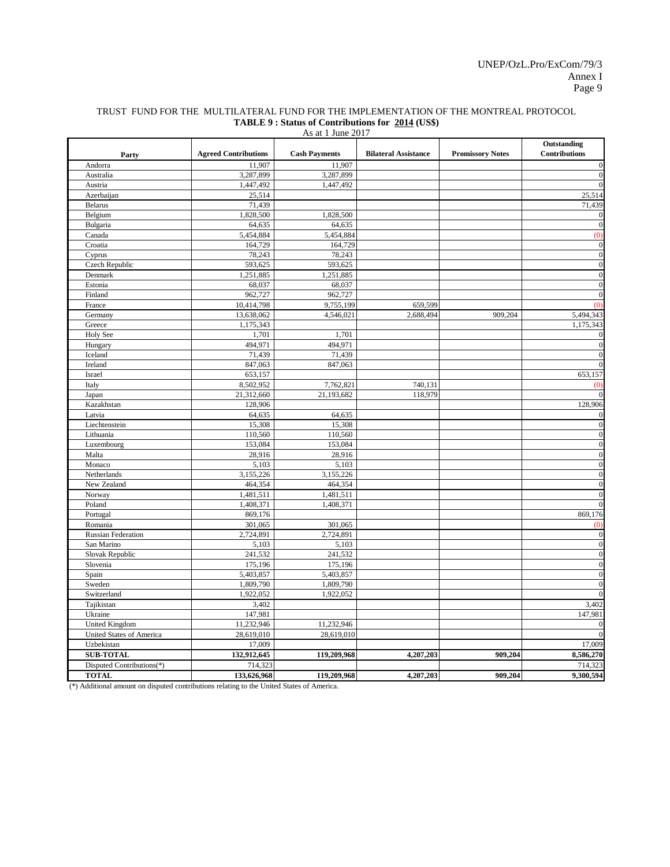| As at 1 June 2017         |                             |                      |                             |                         |                                     |  |  |  |
|---------------------------|-----------------------------|----------------------|-----------------------------|-------------------------|-------------------------------------|--|--|--|
| Party                     | <b>Agreed Contributions</b> | <b>Cash Payments</b> | <b>Bilateral Assistance</b> | <b>Promissory Notes</b> | Outstanding<br><b>Contributions</b> |  |  |  |
| Andorra                   | 11.907                      | 11,907               |                             |                         | $\mathbf{0}$                        |  |  |  |
| Australia                 | 3,287,899                   | 3,287,899            |                             |                         | $\mathbf{0}$                        |  |  |  |
| Austria                   | 1,447,492                   | 1,447,492            |                             |                         | $\mathbf{0}$                        |  |  |  |
| Azerbaijan                | 25,514                      |                      |                             |                         | 25,514                              |  |  |  |
| <b>Belarus</b>            | 71,439                      |                      |                             |                         | 71,439                              |  |  |  |
| Belgium                   | 1,828,500                   | 1,828,500            |                             |                         | $\mathbf{0}$                        |  |  |  |
| Bulgaria                  | 64,635                      | 64,635               |                             |                         | $\mathbf{0}$                        |  |  |  |
| Canada                    | 5,454,884                   | 5,454,884            |                             |                         | (0)                                 |  |  |  |
| Croatia                   | 164,729                     | 164,729              |                             |                         | $\mathbf{0}$                        |  |  |  |
| Cyprus                    | 78,243                      | 78,243               |                             |                         | $\mathbf{0}$                        |  |  |  |
| Czech Republic            | 593,625                     | 593,625              |                             |                         | $\mathbf{0}$                        |  |  |  |
| Denmark                   | 1,251,885                   | 1,251,885            |                             |                         | $\boldsymbol{0}$                    |  |  |  |
| Estonia                   | 68,037                      | 68,037               |                             |                         | $\boldsymbol{0}$                    |  |  |  |
| Finland                   | 962,727                     | 962,727              |                             |                         | $\mathbf{0}$                        |  |  |  |
| France                    | 10,414,798                  | 9,755,199            | 659,599                     |                         | (0)                                 |  |  |  |
| Germany                   | 13,638,062                  | 4,546,021            | 2,688,494                   | 909,204                 | 5,494,343                           |  |  |  |
| Greece                    | 1,175,343                   |                      |                             |                         | 1,175,343                           |  |  |  |
| <b>Holy See</b>           | 1,701                       | 1,701                |                             |                         | $\boldsymbol{0}$                    |  |  |  |
| Hungary                   | 494,971                     | 494,971              |                             |                         | $\mathbf{0}$                        |  |  |  |
| Iceland                   | 71,439                      | 71,439               |                             |                         | $\mathbf{0}$                        |  |  |  |
| Ireland                   | 847,063                     | 847,063              |                             |                         | $\theta$                            |  |  |  |
| Israel                    | 653,157                     |                      |                             |                         | 653,157                             |  |  |  |
| Italy                     | 8,502,952                   | 7,762,821            | 740,131                     |                         | (0)                                 |  |  |  |
| Japan                     | 21,312,660                  | 21,193,682           | 118,979                     |                         | $\Omega$                            |  |  |  |
| Kazakhstan                | 128,906                     |                      |                             |                         | 128,906                             |  |  |  |
| Latvia                    | 64,635                      | 64,635               |                             |                         | $\mathbf{0}$                        |  |  |  |
| Liechtenstein             | 15,308                      | 15,308               |                             |                         | $\mathbf{0}$                        |  |  |  |
| Lithuania                 | 110,560                     | 110,560              |                             |                         | $\mathbf{0}$                        |  |  |  |
| Luxembourg                | 153,084                     | 153,084              |                             |                         | $\boldsymbol{0}$                    |  |  |  |
| Malta                     | 28,916                      | 28,916               |                             |                         | $\mathbf{0}$                        |  |  |  |
| Monaco                    | 5,103                       | 5,103                |                             |                         | $\overline{0}$                      |  |  |  |
| Netherlands               | 3,155,226                   | 3,155,226            |                             |                         | $\boldsymbol{0}$                    |  |  |  |
| New Zealand               | 464,354                     | 464,354              |                             |                         | $\mathbf{0}$                        |  |  |  |
| Norway                    | 1,481,511                   | 1,481,511            |                             |                         | $\mathbf{0}$                        |  |  |  |
| Poland                    | 1,408,371                   | 1,408,371            |                             |                         | $\mathbf{0}$                        |  |  |  |
| Portugal                  | 869,176                     |                      |                             |                         | 869,176                             |  |  |  |
| Romania                   | 301,065                     | 301,065              |                             |                         | (0)                                 |  |  |  |
| <b>Russian Federation</b> | 2,724,891                   | 2,724,891            |                             |                         | $\mathbf{0}$                        |  |  |  |
| San Marino                | 5,103                       | 5,103                |                             |                         | $\mathbf{0}$                        |  |  |  |
| Slovak Republic           | 241,532                     | 241,532              |                             |                         | $\boldsymbol{0}$                    |  |  |  |
| Slovenia                  | 175,196                     | 175,196              |                             |                         | $\overline{0}$                      |  |  |  |
| Spain                     | 5,403,857                   | 5,403,857            |                             |                         | $\mathbf{0}$                        |  |  |  |
| Sweden                    | 1,809,790                   | 1,809,790            |                             |                         | $\mathbf{0}$                        |  |  |  |
| Switzerland               | 1,922,052                   | 1,922,052            |                             |                         | $\mathbf{0}$                        |  |  |  |
| Tajikistan                | 3,402                       |                      |                             |                         | 3,402                               |  |  |  |
| Ukraine                   | 147,981                     |                      |                             |                         | 147,981                             |  |  |  |
| <b>United Kingdom</b>     | 11,232,946                  | 11,232,946           |                             |                         | $\mathbf{0}$                        |  |  |  |
| United States of America  | 28,619,010                  | 28,619,010           |                             |                         | $\theta$                            |  |  |  |
| Uzbekistan                | 17,009                      |                      |                             |                         | 17,009                              |  |  |  |
| <b>SUB-TOTAL</b>          | 132,912,645                 | 119,209,968          | 4,207,203                   | 909,204                 | 8,586,270                           |  |  |  |
| Disputed Contributions(*) | 714,323                     |                      |                             |                         | 714,323                             |  |  |  |
| <b>TOTAL</b>              | 133,626,968                 | 119,209,968          | 4,207,203                   | 909,204                 | 9,300,594                           |  |  |  |

#### TRUST FUND FOR THE MULTILATERAL FUND FOR THE IMPLEMENTATION OF THE MONTREAL PROTOCOL **TABLE 9 : Status of Contributions for 2014 (US\$)**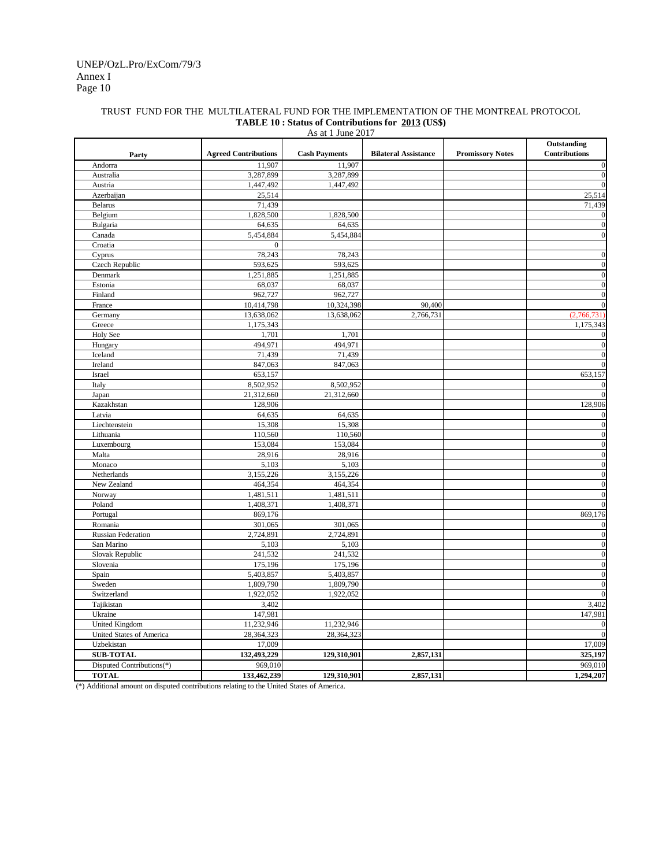#### TRUST FUND FOR THE MULTILATERAL FUND FOR THE IMPLEMENTATION OF THE MONTREAL PROTOCOL **TABLE 10 : Status of Contributions for 2013 (US\$)**

| As at 1 June 2017         |                             |                      |                             |                         |                                     |  |  |  |
|---------------------------|-----------------------------|----------------------|-----------------------------|-------------------------|-------------------------------------|--|--|--|
| Party                     | <b>Agreed Contributions</b> | <b>Cash Payments</b> | <b>Bilateral Assistance</b> | <b>Promissory Notes</b> | Outstanding<br><b>Contributions</b> |  |  |  |
| Andorra                   | 11,907                      | 11,907               |                             |                         | $\boldsymbol{0}$                    |  |  |  |
| Australia                 | 3,287,899                   | 3,287,899            |                             |                         | $\mathbf 0$                         |  |  |  |
| Austria                   | 1,447,492                   | 1,447,492            |                             |                         | $\mathbf{0}$                        |  |  |  |
| Azerbaijan                | 25,514                      |                      |                             |                         | 25,514                              |  |  |  |
| <b>Belarus</b>            | 71,439                      |                      |                             |                         | 71,439                              |  |  |  |
| Belgium                   | 1,828,500                   | 1,828,500            |                             |                         | $\mathbf{0}$                        |  |  |  |
| Bulgaria                  | 64,635                      | 64,635               |                             |                         | $\mathbf{0}$                        |  |  |  |
| Canada                    | 5,454,884                   | 5,454,884            |                             |                         | $\mathbf{0}$                        |  |  |  |
| Croatia                   | $\mathbf{0}$                |                      |                             |                         |                                     |  |  |  |
| Cyprus                    | 78,243                      | 78,243               |                             |                         | $\boldsymbol{0}$                    |  |  |  |
| Czech Republic            | 593,625                     | 593,625              |                             |                         | $\mathbf 0$                         |  |  |  |
| Denmark                   | 1,251,885                   | 1,251,885            |                             |                         | $\boldsymbol{0}$                    |  |  |  |
| Estonia                   | 68,037                      | 68,037               |                             |                         | $\boldsymbol{0}$                    |  |  |  |
| Finland                   | 962,727                     | 962,727              |                             |                         | $\mathbf{0}$                        |  |  |  |
| France                    | 10,414,798                  | 10,324,398           | 90,400                      |                         | $\mathbf{0}$                        |  |  |  |
| Germany                   | 13,638,062                  | 13,638,062           | 2,766,731                   |                         | (2,766,731)                         |  |  |  |
| Greece                    | 1,175,343                   |                      |                             |                         | 1,175,343                           |  |  |  |
| <b>Holy See</b>           | 1,701                       | 1,701                |                             |                         |                                     |  |  |  |
| Hungary                   | 494,971                     | 494,971              |                             |                         | $\mathbf{0}$                        |  |  |  |
| Iceland                   | 71,439                      | 71,439               |                             |                         | $\mathbf{0}$                        |  |  |  |
| Ireland                   | 847,063                     | 847,063              |                             |                         | $\overline{0}$                      |  |  |  |
| Israel                    | 653,157                     |                      |                             |                         | 653,157                             |  |  |  |
| Italy                     | 8,502,952                   | 8,502,952            |                             |                         | $\theta$                            |  |  |  |
| Japan                     | 21,312,660                  | 21,312,660           |                             |                         | $\overline{0}$                      |  |  |  |
| Kazakhstan                | 128,906                     |                      |                             |                         | 128,906                             |  |  |  |
| Latvia                    | 64,635                      | 64,635               |                             |                         | $\boldsymbol{0}$                    |  |  |  |
| Liechtenstein             | 15,308                      | 15,308               |                             |                         | $\overline{0}$                      |  |  |  |
| Lithuania                 | 110,560                     | 110,560              |                             |                         | $\boldsymbol{0}$                    |  |  |  |
| Luxembourg                | 153,084                     | 153,084              |                             |                         | $\boldsymbol{0}$                    |  |  |  |
| Malta                     | 28,916                      | 28,916               |                             |                         | $\mathbf{0}$                        |  |  |  |
| Monaco                    | 5,103                       | 5,103                |                             |                         | $\boldsymbol{0}$                    |  |  |  |
| Netherlands               | 3,155,226                   | 3,155,226            |                             |                         | $\boldsymbol{0}$                    |  |  |  |
| New Zealand               | 464,354                     | 464,354              |                             |                         | $\mathbf{0}$                        |  |  |  |
| Norway                    | 1,481,511                   | 1,481,511            |                             |                         | $\boldsymbol{0}$                    |  |  |  |
| Poland                    | 1,408,371                   | 1,408,371            |                             |                         | $\mathbf{0}$                        |  |  |  |
| Portugal                  | 869,176                     |                      |                             |                         | 869,176                             |  |  |  |
| Romania                   | 301,065                     | 301,065              |                             |                         | $\boldsymbol{0}$                    |  |  |  |
| <b>Russian Federation</b> | 2,724,891                   | 2,724,891            |                             |                         | $\boldsymbol{0}$                    |  |  |  |
| San Marino                | 5,103                       | 5,103                |                             |                         | $\mathbf{0}$                        |  |  |  |
| Slovak Republic           | 241,532                     | 241,532              |                             |                         | $\boldsymbol{0}$                    |  |  |  |
| Slovenia                  | 175,196                     | 175,196              |                             |                         | $\boldsymbol{0}$                    |  |  |  |
| Spain                     | 5,403,857                   | 5,403,857            |                             |                         | $\mathbf{0}$                        |  |  |  |
| Sweden                    | 1,809,790                   | 1,809,790            |                             |                         | $\mathbf 0$                         |  |  |  |
| Switzerland               | 1,922,052                   | 1,922,052            |                             |                         | $\mathbf{0}$                        |  |  |  |
| Tajikistan                | 3,402                       |                      |                             |                         | 3,402                               |  |  |  |
| Ukraine                   | 147,981                     |                      |                             |                         | 147,981                             |  |  |  |
| <b>United Kingdom</b>     | 11,232,946                  | 11,232,946           |                             |                         | $\boldsymbol{0}$                    |  |  |  |
| United States of America  | 28,364,323                  | 28,364,323           |                             |                         | $\overline{0}$                      |  |  |  |
| Uzbekistan                | 17,009                      |                      |                             |                         | 17,009                              |  |  |  |
| <b>SUB-TOTAL</b>          | 132,493,229                 | 129,310,901          | 2,857,131                   |                         | 325,197                             |  |  |  |
| Disputed Contributions(*) | 969,010                     |                      |                             |                         | 969,010                             |  |  |  |
| <b>TOTAL</b>              | 133,462,239                 | 129,310,901          | 2,857,131                   |                         | 1,294,207                           |  |  |  |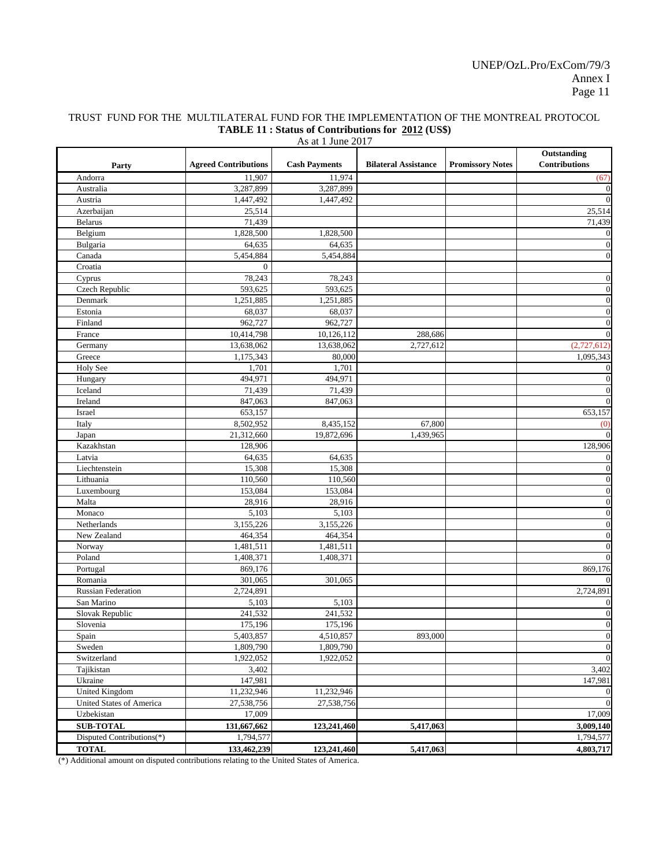# TRUST FUND FOR THE MULTILATERAL FUND FOR THE IMPLEMENTATION OF THE MONTREAL PROTOCOL **TABLE 11 : Status of Contributions for 2012 (US\$)**

| As at 1 June 2017                                 |                             |                      |                             |                         |                                     |  |  |  |
|---------------------------------------------------|-----------------------------|----------------------|-----------------------------|-------------------------|-------------------------------------|--|--|--|
| Party                                             | <b>Agreed Contributions</b> | <b>Cash Payments</b> | <b>Bilateral Assistance</b> | <b>Promissory Notes</b> | Outstanding<br><b>Contributions</b> |  |  |  |
| Andorra                                           | 11,907                      | 11,974               |                             |                         | (67)                                |  |  |  |
| Australia                                         | 3,287,899                   | 3,287,899            |                             |                         | $\mathbf{0}$                        |  |  |  |
| Austria                                           | 1,447,492                   | 1,447,492            |                             |                         | $\overline{0}$                      |  |  |  |
| Azerbaijan                                        | 25,514                      |                      |                             |                         | 25,514                              |  |  |  |
| <b>Belarus</b>                                    | 71,439                      |                      |                             |                         | 71,439                              |  |  |  |
| Belgium                                           | 1,828,500                   | 1,828,500            |                             |                         | $\mathbf{0}$                        |  |  |  |
| Bulgaria                                          | 64,635                      | 64,635               |                             |                         | $\mathbf{0}$                        |  |  |  |
| Canada                                            | 5,454,884                   | 5,454,884            |                             |                         | $\mathbf{0}$                        |  |  |  |
| Croatia                                           | $\mathbf{0}$                |                      |                             |                         |                                     |  |  |  |
| Cyprus                                            | 78,243                      | 78,243               |                             |                         | $\mathbf{0}$                        |  |  |  |
| Czech Republic                                    | 593,625                     | 593,625              |                             |                         | $\boldsymbol{0}$                    |  |  |  |
| Denmark                                           | 1,251,885                   | 1,251,885            |                             |                         | $\mathbf{0}$                        |  |  |  |
| Estonia                                           | 68,037                      | 68,037               |                             |                         | $\mathbf{0}$                        |  |  |  |
| Finland                                           | 962,727                     | 962,727              |                             |                         | $\mathbf{0}$                        |  |  |  |
| France                                            | 10,414,798                  | 10,126,112           | 288,686                     |                         | $\overline{0}$                      |  |  |  |
| Germany                                           | 13,638,062                  | 13,638,062           | 2,727,612                   |                         | (2,727,612)                         |  |  |  |
| Greece                                            | 1,175,343                   | 80,000               |                             |                         | 1,095,343                           |  |  |  |
| Holy See                                          | 1,701                       | 1,701                |                             |                         | $\mathbf{0}$                        |  |  |  |
| Hungary                                           | 494,971                     | 494,971              |                             |                         | $\mathbf{0}$                        |  |  |  |
| Iceland                                           | 71,439                      | 71,439               |                             |                         | $\mathbf{0}$                        |  |  |  |
| Ireland                                           | 847,063                     | 847,063              |                             |                         | $\mathbf{0}$                        |  |  |  |
| Israel                                            | 653,157                     |                      |                             |                         | 653,157                             |  |  |  |
| Italy                                             | 8,502,952                   | 8,435,152            | 67,800                      |                         | (0)                                 |  |  |  |
| Japan                                             | 21,312,660                  | 19,872,696           | 1,439,965                   |                         | $\mathbf{0}$                        |  |  |  |
| Kazakhstan                                        | 128,906                     |                      |                             |                         | 128,906                             |  |  |  |
| Latvia                                            | 64,635                      | 64,635               |                             |                         | $\mathbf{0}$                        |  |  |  |
| Liechtenstein                                     | 15,308                      | 15,308               |                             |                         | $\mathbf{0}$                        |  |  |  |
| Lithuania                                         | 110,560                     | 110,560              |                             |                         | $\mathbf{0}$                        |  |  |  |
| Luxembourg                                        | 153,084                     | 153,084              |                             |                         | $\mathbf{0}$                        |  |  |  |
| Malta                                             | 28,916                      | 28,916               |                             |                         | $\bf{0}$                            |  |  |  |
| Monaco                                            | 5,103                       | 5,103                |                             |                         | $\boldsymbol{0}$                    |  |  |  |
| Netherlands                                       | 3,155,226                   | 3,155,226            |                             |                         | $\boldsymbol{0}$                    |  |  |  |
| New Zealand                                       | 464,354                     | 464,354              |                             |                         | $\bf{0}$                            |  |  |  |
| Norway                                            | 1,481,511                   | 1,481,511            |                             |                         | $\overline{0}$                      |  |  |  |
| Poland                                            | 1,408,371                   | 1,408,371            |                             |                         | $\boldsymbol{0}$                    |  |  |  |
| Portugal                                          | 869,176                     |                      |                             |                         | 869,176                             |  |  |  |
| Romania                                           | 301,065                     | 301,065              |                             |                         | $\bf{0}$                            |  |  |  |
| <b>Russian Federation</b>                         | 2,724,891                   |                      |                             |                         | 2,724,891                           |  |  |  |
| San Marino                                        | 5,103                       | 5,103                |                             |                         | $\mathbf{0}$                        |  |  |  |
| Slovak Republic                                   | 241,532                     | 241,532              |                             |                         | $\bf{0}$                            |  |  |  |
| Slovenia                                          | 175,196                     | 175,196              |                             |                         | $\mathbf{0}$                        |  |  |  |
| Spain                                             | 5,403,857                   | 4,510,857            | 893,000                     |                         | $\boldsymbol{0}$                    |  |  |  |
| Sweden                                            | 1,809,790                   | 1,809,790            |                             |                         | $\boldsymbol{0}$                    |  |  |  |
| Switzerland                                       | 1,922,052                   | 1,922,052            |                             |                         | $\boldsymbol{0}$                    |  |  |  |
| Tajikistan                                        | 3,402                       |                      |                             |                         | 3,402                               |  |  |  |
| Ukraine                                           | 147,981                     | 11,232,946           |                             |                         | 147,981                             |  |  |  |
| <b>United Kingdom</b><br>United States of America | 11,232,946                  |                      |                             |                         | $\bf{0}$<br>$\mathbf{0}$            |  |  |  |
|                                                   | 27,538,756                  | 27,538,756           |                             |                         |                                     |  |  |  |
| Uzbekistan                                        | 17,009                      |                      |                             |                         | 17,009                              |  |  |  |
| <b>SUB-TOTAL</b>                                  | 131,667,662                 | 123,241,460          | 5,417,063                   |                         | 3,009,140                           |  |  |  |
| Disputed Contributions(*)                         | 1,794,577                   |                      |                             |                         | 1,794,577                           |  |  |  |
| <b>TOTAL</b>                                      | 133,462,239                 | 123,241,460          | 5,417,063                   |                         | 4,803,717                           |  |  |  |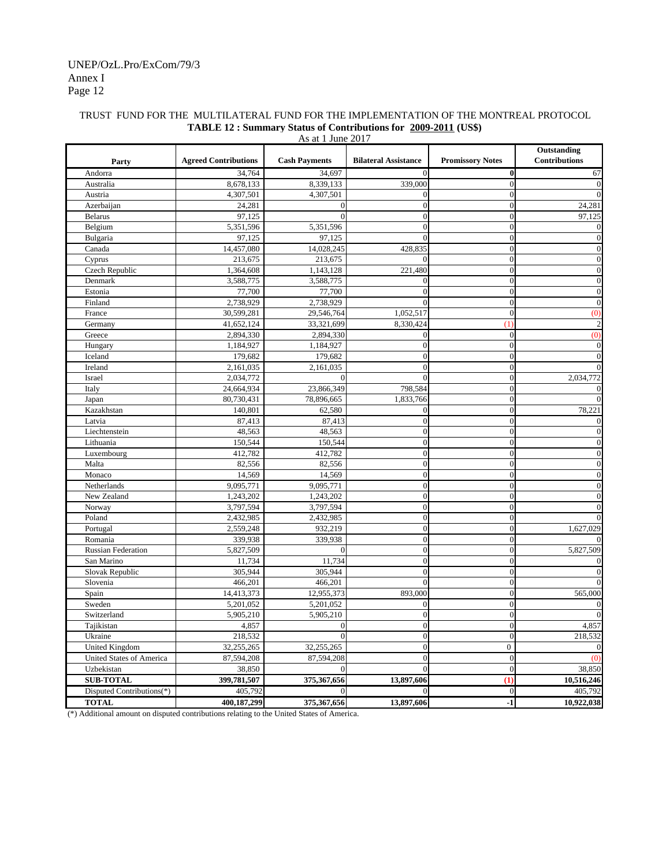#### Annex I Page 12 UNEP/OzL.Pro/ExCom/79/3

|                           |                             | As at 1 June 2017    |                             |                         |                                     |
|---------------------------|-----------------------------|----------------------|-----------------------------|-------------------------|-------------------------------------|
| Party                     | <b>Agreed Contributions</b> | <b>Cash Payments</b> | <b>Bilateral Assistance</b> | <b>Promissory Notes</b> | Outstanding<br><b>Contributions</b> |
| Andorra                   | 34,764                      | 34,697               | $\Omega$                    | $\bf{0}$                | 67                                  |
| Australia                 | 8,678,133                   | 8,339,133            | 339,000                     | $\overline{0}$          | $\mathbf{0}$                        |
| Austria                   | 4,307,501                   | 4,307,501            | $\boldsymbol{0}$            | $\boldsymbol{0}$        | $\mathbf{0}$                        |
| Azerbaijan                | 24,281                      | $\sqrt{ }$           | $\overline{0}$              | $\overline{0}$          | 24,281                              |
| <b>Belarus</b>            | 97,125                      | $\sqrt{ }$           | $\theta$                    | $\mathbf{0}$            | 97,125                              |
| Belgium                   | 5,351,596                   | 5,351,596            | $\overline{0}$              | $\overline{0}$          | $\theta$                            |
| Bulgaria                  | 97,125                      | 97,125               | $\theta$                    | $\mathbf{0}$            | $\boldsymbol{0}$                    |
| Canada                    | 14,457,080                  | 14,028,245           | 428,835                     | $\overline{0}$          | $\mathbf{0}$                        |
| Cyprus                    | 213,675                     | 213,675              | $\theta$                    | $\boldsymbol{0}$        | $\boldsymbol{0}$                    |
| Czech Republic            | 1,364,608                   | 1,143,128            | 221,480                     | $\overline{0}$          | $\boldsymbol{0}$                    |
| Denmark                   | 3,588,775                   | 3,588,775            | 0                           | $\overline{0}$          | $\boldsymbol{0}$                    |
| Estonia                   | 77,700                      | 77,700               | $\theta$                    | $\overline{0}$          | $\boldsymbol{0}$                    |
| Finland                   | 2,738,929                   | 2,738,929            | $\theta$                    | $\overline{0}$          | $\boldsymbol{0}$                    |
| France                    | 30,599,281                  | 29,546,764           | 1,052,517                   | $\boldsymbol{0}$        | (0)                                 |
| Germany                   | 41,652,124                  | 33,321,699           | 8,330,424                   | (1)                     | $\boldsymbol{2}$                    |
| Greece                    | 2,894,330                   | 2,894,330            | $\overline{0}$              | $\boldsymbol{0}$        | (0)                                 |
| Hungary                   | 1,184,927                   | 1,184,927            | $\overline{0}$              | $\boldsymbol{0}$        | $\boldsymbol{0}$                    |
| Iceland                   | 179,682                     | 179,682              | $\boldsymbol{0}$            | $\overline{0}$          | $\boldsymbol{0}$                    |
| Ireland                   | 2,161,035                   | 2,161,035            | $\overline{0}$              | $\boldsymbol{0}$        | $\boldsymbol{0}$                    |
| Israel                    | 2,034,772                   | $\Omega$             | $\theta$                    | $\boldsymbol{0}$        | 2,034,772                           |
| Italy                     | 24,664,934                  | 23,866,349           | 798,584                     | $\mathbf{0}$            | $\mathbf{0}$                        |
| Japan                     | 80,730,431                  | 78,896,665           | 1,833,766                   | $\overline{0}$          | $\mathbf{0}$                        |
| Kazakhstan                | 140,801                     | 62,580               | $\mathbf{0}$                | $\mathbf{0}$            | 78,221                              |
| Latvia                    | 87,413                      | 87,413               | $\overline{0}$              | $\overline{0}$          | $\mathbf{0}$                        |
| Liechtenstein             | 48,563                      | 48,563               | $\boldsymbol{0}$            | $\boldsymbol{0}$        | $\mathbf{0}$                        |
| Lithuania                 | 150,544                     | 150,544              | $\overline{0}$              | $\overline{0}$          | $\mathbf{0}$                        |
| Luxembourg                | 412,782                     | 412,782              | $\overline{0}$              | $\overline{0}$          | $\mathbf{0}$                        |
| Malta                     | 82,556                      | 82,556               | $\overline{0}$              | $\mathbf{0}$            | $\boldsymbol{0}$                    |
| Monaco                    | 14,569                      | 14,569               | $\overline{0}$              | $\overline{0}$          | $\mathbf{0}$                        |
| Netherlands               | 9,095,771                   | 9,095,771            | $\overline{0}$              | $\mathbf{0}$            | $\boldsymbol{0}$                    |
| New Zealand               | 1,243,202                   | 1,243,202            | $\boldsymbol{0}$            | $\mathbf{0}$            | $\boldsymbol{0}$                    |
| Norway                    | 3,797,594                   | 3,797,594            | $\mathbf{0}$                | $\mathbf{0}$            | $\mathbf{0}$                        |
| Poland                    | 2,432,985                   | 2,432,985            | $\overline{0}$              | $\overline{0}$          | $\mathbf{0}$                        |
| Portugal                  | 2,559,248                   | 932,219              | $\mathbf{0}$                | $\mathbf{0}$            | 1,627,029                           |
| Romania                   | 339,938                     | 339,938              | $\overline{0}$              | $\overline{0}$          | $\theta$                            |
| <b>Russian Federation</b> | 5,827,509                   | $\sqrt{ }$           | $\overline{0}$              | $\overline{0}$          | 5,827,509                           |
| San Marino                | 11,734                      | 11,734               | $\overline{0}$              | $\overline{0}$          | $\overline{0}$                      |
| Slovak Republic           | 305,944                     | 305,944              | $\overline{0}$              | $\overline{0}$          | $\mathbf{0}$                        |
| Slovenia                  | 466,201                     | 466,201              | $\overline{0}$              | $\mathbf{0}$            | $\mathbf{0}$                        |
| Spain                     | 14,413,373                  | 12,955,373           | 893,000                     | $\overline{0}$          | 565,000                             |
| Sweden                    | 5,201,052                   | 5,201,052            | $\overline{0}$              | $\mathbf{0}$            | $\theta$                            |
| Switzerland               | 5,905,210                   | 5,905,210            | $\boldsymbol{0}$            | $\boldsymbol{0}$        | $\boldsymbol{0}$                    |
| Tajikistan                | 4,857                       | $\boldsymbol{0}$     | $\boldsymbol{0}$            | $\boldsymbol{0}$        | 4,857                               |
| Ukraine                   | 218,532                     | $\overline{0}$       | $\overline{0}$              | $\overline{0}$          | 218,532                             |
| <b>United Kingdom</b>     | 32,255,265                  | 32,255,265           | $\boldsymbol{0}$            | $\overline{0}$          | $\theta$                            |
| United States of America  | 87,594,208                  | 87,594,208           | $\mathbf{0}$                | $\boldsymbol{0}$        | (0)                                 |
| Uzbekistan                | 38,850                      | $\overline{0}$       | $\overline{0}$              | $\overline{0}$          | 38,850                              |
| <b>SUB-TOTAL</b>          | 399,781,507                 | 375,367,656          | 13,897,606                  | (1)                     | 10,516,246                          |
| Disputed Contributions(*) | 405,792                     | $\overline{0}$       | $\theta$                    | $\boldsymbol{0}$        | 405,792                             |
| <b>TOTAL</b>              | 400,187,299                 | 375,367,656          | 13,897,606                  | $-1$                    | 10,922,038                          |

## TRUST FUND FOR THE MULTILATERAL FUND FOR THE IMPLEMENTATION OF THE MONTREAL PROTOCOL **TABLE 12 : Summary Status of Contributions for 2009-2011 (US\$)**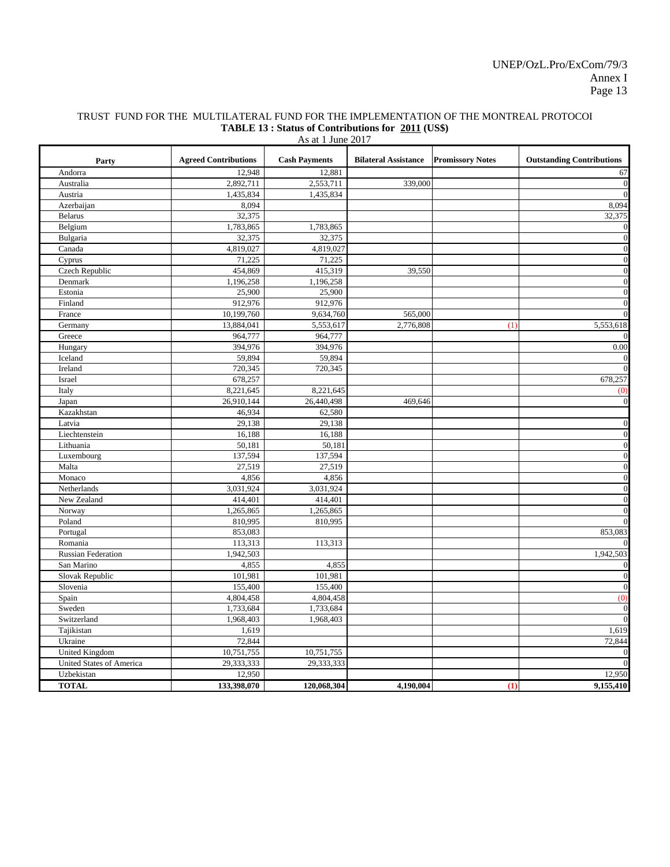#### TRUST FUND FOR THE MULTILATERAL FUND FOR THE IMPLEMENTATION OF THE MONTREAL PROTOCOL **TABLE 13 : Status of Contributions for 2011 (US\$)**

| As at 1 June 2017         |                             |                      |                             |                         |                                  |  |  |  |  |  |
|---------------------------|-----------------------------|----------------------|-----------------------------|-------------------------|----------------------------------|--|--|--|--|--|
| Party                     | <b>Agreed Contributions</b> | <b>Cash Payments</b> | <b>Bilateral Assistance</b> | <b>Promissory Notes</b> | <b>Outstanding Contributions</b> |  |  |  |  |  |
| Andorra                   | 12,948                      | 12,881               |                             |                         | 67                               |  |  |  |  |  |
| Australia                 | 2,892,711                   | 2,553,711            | 339,000                     |                         | $\mathbf 0$                      |  |  |  |  |  |
| Austria                   | 1,435,834                   | 1,435,834            |                             |                         | $\mathbf 0$                      |  |  |  |  |  |
| Azerbaijan                | 8,094                       |                      |                             |                         | 8,094                            |  |  |  |  |  |
| Belarus                   | 32,375                      |                      |                             |                         | 32,375                           |  |  |  |  |  |
| Belgium                   | 1,783,865                   | 1,783,865            |                             |                         | $\mathbf 0$                      |  |  |  |  |  |
| Bulgaria                  | 32,375                      | 32,375               |                             |                         | $\mathbf 0$                      |  |  |  |  |  |
| Canada                    | 4,819,027                   | 4,819,027            |                             |                         | $\mathbf 0$                      |  |  |  |  |  |
| Cyprus                    | 71,225                      | 71,225               |                             |                         | $\mathbf 0$                      |  |  |  |  |  |
| Czech Republic            | 454,869                     | 415,319              | 39,550                      |                         | $\mathbf 0$                      |  |  |  |  |  |
| Denmark                   | 1,196,258                   | 1,196,258            |                             |                         | $\mathbf 0$                      |  |  |  |  |  |
| Estonia                   | 25,900                      | 25,900               |                             |                         | $\mathbf 0$                      |  |  |  |  |  |
| Finland                   | 912,976                     | 912,976              |                             |                         | $\mathbf 0$                      |  |  |  |  |  |
| France                    | 10,199,760                  | 9,634,760            | 565,000                     |                         | $\mathbf 0$                      |  |  |  |  |  |
| Germany                   | 13,884,041                  | 5,553,617            | 2,776,808                   | (1)                     | 5,553,618                        |  |  |  |  |  |
| Greece                    | 964,777                     | 964,777              |                             |                         |                                  |  |  |  |  |  |
| Hungary                   | 394,976                     | 394,976              |                             |                         | 0.00                             |  |  |  |  |  |
| Iceland                   | 59,894                      | 59,894               |                             |                         | $\mathbf 0$                      |  |  |  |  |  |
| Ireland                   | 720,345                     | 720,345              |                             |                         | $\mathbf 0$                      |  |  |  |  |  |
| Israel                    | 678,257                     |                      |                             |                         | 678,257                          |  |  |  |  |  |
| Italy                     | 8,221,645                   | 8,221,645            |                             |                         | (0)                              |  |  |  |  |  |
| Japan                     | 26,910,144                  | 26,440,498           | 469,646                     |                         | $\mathbf 0$                      |  |  |  |  |  |
| Kazakhstan                | 46,934                      | 62,580               |                             |                         |                                  |  |  |  |  |  |
| Latvia                    | 29,138                      | 29,138               |                             |                         | $\mathbf 0$                      |  |  |  |  |  |
| Liechtenstein             | 16,188                      | 16,188               |                             |                         | $\mathbf 0$                      |  |  |  |  |  |
| Lithuania                 | 50,181                      | 50,181               |                             |                         | $\mathbf 0$                      |  |  |  |  |  |
| Luxembourg                | 137,594                     | 137,594              |                             |                         | $\mathbf 0$                      |  |  |  |  |  |
| Malta                     | 27,519                      | 27,519               |                             |                         | $\mathbf 0$                      |  |  |  |  |  |
| Monaco                    | 4,856                       | 4,856                |                             |                         | $\mathbf 0$                      |  |  |  |  |  |
| Netherlands               | 3,031,924                   | 3,031,924            |                             |                         | $\mathbf 0$                      |  |  |  |  |  |
| New Zealand               | 414,401                     | 414,401              |                             |                         | $\mathbf 0$                      |  |  |  |  |  |
| Norway                    | 1,265,865                   | 1,265,865            |                             |                         | $\mathbf 0$                      |  |  |  |  |  |
| Poland                    | 810,995                     | 810,995              |                             |                         | $\mathbf 0$                      |  |  |  |  |  |
| Portugal                  | 853,083                     |                      |                             |                         | 853,083                          |  |  |  |  |  |
| Romania                   | 113,313                     | 113,313              |                             |                         |                                  |  |  |  |  |  |
| <b>Russian Federation</b> | 1,942,503                   |                      |                             |                         | 1,942,503                        |  |  |  |  |  |
| San Marino                | 4,855                       | 4,855                |                             |                         | $\mathbf 0$                      |  |  |  |  |  |
| Slovak Republic           | 101,981                     | 101,981              |                             |                         | $\mathbf 0$                      |  |  |  |  |  |
| Slovenia                  | 155,400                     | 155,400              |                             |                         | $\mathbf 0$                      |  |  |  |  |  |
| Spain                     | 4,804,458                   | 4,804,458            |                             |                         | (0)                              |  |  |  |  |  |
| Sweden                    | 1,733,684                   | 1,733,684            |                             |                         | $\mathbf 0$                      |  |  |  |  |  |
| Switzerland               | 1,968,403                   | 1,968,403            |                             |                         | $\mathbf 0$                      |  |  |  |  |  |
| Tajikistan                | 1,619                       |                      |                             |                         | 1,619                            |  |  |  |  |  |
| Ukraine                   | 72,844                      |                      |                             |                         | 72,844                           |  |  |  |  |  |
| <b>United Kingdom</b>     | 10,751,755                  | 10,751,755           |                             |                         | $\mathbf 0$                      |  |  |  |  |  |
| United States of America  | 29,333,333                  | 29,333,333           |                             |                         | $\mathbf 0$                      |  |  |  |  |  |
|                           |                             |                      |                             |                         |                                  |  |  |  |  |  |
| Uzbekistan                | 12,950                      |                      |                             |                         | 12,950                           |  |  |  |  |  |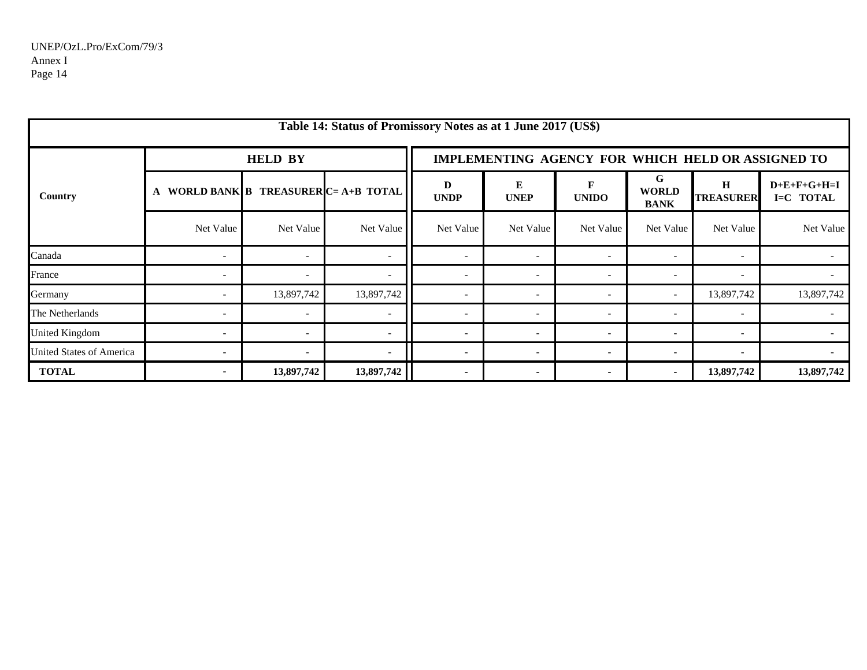|                                 |                          |                | Table 14: Status of Promissory Notes as at 1 June 2017 (US\$) |                  |                                                   |                          |                                  |                             |                            |  |  |
|---------------------------------|--------------------------|----------------|---------------------------------------------------------------|------------------|---------------------------------------------------|--------------------------|----------------------------------|-----------------------------|----------------------------|--|--|
| Country                         |                          | <b>HELD BY</b> |                                                               |                  | IMPLEMENTING AGENCY FOR WHICH HELD OR ASSIGNED TO |                          |                                  |                             |                            |  |  |
|                                 |                          |                | WORLD BANK B TREASURER $C = A + B$ TOTAL                      | D<br><b>UNDP</b> | E<br><b>UNEP</b>                                  | F<br><b>UNIDO</b>        | G<br><b>WORLD</b><br><b>BANK</b> | $\bf H$<br><b>TREASURER</b> | $D+E+F+G+H=I$<br>I=C TOTAL |  |  |
|                                 | Net Value                | Net Value      | Net Value                                                     | Net Value        | Net Value                                         | Net Value                | Net Value                        | Net Value                   | Net Value                  |  |  |
| Canada                          |                          |                |                                                               |                  | $\overline{\phantom{a}}$                          |                          |                                  |                             |                            |  |  |
| France                          |                          |                |                                                               |                  | $\overline{\phantom{a}}$                          |                          |                                  | $\overline{\phantom{a}}$    |                            |  |  |
| Germany                         |                          | 13,897,742     | 13,897,742                                                    |                  | $\overline{\phantom{a}}$                          |                          |                                  | 13,897,742                  | 13,897,742                 |  |  |
| The Netherlands                 |                          |                |                                                               |                  | $\overline{\phantom{a}}$                          | $\overline{\phantom{a}}$ |                                  |                             |                            |  |  |
| <b>United Kingdom</b>           |                          |                |                                                               |                  | $\overline{\phantom{a}}$                          |                          |                                  | $\overline{\phantom{a}}$    |                            |  |  |
| <b>United States of America</b> |                          |                |                                                               |                  | $\overline{\phantom{a}}$                          | $\overline{\phantom{a}}$ | $\overline{\phantom{a}}$         | $\overline{\phantom{a}}$    |                            |  |  |
| <b>TOTAL</b>                    | $\overline{\phantom{0}}$ | 13,897,742     | 13,897,742                                                    | $\sim$           | $\blacksquare$                                    | $\blacksquare$           | $\blacksquare$                   | 13,897,742                  | 13,897,742                 |  |  |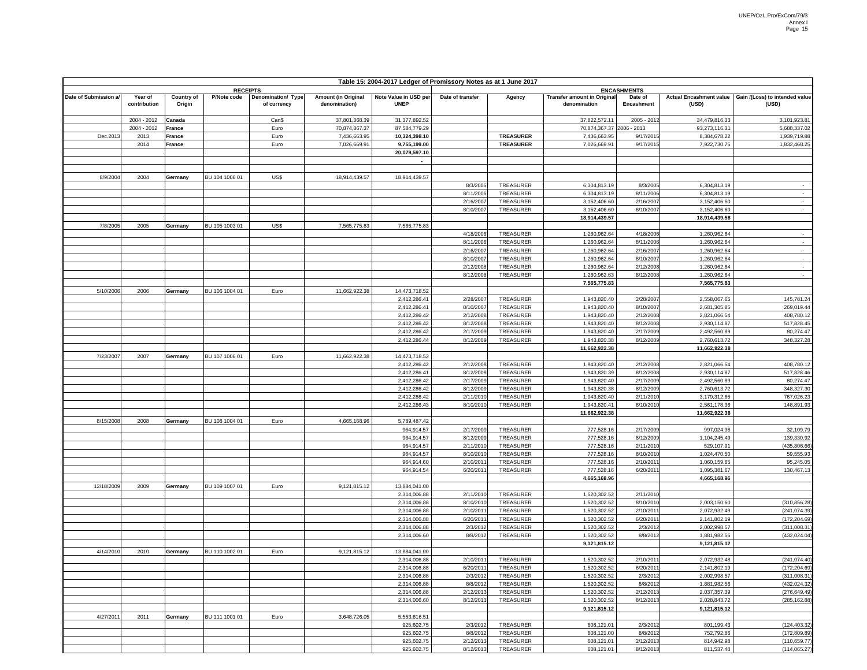| Table 15: 2004-2017 Ledger of Promissory Notes as at 1 June 2017 |                         |                             |                 |                                   |                                      |                                      |                        |                        |                                                    |                        |                               |                                                                   |
|------------------------------------------------------------------|-------------------------|-----------------------------|-----------------|-----------------------------------|--------------------------------------|--------------------------------------|------------------------|------------------------|----------------------------------------------------|------------------------|-------------------------------|-------------------------------------------------------------------|
|                                                                  |                         |                             | <b>RECEIPTS</b> |                                   |                                      |                                      |                        |                        |                                                    | <b>ENCASHMENTS</b>     |                               |                                                                   |
| Date of Submission a/                                            | Year of<br>contribution | <b>Country of</b><br>Origin | P/Note code     | Denomination/ Type<br>of currency | Amount (in Original<br>denomination) | Note Value in USD per<br><b>UNEP</b> | Date of transfer       | Agency                 | <b>Transfer amount in Original</b><br>denomination | Date of<br>Encashment  | (USD)                         | Actual Encashment value   Gain /(Loss) to intended value<br>(USD) |
|                                                                  | 2004 - 2012             | Canada                      |                 | Can\$                             | 37,801,368.39                        | 31,377,892.52                        |                        |                        | 37,822,572.11                                      | 2005 - 2012            | 34,479,816.33                 | 3,101,923.81                                                      |
|                                                                  | 2004 - 2012             | France                      |                 | Euro                              | 70,874,367.37                        | 87,584,779.29                        |                        |                        | 70,874,367.37                                      | 2006 - 2013            | 93,273,116.31                 | 5,688,337.02                                                      |
| Dec.201                                                          | 2013                    | France                      |                 | Euro                              | 7,436,663.95                         | 10,324,398.10                        |                        | <b>TREASURER</b>       | 7,436,663.95                                       | 9/17/201               | 8,384,678.22                  | 1.939.719.88                                                      |
|                                                                  | 2014                    | <b>France</b>               |                 | Euro                              | 7,026,669.91                         | 9,755,199.00                         |                        | <b>TREASURER</b>       | 7,026,669.91                                       | 9/17/2015              | 7,922,730.75                  | 1,832,468.25                                                      |
|                                                                  |                         |                             |                 |                                   |                                      | 20,079,597.10                        |                        |                        |                                                    |                        |                               |                                                                   |
|                                                                  |                         |                             |                 |                                   |                                      |                                      |                        |                        |                                                    |                        |                               |                                                                   |
| 8/9/200                                                          | 2004                    | Germany                     | BU 104 1006 01  | US\$                              | 18,914,439.57                        | 18,914,439.57                        |                        |                        |                                                    |                        |                               |                                                                   |
|                                                                  |                         |                             |                 |                                   |                                      |                                      | 8/3/200                | TREASURER              | 6,304,813.19                                       | 8/3/2005               | 6,304,813.19                  |                                                                   |
|                                                                  |                         |                             |                 |                                   |                                      |                                      | 8/11/2006              | TREASURER              | 6,304,813.19                                       | 8/11/2006              | 6,304,813.19                  | $\sim$                                                            |
|                                                                  |                         |                             |                 |                                   |                                      |                                      | 2/16/2007              | TREASURER              | 3,152,406.60                                       | 2/16/2007              | 3,152,406.60                  | $\sim$                                                            |
|                                                                  |                         |                             |                 |                                   |                                      |                                      | 8/10/2007              | TREASURER              | 3,152,406.60                                       | 8/10/2007              | 3,152,406.60                  | $\sim$                                                            |
|                                                                  |                         |                             |                 |                                   |                                      |                                      |                        |                        | 18,914,439.57                                      |                        | 18,914,439.58                 |                                                                   |
| 7/8/2005                                                         | 2005                    | Germany                     | BU 105 1003 01  | US\$                              | 7,565,775.83                         | 7,565,775.83                         |                        |                        |                                                    |                        |                               |                                                                   |
|                                                                  |                         |                             |                 |                                   |                                      |                                      | 4/18/2006              | TREASURER              | 1,260,962.64                                       | 4/18/2006              | 1,260,962.64                  | $\sim$                                                            |
|                                                                  |                         |                             |                 |                                   |                                      |                                      | 8/11/2006<br>2/16/2007 | TREASURER<br>TREASURER | 1,260,962.64<br>1,260,962.64                       | 8/11/200<br>2/16/2007  | 1,260,962.64<br>1,260,962.64  | $\sim$<br>$\sim$                                                  |
|                                                                  |                         |                             |                 |                                   |                                      |                                      | 8/10/200               | TREASURER              | 1,260,962.64                                       | 8/10/2007              | 1,260,962.64                  | $\sim$                                                            |
|                                                                  |                         |                             |                 |                                   |                                      |                                      | 2/12/200               | TREASURER              | 1,260,962.64                                       | 2/12/2008              | 1,260,962.64                  | $\sim$                                                            |
|                                                                  |                         |                             |                 |                                   |                                      |                                      | 8/12/200               | TREASURER              | 1,260,962.63                                       | 8/12/2008              | 1,260,962.64                  | $\sim$                                                            |
|                                                                  |                         |                             |                 |                                   |                                      |                                      |                        |                        | 7,565,775.83                                       |                        | 7,565,775.83                  |                                                                   |
| 5/10/200                                                         | 2006                    | Germany                     | BU 106 1004 01  | Euro                              | 11,662,922.38                        | 14,473,718.52                        |                        |                        |                                                    |                        |                               |                                                                   |
|                                                                  |                         |                             |                 |                                   |                                      | 2,412,286.41                         | 2/28/2007              | TREASURER              | 1,943,820.40                                       | 2/28/2007              | 2,558,067.65                  | 145,781.24                                                        |
|                                                                  |                         |                             |                 |                                   |                                      | 2,412,286.41                         | 8/10/200               | TREASURER              | 1,943,820.40                                       | 8/10/200               | 2,681,305.85                  | 269,019.44                                                        |
|                                                                  |                         |                             |                 |                                   |                                      | 2,412,286.42                         | 2/12/2008              | <b>TREASURER</b>       | 1,943,820.40                                       | 2/12/2008              | 2,821,066.54                  | 408,780.12                                                        |
|                                                                  |                         |                             |                 |                                   |                                      | 2,412,286.42<br>2,412,286.42         | 8/12/2008<br>2/17/200  | TREASURER<br>TREASURER | 1,943,820.40<br>1,943,820.40                       | 8/12/2008              | 2,930,114.87<br>2,492,560.89  | 517,828.45<br>80,274.47                                           |
|                                                                  |                         |                             |                 |                                   |                                      | 2,412,286.44                         | 8/12/2009              | TREASURER              | 1,943,820.38                                       | 2/17/2009<br>8/12/2009 | 2,760,613.72                  | 348,327.28                                                        |
|                                                                  |                         |                             |                 |                                   |                                      |                                      |                        |                        | 11,662,922.38                                      |                        | 11,662,922.38                 |                                                                   |
| 7/23/200                                                         | 2007                    | Germany                     | BU 107 1006 01  | Euro                              | 11,662,922.38                        | 14,473,718.52                        |                        |                        |                                                    |                        |                               |                                                                   |
|                                                                  |                         |                             |                 |                                   |                                      | 2,412,286.42                         | 2/12/200               | TREASURER              | 1,943,820.40                                       | 2/12/2008              | 2,821,066.54                  | 408,780.12                                                        |
|                                                                  |                         |                             |                 |                                   |                                      | 2,412,286.41                         | 8/12/200               | TREASURER              | 1,943,820.39                                       | 8/12/2008              | 2,930,114.87                  | 517,828.46                                                        |
|                                                                  |                         |                             |                 |                                   |                                      | 2,412,286.42                         | 2/17/200               | TREASURER              | 1,943,820.40                                       | 2/17/2009              | 2,492,560.89                  | 80,274.47                                                         |
|                                                                  |                         |                             |                 |                                   |                                      | 2,412,286.42                         | 8/12/200               | TREASURER              | 1,943,820.38                                       | 8/12/2009              | 2,760,613.72                  | 348,327.30                                                        |
|                                                                  |                         |                             |                 |                                   |                                      | 2,412,286.42<br>2,412,286.43         | 2/11/201<br>8/10/2010  | TREASURER<br>TREASURER | 1,943,820.40<br>1,943,820.41                       | 2/11/2010<br>8/10/2010 | 3,179,312.65                  | 767,026.23<br>148,891.93                                          |
|                                                                  |                         |                             |                 |                                   |                                      |                                      |                        |                        | 11,662,922.38                                      |                        | 2,561,178.36<br>11,662,922.38 |                                                                   |
| 8/15/2008                                                        | 2008                    | Germany                     | BU 108 1004 01  | Euro                              | 4,665,168.96                         | 5,789,487.42                         |                        |                        |                                                    |                        |                               |                                                                   |
|                                                                  |                         |                             |                 |                                   |                                      | 964,914.57                           | 2/17/2009              | TREASURER              | 777,528.16                                         | 2/17/2009              | 997,024.36                    | 32,109.79                                                         |
|                                                                  |                         |                             |                 |                                   |                                      | 964,914.57                           | 8/12/2009              | TREASURER              | 777,528.16                                         | 8/12/2009              | 1,104,245.49                  | 139,330.92                                                        |
|                                                                  |                         |                             |                 |                                   |                                      | 964,914.57                           | 2/11/201               | TREASURER              | 777,528.16                                         | 2/11/201               | 529,107.91                    | (435,806.66                                                       |
|                                                                  |                         |                             |                 |                                   |                                      | 964,914.57                           | 8/10/201               | TREASURER              | 777,528.16                                         | 8/10/2010              | 1,024,470.50                  | 59,555.93                                                         |
|                                                                  |                         |                             |                 |                                   |                                      | 964,914.60                           | 2/10/201               | TREASURER              | 777,528.16                                         | 2/10/201               | 1,060,159.65                  | 95,245.05                                                         |
|                                                                  |                         |                             |                 |                                   |                                      | 964,914.54                           | 6/20/2011              | TREASURER              | 777,528.16                                         | 6/20/2011              | 1,095,381.67                  | 130,467.13                                                        |
| 12/18/2009                                                       | 2009                    | Germany                     | BU 109 1007 01  | Euro                              | 9,121,815.12                         | 13,884,041.00                        |                        |                        | 4,665,168.96                                       |                        | 4,665,168.96                  |                                                                   |
|                                                                  |                         |                             |                 |                                   |                                      | 2,314,006.88                         | 2/11/201               | TREASURER              | 1,520,302.52                                       | 2/11/201               |                               |                                                                   |
|                                                                  |                         |                             |                 |                                   |                                      | 2,314,006.88                         | 8/10/201               | TREASURER              | 1,520,302.52                                       | 8/10/2010              | 2,003,150.60                  | (310,856.28                                                       |
|                                                                  |                         |                             |                 |                                   |                                      | 2,314,006.88                         | 2/10/201               | TREASURER              | 1,520,302.52                                       | 2/10/201               | 2,072,932.49                  | (241,074.39                                                       |
|                                                                  |                         |                             |                 |                                   |                                      | 2,314,006.88                         | 6/20/201               | TREASURER              | 1,520,302.52                                       | 6/20/201               | 2,141,802.19                  | (172,204.69                                                       |
|                                                                  |                         |                             |                 |                                   |                                      | 2,314,006.88                         | 2/3/201                | TREASURER              | 1,520,302.52                                       | 2/3/2012               | 2,002,998.57                  | (311,008.31                                                       |
|                                                                  |                         |                             |                 |                                   |                                      | 2,314,006.60                         | 8/8/2012               | TREASURER              | 1,520,302.52                                       | 8/8/2012               | 1,881,982.56                  | (432,024.04                                                       |
| 4/14/2010                                                        | 2010                    | Germany                     | BU 110 1002 01  | Euro                              | 9,121,815.12                         | 13,884,041.00                        |                        |                        | 9,121,815.12                                       |                        | 9,121,815.12                  |                                                                   |
|                                                                  |                         |                             |                 |                                   |                                      | 2,314,006.88                         | 2/10/201               | TREASURER              | 1,520,302.52                                       | 2/10/201               | 2,072,932.48                  | (241, 074.40)                                                     |
|                                                                  |                         |                             |                 |                                   |                                      | 2,314,006.88                         | 6/20/201               | TREASURER              | 1,520,302.52                                       | 6/20/201               | 2,141,802.19                  | (172,204.69                                                       |
|                                                                  |                         |                             |                 |                                   |                                      | 2,314,006.88                         | 2/3/2012               | TREASURER              | 1,520,302.52                                       | 2/3/2012               | 2,002,998.57                  | (311,008.31)                                                      |
|                                                                  |                         |                             |                 |                                   |                                      | 2,314,006.88                         | 8/8/201                | TREASURER              | 1,520,302.52                                       | 8/8/2012               | 1,881,982.56                  | (432,024.32                                                       |
|                                                                  |                         |                             |                 |                                   |                                      | 2,314,006.88                         | 2/12/201               | TREASURER              | 1.520.302.52                                       | 2/12/2013              | 2,037,357.39                  | (276, 649.49)                                                     |
|                                                                  |                         |                             |                 |                                   |                                      | 2,314,006.60                         | 8/12/2013              | TREASURER              | 1,520,302.52                                       | 8/12/2013              | 2,028,843.72                  | (285, 162.88)                                                     |
|                                                                  |                         |                             |                 |                                   |                                      |                                      |                        |                        | 9,121,815.12                                       |                        | 9,121,815.12                  |                                                                   |
| 4/27/2011                                                        | 2011                    | Germany                     | BU 111 1001 01  | Euro                              | 3,648,726.05                         | 5,553,616.51                         |                        |                        |                                                    |                        |                               | (124, 403.32)                                                     |
|                                                                  |                         |                             |                 |                                   |                                      | 925,602.75<br>925,602.75             | 2/3/2012<br>8/8/2012   | TREASURER<br>TREASURER | 608,121.01<br>608,121.00                           | 2/3/2012<br>8/8/2012   | 801,199.43<br>752,792.86      | (172, 809.89)                                                     |
|                                                                  |                         |                             |                 |                                   |                                      | 925,602.75                           | 2/12/2013              | TREASURER              | 608,121.01                                         | 2/12/2013              | 814,942.98                    | (110, 659.77)                                                     |
|                                                                  |                         |                             |                 |                                   |                                      | 925,602.75                           | 8/12/2013              | TREASURER              | 608,121.01                                         | 8/12/2013              | 811,537.48                    | (114, 065.27)                                                     |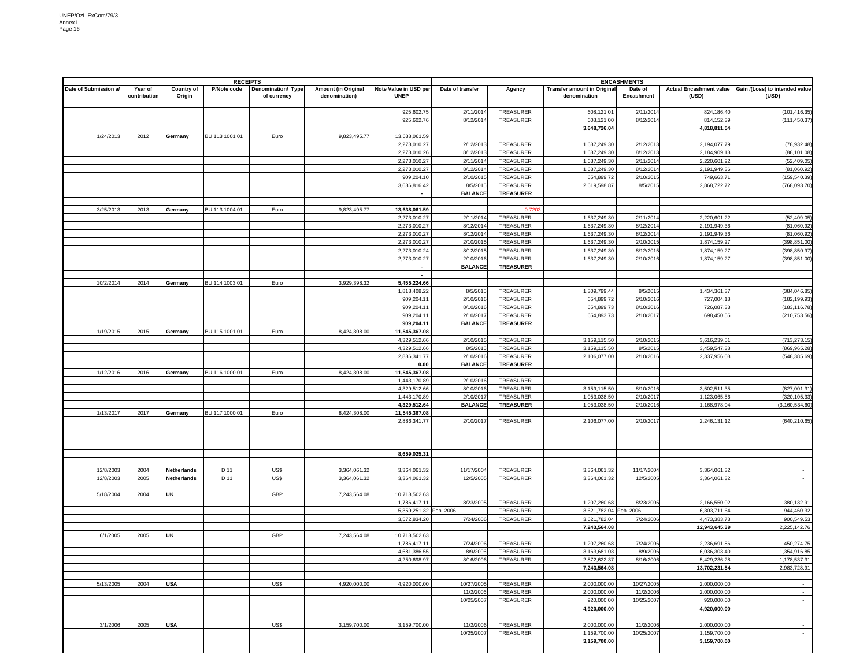|                       |                         | <b>RECEIPTS</b>             |                |                                   |                                             | <b>ENCASHMENTS</b>                     |                      |                        |                                                    |                       |                                         |                                         |
|-----------------------|-------------------------|-----------------------------|----------------|-----------------------------------|---------------------------------------------|----------------------------------------|----------------------|------------------------|----------------------------------------------------|-----------------------|-----------------------------------------|-----------------------------------------|
| Date of Submission a/ | Year of<br>contribution | <b>Country of</b><br>Origin | P/Note code    | Denomination/ Type<br>of currency | <b>Amount (in Original</b><br>denomination) | Note Value in USD per<br><b>UNEP</b>   | Date of transfer     | Agency                 | <b>Transfer amount in Original</b><br>denomination | Date of<br>Encashment | <b>Actual Encashment value</b><br>(USD) | Gain /(Loss) to intended value<br>(USD) |
|                       |                         |                             |                |                                   |                                             | 925,602.75                             | 2/11/201             | TREASURER              | 608,121.01                                         | 2/11/201              | 824,186.40                              | (101, 416.35)                           |
|                       |                         |                             |                |                                   |                                             | 925,602.76                             | 8/12/2014            | TREASURER              | 608,121.00                                         | 8/12/2014             | 814,152.39                              | (111, 450.37)                           |
|                       |                         |                             |                |                                   |                                             |                                        |                      |                        | 3,648,726.04                                       |                       | 4,818,811.54                            |                                         |
| 1/24/2013             | 2012                    | Germany                     | BU 113 1001 01 | Euro                              | 9,823,495.77                                | 13,638,061.59                          |                      |                        |                                                    |                       |                                         |                                         |
|                       |                         |                             |                |                                   |                                             | 2,273,010.27                           | 2/12/201             | <b>TREASURER</b>       | 1,637,249.30                                       | 2/12/201              | 2,194,077.79                            | (78,932.48                              |
|                       |                         |                             |                |                                   |                                             | 2,273,010.26<br>2,273,010.27           | 8/12/201<br>2/11/201 | TREASURER<br>TREASURER | 1,637,249.30<br>1,637,249.30                       | 8/12/201<br>2/11/201  | 2,184,909.18<br>2,220,601.22            | (88, 101.08)<br>(52, 409.05)            |
|                       |                         |                             |                |                                   |                                             | 2,273,010.27                           | 8/12/201             | TREASURER              | 1,637,249.30                                       | 8/12/201              | 2,191,949.36                            | (81,060.92)                             |
|                       |                         |                             |                |                                   |                                             | 909,204.10                             | 2/10/201             | TREASURER              | 654,899.72                                         | 2/10/2015             | 749,663.71                              | (159,540.39                             |
|                       |                         |                             |                |                                   |                                             | 3.636.816.42                           | 8/5/201              | TREASURER              | 2,619,598.87                                       | 8/5/201               | 2,868,722.72                            | (768,093.70                             |
|                       |                         |                             |                |                                   |                                             |                                        | <b>BALANCE</b>       | <b>TREASURER</b>       |                                                    |                       |                                         |                                         |
|                       |                         |                             |                |                                   |                                             |                                        |                      |                        |                                                    |                       |                                         |                                         |
| 3/25/201              | 2013                    | Germany                     | BU 113 1004 01 | Euro                              | 9,823,495.77                                | 13,638,061.59                          |                      | 0.720                  |                                                    |                       |                                         |                                         |
|                       |                         |                             |                |                                   |                                             | 2,273,010.27                           | 2/11/201             | TREASURER              | 1,637,249.30                                       | 2/11/201              | 2,220,601.22                            | (52, 409.05)                            |
|                       |                         |                             |                |                                   |                                             | 2,273,010.27                           | 8/12/201             | TREASURER              | 1,637,249.30                                       | 8/12/201              | 2,191,949.36                            | (81,060.92)                             |
|                       |                         |                             |                |                                   |                                             | 2,273,010.27                           | 8/12/201             | TREASURER              | 1,637,249.30                                       | 8/12/201              | 2,191,949.36                            | (81,060.92)                             |
|                       |                         |                             |                |                                   |                                             | 2,273,010.27<br>2,273,010.24           | 2/10/201<br>8/12/201 | TREASURER<br>TREASURER | 1,637,249.30<br>1,637,249.30                       | 2/10/201<br>8/12/2015 | 1,874,159.27<br>1,874,159.27            | (398, 851.00)<br>(398,850.97            |
|                       |                         |                             |                |                                   |                                             | 2,273,010.27                           | 2/10/2016            | TREASURER              | 1,637,249.30                                       | 2/10/2016             | 1,874,159.27                            | (398, 851.00                            |
|                       |                         |                             |                |                                   |                                             | $\blacksquare$                         | <b>BALANCE</b>       | <b>TREASURER</b>       |                                                    |                       |                                         |                                         |
|                       |                         |                             |                |                                   |                                             | $\overline{\phantom{a}}$               |                      |                        |                                                    |                       |                                         |                                         |
| 10/2/2014             | 2014                    | Germany                     | BU 114 1003 01 | Euro                              | 3,929,398.32                                | 5,455,224.66                           |                      |                        |                                                    |                       |                                         |                                         |
|                       |                         |                             |                |                                   |                                             | 1,818,408.22                           | 8/5/201              | TREASURER              | 1,309,799.44                                       | 8/5/2015              | 1,434,361.37                            | (384, 046.85)                           |
|                       |                         |                             |                |                                   |                                             | 909,204.11                             | 2/10/201             | TREASURER              | 654,899.72                                         | 2/10/201              | 727,004.18                              | (182, 199.93)                           |
|                       |                         |                             |                |                                   |                                             | 909,204.11                             | 8/10/201             | TREASURER              | 654,899.73                                         | 8/10/201              | 726,087.33                              | (183, 116.78)                           |
|                       |                         |                             |                |                                   |                                             | 909,204.11                             | 2/10/201             | <b>TREASURER</b>       | 654,893.73                                         | 2/10/201              | 698,450.55                              | (210,753.56                             |
|                       |                         |                             |                |                                   |                                             | 909,204.11                             | <b>BALANCE</b>       | <b>TREASURER</b>       |                                                    |                       |                                         |                                         |
| 1/19/201              | 2015                    | Germany                     | BU 115 1001 01 | Euro                              | 8,424,308.00                                | 11,545,367.08                          |                      | TREASURER              |                                                    |                       |                                         |                                         |
|                       |                         |                             |                |                                   |                                             | 4,329,512.66<br>4,329,512.66           | 2/10/201<br>8/5/201  | <b>TREASURER</b>       | 3,159,115.50<br>3,159,115.50                       | 2/10/201<br>8/5/201   | 3,616,239.51<br>3,459,547.38            | (713,273.15<br>(869,965.28              |
|                       |                         |                             |                |                                   |                                             | 2,886,341.77                           | 2/10/201             | TREASURER              | 2,106,077.00                                       | 2/10/2016             | 2,337,956.08                            | (548,385.69                             |
|                       |                         |                             |                |                                   |                                             | 0.00                                   | <b>BALANCE</b>       | <b>TREASURER</b>       |                                                    |                       |                                         |                                         |
| 1/12/2016             | 2016                    | Germany                     | BU 116 1000 01 | Euro                              | 8,424,308.00                                | 11,545,367.08                          |                      |                        |                                                    |                       |                                         |                                         |
|                       |                         |                             |                |                                   |                                             | 1,443,170.89                           | 2/10/201             | TREASURER              |                                                    |                       |                                         |                                         |
|                       |                         |                             |                |                                   |                                             | 4,329,512.66                           | 8/10/201             | <b>TREASURER</b>       | 3,159,115.50                                       | 8/10/2016             | 3,502,511.35                            | (827,001.31                             |
|                       |                         |                             |                |                                   |                                             | 1,443,170.89                           | 2/10/2017            | TREASURER              | 1,053,038.50                                       | 2/10/201              | 1,123,065.56                            | (320, 105.33)                           |
|                       |                         |                             |                |                                   |                                             | 4,329,512.64                           | <b>BALANCE</b>       | <b>TREASURER</b>       | 1,053,038.50                                       | 2/10/201              | 1,168,978.04                            | (3, 160, 534.60)                        |
| 1/13/2017             | 2017                    | Germany                     | BU 117 1000 01 | Euro                              | 8,424,308.00                                | 11,545,367.08                          |                      |                        |                                                    |                       |                                         |                                         |
|                       |                         |                             |                |                                   |                                             | 2,886,341.77                           | 2/10/201             | TREASURER              | 2,106,077.00                                       | 2/10/201              | 2,246,131.12                            | (640,210.65                             |
|                       |                         |                             |                |                                   |                                             |                                        |                      |                        |                                                    |                       |                                         |                                         |
|                       |                         |                             |                |                                   |                                             |                                        |                      |                        |                                                    |                       |                                         |                                         |
|                       |                         |                             |                |                                   |                                             | 8,659,025.31                           |                      |                        |                                                    |                       |                                         |                                         |
|                       |                         |                             |                |                                   |                                             |                                        |                      |                        |                                                    |                       |                                         |                                         |
| 12/8/2003             | 2004                    | <b>Netherlands</b>          | D 11           | US\$                              | 3,364,061.32                                | 3,364,061.32                           | 11/17/2004           | TREASURER              | 3,364,061.32                                       | 11/17/200             | 3,364,061.32                            | $\sim$                                  |
| 12/8/2003             | 2005                    | <b>Netherlands</b>          | D 11           | US\$                              | 3,364,061.32                                | 3,364,061.32                           | 12/5/2005            | TREASURER              | 3,364,061.32                                       | 12/5/2005             | 3,364,061.32                            | $\sim$                                  |
|                       |                         |                             |                |                                   |                                             |                                        |                      |                        |                                                    |                       |                                         |                                         |
| 5/18/2004             | 2004                    | UK                          |                | GBP                               | 7,243,564.08                                | 10,718,502.63                          |                      |                        |                                                    |                       |                                         |                                         |
|                       |                         |                             |                |                                   |                                             | 1,786,417.11<br>5,359,251.32 Feb. 2006 | 8/23/200             | TREASURER<br>TREASURER | 1,207,260.68<br>3,621,782.04 Feb. 2006             | 8/23/200              | 2,166,550.02<br>6,303,711.64            | 380,132.91<br>944,460.32                |
|                       |                         |                             |                |                                   |                                             | 3,572,834.20                           | 7/24/2006            | TREASURER              | 3,621,782.04                                       | 7/24/2006             | 4,473,383.73                            | 900,549.53                              |
|                       |                         |                             |                |                                   |                                             |                                        |                      |                        | 7,243,564.08                                       |                       | 12,943,645.39                           | 2,225,142.76                            |
| 6/1/2005              | 2005                    | UK                          |                | GBP                               | 7,243,564.08                                | 10,718,502.63                          |                      |                        |                                                    |                       |                                         |                                         |
|                       |                         |                             |                |                                   |                                             | 1,786,417.11                           | 7/24/200             | TREASURER              | 1,207,260.68                                       | 7/24/200              | 2,236,691.86                            | 450,274.75                              |
|                       |                         |                             |                |                                   |                                             | 4,681,386.55                           | 8/9/2006             | TREASURER              | 3,163,681.03                                       | 8/9/2006              | 6,036,303.40                            | 1,354,916.85                            |
|                       |                         |                             |                |                                   |                                             | 4,250,698.97                           | 8/16/2006            | TREASURER              | 2.872.622.37                                       | 8/16/2006             | 5,429,236.28                            | 1,178,537.31                            |
|                       |                         |                             |                |                                   |                                             |                                        |                      |                        | 7,243,564.08                                       |                       | 13,702,231.54                           | 2,983,728.91                            |
| 5/13/2005             | 2004                    |                             |                | US\$                              | 4,920,000.00                                | 4,920,000.00                           | 10/27/2005           | TREASURER              | 2.000.000.00                                       | 10/27/2005            | 2,000,000.00                            | $\sim$                                  |
|                       |                         | <b>USA</b>                  |                |                                   |                                             |                                        | 11/2/2006            | <b>TREASURER</b>       | 2,000,000.00                                       | 11/2/2006             | 2,000,000.00                            | $\overline{\phantom{a}}$                |
|                       |                         |                             |                |                                   |                                             |                                        | 10/25/2007           | TREASURER              | 920,000.00                                         | 10/25/2007            | 920,000.00                              | $\overline{\phantom{a}}$                |
|                       |                         |                             |                |                                   |                                             |                                        |                      |                        | 4,920,000.00                                       |                       | 4,920,000.00                            |                                         |
|                       |                         |                             |                |                                   |                                             |                                        |                      |                        |                                                    |                       |                                         |                                         |
| 3/1/2006              | 2005                    | <b>USA</b>                  |                | US\$                              | 3,159,700.00                                | 3,159,700.00                           | 11/2/2006            | TREASURER              | 2,000,000.00                                       | 11/2/200              | 2,000,000.00                            | $\sim$                                  |
|                       |                         |                             |                |                                   |                                             |                                        | 10/25/2007           | TREASURER              | 1,159,700.00                                       | 10/25/2007            | 1,159,700.00                            | $\overline{\phantom{a}}$                |
|                       |                         |                             |                |                                   |                                             |                                        |                      |                        | 3,159,700.00                                       |                       | 3,159,700.00                            |                                         |
|                       |                         |                             |                |                                   |                                             |                                        |                      |                        |                                                    |                       |                                         |                                         |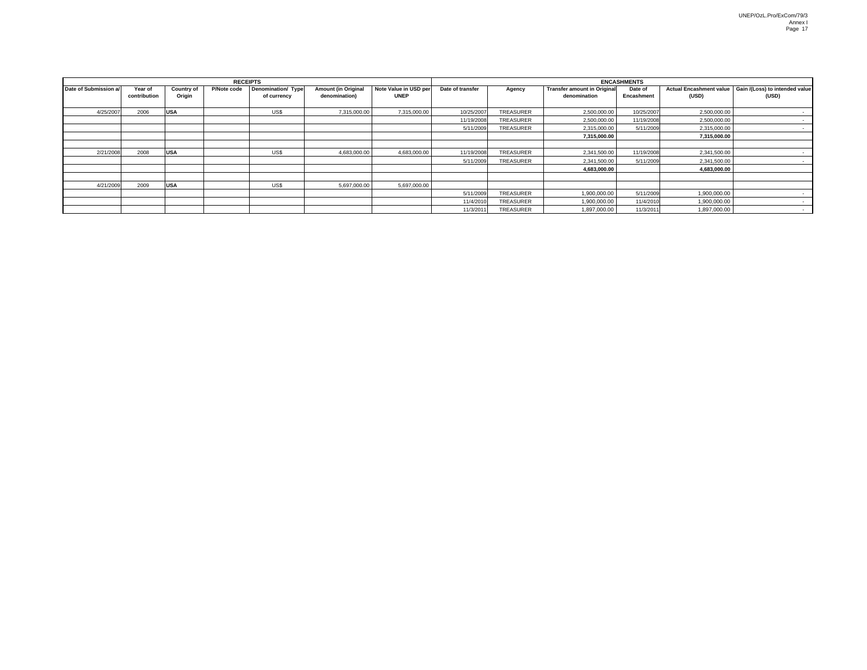| <b>RECEIPTS</b>       |                         |                             |             |                                   |                                             |                                      | <b>ENCASHMENTS</b> |           |                                                    |                       |                                         |                                         |
|-----------------------|-------------------------|-----------------------------|-------------|-----------------------------------|---------------------------------------------|--------------------------------------|--------------------|-----------|----------------------------------------------------|-----------------------|-----------------------------------------|-----------------------------------------|
| Date of Submission a/ | Year of<br>contribution | <b>Country of</b><br>Origin | P/Note code | Denomination/ Type<br>of currency | <b>Amount (in Original</b><br>denomination) | Note Value in USD per<br><b>UNEP</b> | Date of transfer   | Agency    | <b>Transfer amount in Original</b><br>denomination | Date of<br>Encashment | <b>Actual Encashment value</b><br>(USD) | Gain /(Loss) to intended value<br>(USD) |
| 4/25/2007             | 2006                    | <b>USA</b>                  |             | US\$                              | 7,315,000.00                                | 7,315,000.00                         | 10/25/2007         | TREASURER | 2,500,000.00                                       | 10/25/2007            | 2,500,000.00                            |                                         |
|                       |                         |                             |             |                                   |                                             |                                      | 11/19/2008         | TREASURER | 2,500,000.00                                       | 11/19/2008            | 2,500,000.00                            |                                         |
|                       |                         |                             |             |                                   |                                             |                                      | 5/11/2009          | TREASURER | 2,315,000.00                                       | 5/11/2009             | 2,315,000.00                            |                                         |
|                       |                         |                             |             |                                   |                                             |                                      |                    |           | 7,315,000.00                                       |                       | 7,315,000.00                            |                                         |
|                       |                         |                             |             |                                   |                                             |                                      |                    |           |                                                    |                       |                                         |                                         |
| 2/21/2008             | 2008                    | <b>USA</b>                  |             | US\$                              | 4,683,000.00                                | 4,683,000.00                         | 11/19/2008         | TREASURER | 2,341,500.00                                       | 11/19/2008            | 2,341,500.00                            |                                         |
|                       |                         |                             |             |                                   |                                             |                                      | 5/11/2009          | TREASURER | 2,341,500.00                                       | 5/11/2009             | 2,341,500.00                            |                                         |
|                       |                         |                             |             |                                   |                                             |                                      |                    |           | 4,683,000.00                                       |                       | 4,683,000.00                            |                                         |
|                       |                         |                             |             |                                   |                                             |                                      |                    |           |                                                    |                       |                                         |                                         |
| 4/21/2009             | 2009                    | <b>USA</b>                  |             | US\$                              | 5,697,000.00                                | 5,697,000.00                         |                    |           |                                                    |                       |                                         |                                         |
|                       |                         |                             |             |                                   |                                             |                                      | 5/11/2009          | TREASURER | 1,900,000.00                                       | 5/11/2009             | 1,900,000.00                            |                                         |
|                       |                         |                             |             |                                   |                                             |                                      | 11/4/2010          | TREASURER | 1,900,000.00                                       | 11/4/2010             | 1,900,000.00                            |                                         |
|                       |                         |                             |             |                                   |                                             |                                      | 11/3/201           | TREASURER | 1,897,000.00                                       | 11/3/201              | 1,897,000.00                            |                                         |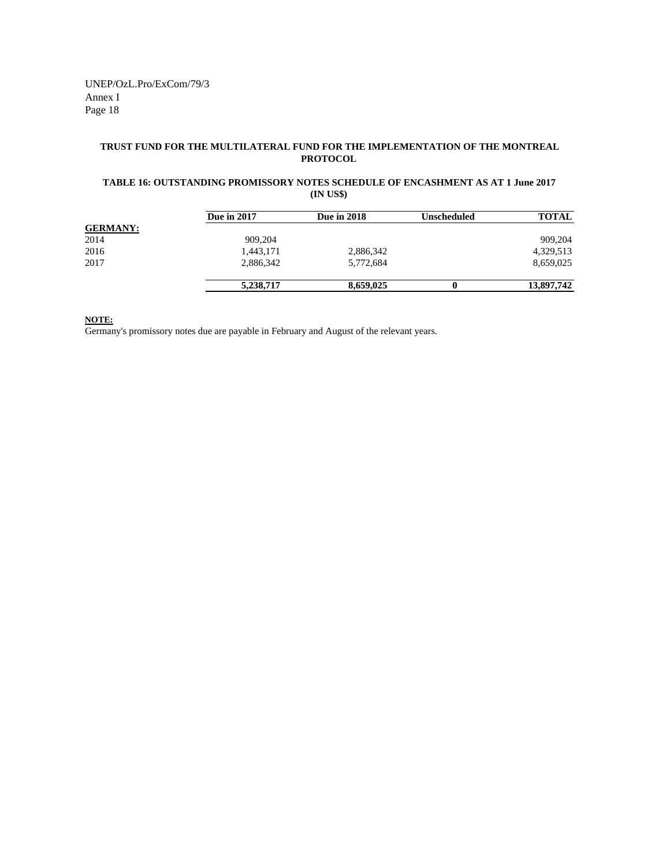#### **TRUST FUND FOR THE MULTILATERAL FUND FOR THE IMPLEMENTATION OF THE MONTREAL PROTOCOL**

#### **(IN US\$) TABLE 16: OUTSTANDING PROMISSORY NOTES SCHEDULE OF ENCASHMENT AS AT 1 June 2017**

|                 | <b>Due in 2017</b> | <b>Due in 2018</b> | Unscheduled | <b>TOTAL</b> |
|-----------------|--------------------|--------------------|-------------|--------------|
| <b>GERMANY:</b> |                    |                    |             |              |
| 2014            | 909,204            |                    |             | 909.204      |
| 2016            | 1,443,171          | 2,886,342          |             | 4,329,513    |
| 2017            | 2,886,342          | 5,772,684          |             | 8,659,025    |
|                 | 5,238,717          | 8,659,025          |             | 13,897,742   |

**NOTE:**

Germany's promissory notes due are payable in February and August of the relevant years.